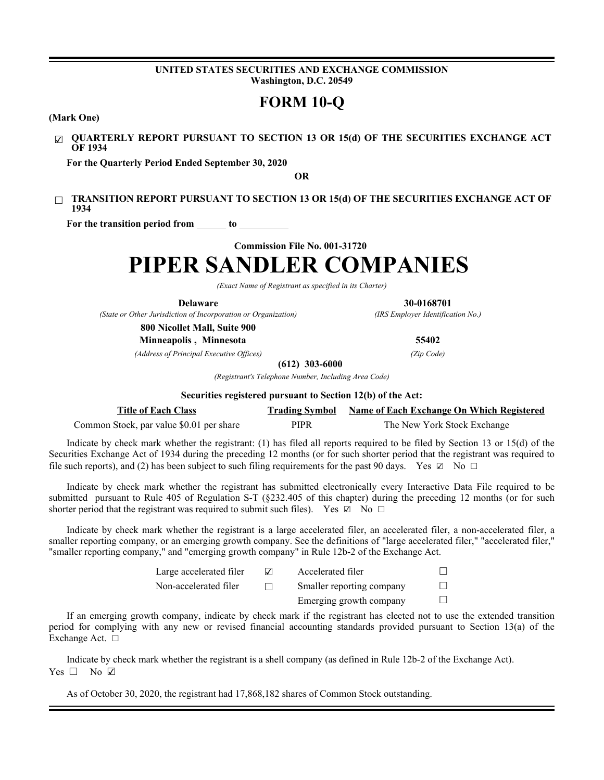#### **UNITED STATES SECURITIES AND EXCHANGE COMMISSION Washington, D.C. 20549**

## **FORM 10-Q**

**(Mark One)**

☑ **QUARTERLY REPORT PURSUANT TO SECTION 13 OR 15(d) OF THE SECURITIES EXCHANGE ACT OF 1934**

**For the Quarterly Period Ended September 30, 2020**

**OR**

□ **TRANSITION REPORT PURSUANT TO SECTION 13 OR 15(d) OF THE SECURITIES EXCHANGE ACT OF 1934**

For the transition period from <u>to sell be a set of the set of the set of the set of  $\sim$ </u>

**Commission File No. 001-31720**

# **PIPER SANDLER COMPANIES**

*(Exact Name of Registrant as specified in its Charter)*

**Delaware 30-0168701**

*(State or Other Jurisdiction of Incorporation or Organization) (IRS Employer Identification No.)*

**800 Nicollet Mall, Suite 900**

**Minneapolis , Minnesota 55402**

*(Address of Principal Executive Offices) (Zip Code)*

**(612) 303-6000**

*(Registrant's Telephone Number, Including Area Code)*

**Securities registered pursuant to Section 12(b) of the Act:**

| <b>Title of Each Class</b>               |      | <b>Trading Symbol</b> Name of Each Exchange On Which Registered |
|------------------------------------------|------|-----------------------------------------------------------------|
| Common Stock, par value \$0.01 per share | PIPR | The New York Stock Exchange                                     |

Indicate by check mark whether the registrant: (1) has filed all reports required to be filed by Section 13 or 15(d) of the Securities Exchange Act of 1934 during the preceding 12 months (or for such shorter period that the registrant was required to file such reports), and (2) has been subject to such filing requirements for the past 90 days. Yes  $\boxtimes$  No  $\Box$ 

Indicate by check mark whether the registrant has submitted electronically every Interactive Data File required to be submitted pursuant to Rule 405 of Regulation S-T (§232.405 of this chapter) during the preceding 12 months (or for such shorter period that the registrant was required to submit such files). Yes  $\boxtimes$  No  $\Box$ 

Indicate by check mark whether the registrant is a large accelerated filer, an accelerated filer, a non-accelerated filer, a smaller reporting company, or an emerging growth company. See the definitions of "large accelerated filer," "accelerated filer," "smaller reporting company," and "emerging growth company" in Rule 12b-2 of the Exchange Act.

| Large accelerated filer | $\sqrt{}$ | Accelerated filer         |    |
|-------------------------|-----------|---------------------------|----|
| Non-accelerated filer   |           | Smaller reporting company | П. |
|                         |           | Emerging growth company   | П. |

If an emerging growth company, indicate by check mark if the registrant has elected not to use the extended transition period for complying with any new or revised financial accounting standards provided pursuant to Section 13(a) of the Exchange Act. □

Indicate by check mark whether the registrant is a shell company (as defined in Rule 12b-2 of the Exchange Act). Yes □ No ☑

As of October 30, 2020, the registrant had 17,868,182 shares of Common Stock outstanding.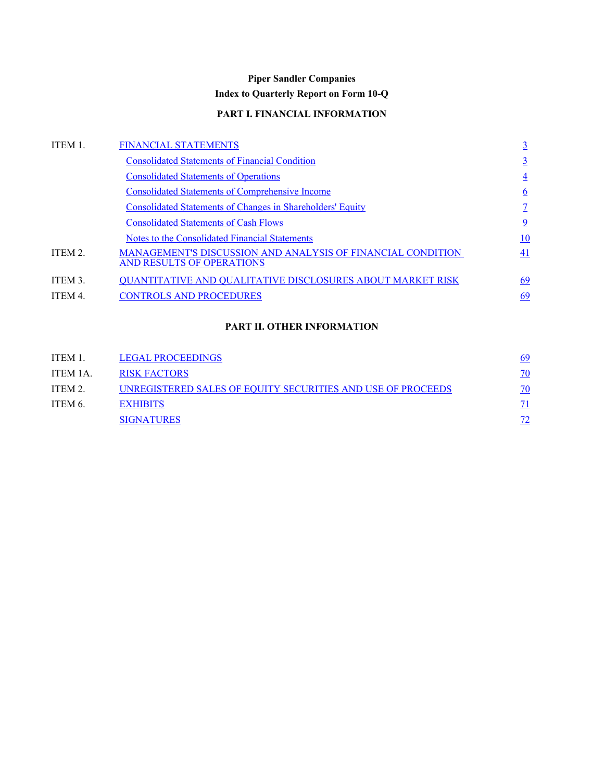### **Piper Sandler Companies**

### **Index to Quarterly Report on Form 10-Q**

### **PART I. FINANCIAL INFORMATION**

<span id="page-1-0"></span>

| ITEM 1. | <b>FINANCIAL STATEMENTS</b>                                                                     | $\overline{3}$  |
|---------|-------------------------------------------------------------------------------------------------|-----------------|
|         | <b>Consolidated Statements of Financial Condition</b>                                           | $\overline{3}$  |
|         | <b>Consolidated Statements of Operations</b>                                                    | $\overline{4}$  |
|         | <b>Consolidated Statements of Comprehensive Income</b>                                          | $6\overline{6}$ |
|         | <b>Consolidated Statements of Changes in Shareholders' Equity</b>                               |                 |
|         | <b>Consolidated Statements of Cash Flows</b>                                                    | $\overline{9}$  |
|         | Notes to the Consolidated Financial Statements                                                  | 10              |
| ITEM 2. | <b>MANAGEMENT'S DISCUSSION AND ANALYSIS OF FINANCIAL CONDITION</b><br>AND RESULTS OF OPERATIONS | 41              |
| ITEM 3. | <b>QUANTITATIVE AND QUALITATIVE DISCLOSURES ABOUT MARKET RISK</b>                               | <u>69</u>       |
| ITEM 4. | <b>CONTROLS AND PROCEDURES</b>                                                                  | <u>69</u>       |

### **PART II. OTHER INFORMATION**

| ITEM 1.  | <b>LEGAL PROCEEDINGS</b>                                    | 69 |
|----------|-------------------------------------------------------------|----|
| ITEM 1A. | <b>RISK FACTORS</b>                                         | 70 |
| ITEM 2.  | UNREGISTERED SALES OF EQUITY SECURITIES AND USE OF PROCEEDS | 70 |
| ITEM 6.  | <b>EXHIBITS</b>                                             | 71 |
|          | <b>SIGNATURES</b>                                           | 72 |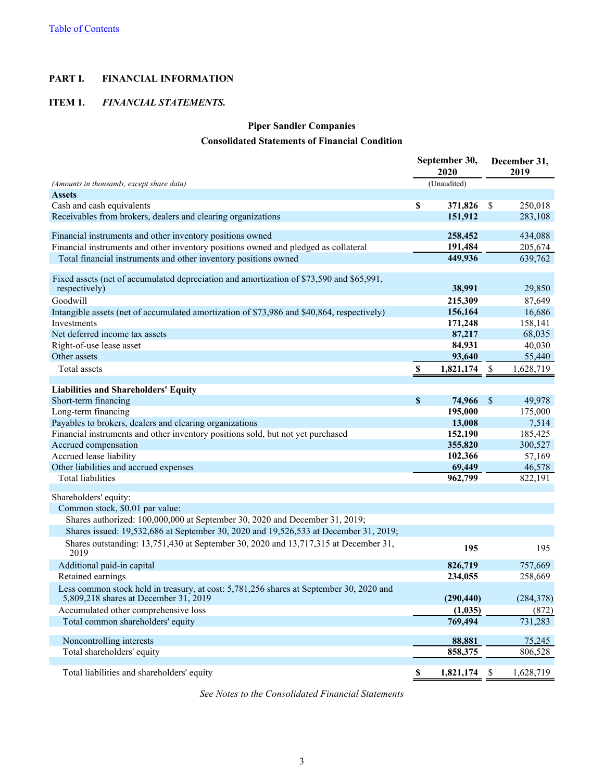### <span id="page-2-0"></span>**PART I. FINANCIAL INFORMATION**

### **ITEM 1.** *FINANCIAL STATEMENTS.*

## **Piper Sandler Companies**

### **Consolidated Statements of Financial Condition**

|                                                                                                                                  |                           | September 30,<br>2020 |    | December 31,<br>2019 |  |  |
|----------------------------------------------------------------------------------------------------------------------------------|---------------------------|-----------------------|----|----------------------|--|--|
| (Amounts in thousands, except share data)                                                                                        |                           | (Unaudited)           |    |                      |  |  |
| <b>Assets</b>                                                                                                                    |                           |                       |    |                      |  |  |
| Cash and cash equivalents                                                                                                        | \$                        | 371,826               | \$ | 250,018              |  |  |
| Receivables from brokers, dealers and clearing organizations                                                                     |                           | 151,912               |    | 283,108              |  |  |
|                                                                                                                                  |                           |                       |    |                      |  |  |
| Financial instruments and other inventory positions owned                                                                        |                           | 258,452               |    | 434,088              |  |  |
| Financial instruments and other inventory positions owned and pledged as collateral                                              |                           | 191,484               |    | 205,674              |  |  |
| Total financial instruments and other inventory positions owned                                                                  |                           | 449,936               |    | 639,762              |  |  |
| Fixed assets (net of accumulated depreciation and amortization of \$73,590 and \$65,991,                                         |                           |                       |    |                      |  |  |
| respectively)                                                                                                                    |                           | 38,991                |    | 29,850               |  |  |
| Goodwill                                                                                                                         |                           | 215,309               |    | 87,649               |  |  |
| Intangible assets (net of accumulated amortization of \$73,986 and \$40,864, respectively)                                       |                           | 156,164               |    | 16,686               |  |  |
| Investments                                                                                                                      |                           | 171,248               |    | 158,141              |  |  |
| Net deferred income tax assets                                                                                                   |                           | 87,217                |    | 68,035               |  |  |
| Right-of-use lease asset                                                                                                         |                           | 84,931                |    | 40,030               |  |  |
| Other assets                                                                                                                     |                           | 93,640                |    | 55,440               |  |  |
| Total assets                                                                                                                     | $\boldsymbol{\mathsf{S}}$ | 1,821,174             | \$ | 1,628,719            |  |  |
|                                                                                                                                  |                           |                       |    |                      |  |  |
| <b>Liabilities and Shareholders' Equity</b>                                                                                      |                           |                       |    |                      |  |  |
| Short-term financing                                                                                                             | \$                        | 74,966                | \$ | 49,978               |  |  |
| Long-term financing                                                                                                              |                           | 195,000               |    | 175,000              |  |  |
| Payables to brokers, dealers and clearing organizations                                                                          |                           | 13,008                |    | 7,514                |  |  |
| Financial instruments and other inventory positions sold, but not yet purchased                                                  |                           | 152,190               |    | 185,425              |  |  |
| Accrued compensation                                                                                                             |                           | 355,820               |    | 300,527              |  |  |
| Accrued lease liability                                                                                                          |                           | 102,366               |    | 57,169               |  |  |
| Other liabilities and accrued expenses                                                                                           |                           | 69,449                |    | 46,578               |  |  |
| <b>Total liabilities</b>                                                                                                         |                           | 962,799               |    | 822,191              |  |  |
|                                                                                                                                  |                           |                       |    |                      |  |  |
| Shareholders' equity:                                                                                                            |                           |                       |    |                      |  |  |
| Common stock, \$0.01 par value:                                                                                                  |                           |                       |    |                      |  |  |
| Shares authorized: 100,000,000 at September 30, 2020 and December 31, 2019;                                                      |                           |                       |    |                      |  |  |
| Shares issued: 19,532,686 at September 30, 2020 and 19,526,533 at December 31, 2019;                                             |                           |                       |    |                      |  |  |
| Shares outstanding: 13,751,430 at September 30, 2020 and 13,717,315 at December 31,<br>2019                                      |                           | 195                   |    | 195                  |  |  |
| Additional paid-in capital                                                                                                       |                           | 826,719               |    | 757,669              |  |  |
| Retained earnings                                                                                                                |                           | 234,055               |    | 258,669              |  |  |
| Less common stock held in treasury, at cost: 5,781,256 shares at September 30, 2020 and<br>5,809,218 shares at December 31, 2019 |                           | (290, 440)            |    | (284, 378)           |  |  |
| Accumulated other comprehensive loss                                                                                             |                           | (1,035)               |    | (872)                |  |  |
| Total common shareholders' equity                                                                                                |                           | 769,494               |    | 731,283              |  |  |
|                                                                                                                                  |                           |                       |    |                      |  |  |
| Noncontrolling interests                                                                                                         |                           | 88,881                |    | 75,245               |  |  |
| Total shareholders' equity                                                                                                       |                           | 858,375               |    | 806,528              |  |  |
| Total liabilities and shareholders' equity                                                                                       | <b>S</b>                  | 1,821,174             | -S | 1,628,719            |  |  |

*See Notes to the Consolidated Financial Statements*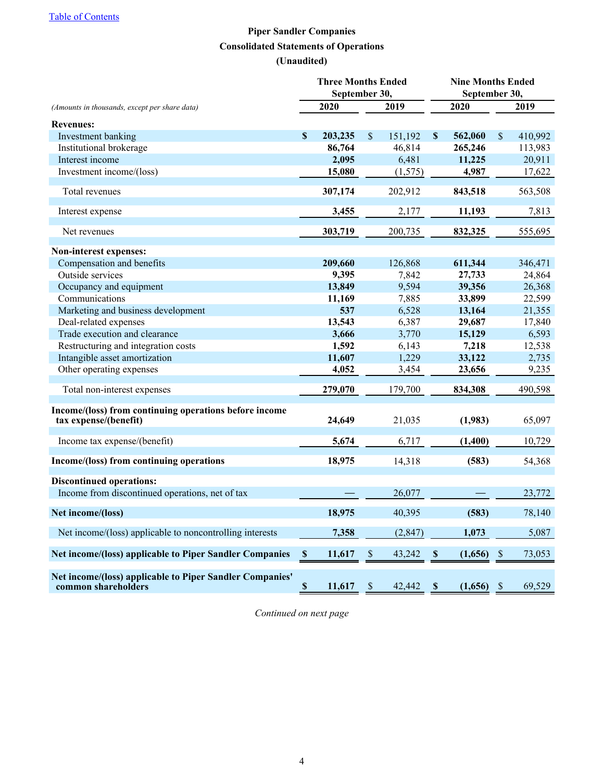### **Piper Sandler Companies Consolidated Statements of Operations (Unaudited)**

<span id="page-3-0"></span>

|                                                                                 |             | <b>Three Months Ended</b><br>September 30, |                   |          |                           |         | <b>Nine Months Ended</b><br>September 30, |         |  |
|---------------------------------------------------------------------------------|-------------|--------------------------------------------|-------------------|----------|---------------------------|---------|-------------------------------------------|---------|--|
| (Amounts in thousands, except per share data)                                   |             | 2020                                       |                   | 2019     |                           | 2020    |                                           | 2019    |  |
| <b>Revenues:</b>                                                                |             |                                            |                   |          |                           |         |                                           |         |  |
| Investment banking                                                              | $\mathbf S$ | 203,235                                    | $\mathbb{S}$      | 151,192  | $\boldsymbol{\mathsf{S}}$ | 562,060 | $\mathsf{\$}$                             | 410,992 |  |
| Institutional brokerage                                                         |             | 86,764                                     |                   | 46,814   |                           | 265,246 |                                           | 113,983 |  |
| Interest income                                                                 |             | 2,095                                      |                   | 6,481    |                           | 11,225  |                                           | 20,911  |  |
| Investment income/(loss)                                                        |             | 15,080                                     |                   | (1,575)  |                           | 4,987   |                                           | 17,622  |  |
| Total revenues                                                                  |             | 307,174                                    |                   | 202,912  |                           | 843,518 |                                           | 563,508 |  |
| Interest expense                                                                |             | 3,455                                      |                   | 2,177    |                           | 11,193  |                                           | 7,813   |  |
| Net revenues                                                                    |             | 303,719                                    |                   | 200,735  |                           | 832,325 |                                           | 555,695 |  |
| Non-interest expenses:                                                          |             |                                            |                   |          |                           |         |                                           |         |  |
| Compensation and benefits                                                       |             | 209,660                                    |                   | 126,868  |                           | 611,344 |                                           | 346,471 |  |
| Outside services                                                                |             | 9,395                                      |                   | 7,842    |                           | 27,733  |                                           | 24,864  |  |
| Occupancy and equipment                                                         |             | 13,849                                     |                   | 9,594    |                           | 39,356  |                                           | 26,368  |  |
| Communications                                                                  |             | 11,169                                     |                   | 7,885    |                           | 33,899  |                                           | 22,599  |  |
| Marketing and business development                                              |             | 537                                        |                   | 6,528    |                           | 13,164  |                                           | 21,355  |  |
| Deal-related expenses                                                           |             | 13,543                                     |                   | 6,387    |                           | 29,687  |                                           | 17,840  |  |
| Trade execution and clearance                                                   |             | 3,666                                      |                   | 3,770    |                           | 15,129  |                                           | 6,593   |  |
| Restructuring and integration costs                                             |             | 1,592                                      |                   | 6,143    |                           | 7,218   |                                           | 12,538  |  |
| Intangible asset amortization                                                   |             | 11,607                                     |                   | 1,229    |                           | 33,122  |                                           | 2,735   |  |
| Other operating expenses                                                        |             | 4,052                                      |                   | 3,454    |                           | 23,656  |                                           | 9,235   |  |
| Total non-interest expenses                                                     |             | 279,070                                    |                   | 179,700  |                           | 834,308 |                                           | 490,598 |  |
| Income/(loss) from continuing operations before income<br>tax expense/(benefit) |             | 24,649                                     |                   | 21,035   |                           | (1,983) |                                           | 65,097  |  |
| Income tax expense/(benefit)                                                    |             | 5,674                                      |                   | 6,717    |                           | (1,400) |                                           | 10,729  |  |
| Income/(loss) from continuing operations                                        |             | 18,975                                     |                   | 14,318   |                           | (583)   |                                           | 54,368  |  |
| <b>Discontinued operations:</b>                                                 |             |                                            |                   |          |                           |         |                                           |         |  |
| Income from discontinued operations, net of tax                                 |             |                                            |                   | 26,077   |                           |         |                                           | 23,772  |  |
| Net income/(loss)                                                               |             | 18,975                                     |                   | 40,395   |                           | (583)   |                                           | 78,140  |  |
| Net income/(loss) applicable to noncontrolling interests                        |             | 7,358                                      |                   | (2, 847) |                           | 1,073   |                                           | 5,087   |  |
| Net income/(loss) applicable to Piper Sandler Companies                         | $\mathbb S$ | 11,617                                     | $\boldsymbol{\$}$ | 43,242   | $\boldsymbol{\mathsf{S}}$ | (1,656) | $\sqrt{3}$                                | 73,053  |  |
| Net income/(loss) applicable to Piper Sandler Companies'<br>common shareholders | $\mathbb S$ | 11,617                                     | $\mathcal{S}$     | 42,442   | $\mathbf{\$}$             | (1,656) | $\mathcal{S}$                             | 69,529  |  |

*Continued on next page*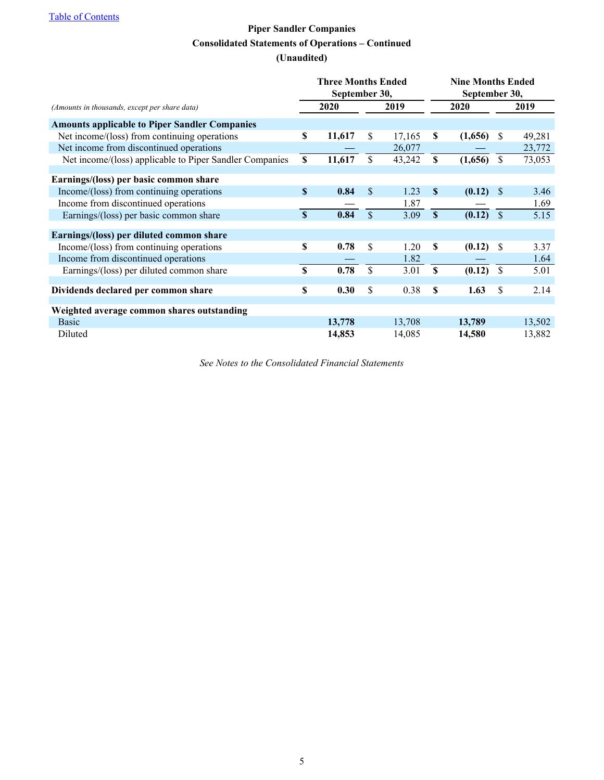### **Piper Sandler Companies Consolidated Statements of Operations – Continued (Unaudited)**

|                                                         |              | <b>Three Months Ended</b><br>September 30, |               |        | <b>Nine Months Ended</b><br>September 30, |             |      |        |  |  |  |
|---------------------------------------------------------|--------------|--------------------------------------------|---------------|--------|-------------------------------------------|-------------|------|--------|--|--|--|
| (Amounts in thousands, except per share data)           |              | 2020                                       |               | 2019   |                                           | 2020        | 2019 |        |  |  |  |
| <b>Amounts applicable to Piper Sandler Companies</b>    |              |                                            |               |        |                                           |             |      |        |  |  |  |
| Net income/(loss) from continuing operations            | S            | 11,617                                     | \$            | 17,165 | S                                         | (1,656)     | -S   | 49,281 |  |  |  |
| Net income from discontinued operations                 |              |                                            |               | 26,077 |                                           |             |      | 23,772 |  |  |  |
| Net income/(loss) applicable to Piper Sandler Companies | \$           | 11,617                                     | \$            | 43,242 | \$                                        | (1,656)     | -\$  | 73,053 |  |  |  |
|                                                         |              |                                            |               |        |                                           |             |      |        |  |  |  |
| Earnings/(loss) per basic common share                  |              |                                            |               |        |                                           |             |      |        |  |  |  |
| Income/(loss) from continuing operations                | $\mathbf{s}$ | 0.84                                       | <sup>\$</sup> | 1.23   | \$                                        | (0.12)      | - \$ | 3.46   |  |  |  |
| Income from discontinued operations                     |              |                                            |               | 1.87   |                                           |             |      | 1.69   |  |  |  |
| Earnings/(loss) per basic common share                  | $\mathbf{s}$ | 0.84                                       | $\mathbf S$   | 3.09   | $\mathbf S$                               | $(0.12)$ \$ |      | 5.15   |  |  |  |
|                                                         |              |                                            |               |        |                                           |             |      |        |  |  |  |
| Earnings/(loss) per diluted common share                |              |                                            |               |        |                                           |             |      |        |  |  |  |
| Income/(loss) from continuing operations                | \$           | 0.78                                       | \$            | 1.20   | S                                         | $(0.12)$ \$ |      | 3.37   |  |  |  |
| Income from discontinued operations                     |              |                                            |               | 1.82   |                                           |             |      | 1.64   |  |  |  |
| Earnings/(loss) per diluted common share                | $\mathbf S$  | 0.78                                       | $\mathbf{\$}$ | 3.01   | \$                                        | (0.12)      | -\$  | 5.01   |  |  |  |
|                                                         |              |                                            |               |        |                                           |             |      |        |  |  |  |
| Dividends declared per common share                     | \$           | 0.30                                       | \$            | 0.38   | S                                         | 1.63        | \$   | 2.14   |  |  |  |
| Weighted average common shares outstanding              |              |                                            |               |        |                                           |             |      |        |  |  |  |
| <b>Basic</b>                                            |              | 13,778                                     |               | 13,708 |                                           | 13,789      |      | 13,502 |  |  |  |
| Diluted                                                 |              | 14,853                                     |               | 14,085 |                                           | 14,580      |      | 13,882 |  |  |  |

*See Notes to the Consolidated Financial Statements*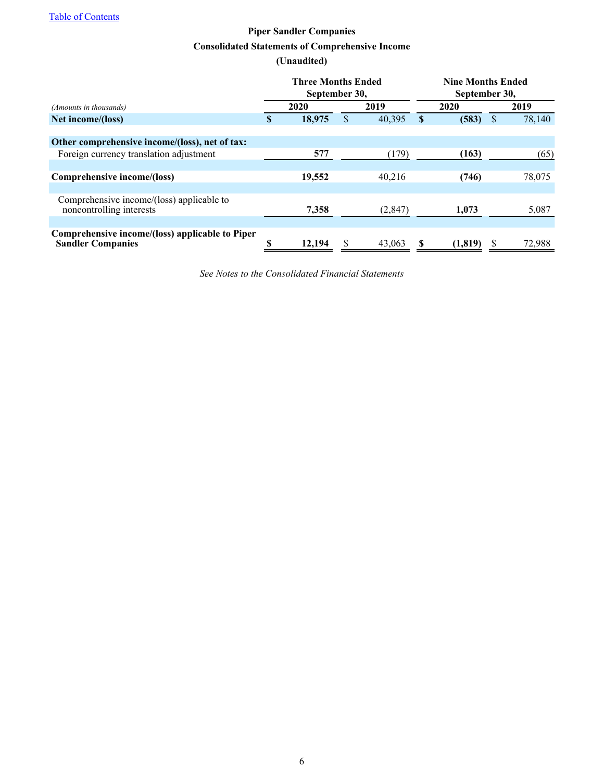### **Piper Sandler Companies Consolidated Statements of Comprehensive Income (Unaudited)**

<span id="page-5-0"></span>

|                                                                             |              | <b>Three Months Ended</b><br>September 30, |    |         | <b>Nine Months Ended</b><br>September 30, |          |              |        |  |  |  |  |
|-----------------------------------------------------------------------------|--------------|--------------------------------------------|----|---------|-------------------------------------------|----------|--------------|--------|--|--|--|--|
| (Amounts in thousands)                                                      | 2020<br>2019 |                                            |    |         |                                           | 2020     |              | 2019   |  |  |  |  |
| Net income/(loss)                                                           | \$           | 18,975                                     | \$ | 40,395  |                                           | (583)    | <sup>S</sup> | 78,140 |  |  |  |  |
|                                                                             |              |                                            |    |         |                                           |          |              |        |  |  |  |  |
| Other comprehensive income/(loss), net of tax:                              |              |                                            |    |         |                                           |          |              |        |  |  |  |  |
| Foreign currency translation adjustment                                     |              | 577                                        |    | (179)   |                                           | (163)    |              | (65)   |  |  |  |  |
|                                                                             |              |                                            |    |         |                                           |          |              |        |  |  |  |  |
| Comprehensive income/(loss)                                                 |              | 19,552                                     |    | 40,216  |                                           | (746)    |              | 78,075 |  |  |  |  |
|                                                                             |              |                                            |    |         |                                           |          |              |        |  |  |  |  |
| Comprehensive income/(loss) applicable to<br>noncontrolling interests       |              | 7,358                                      |    | (2,847) |                                           | 1,073    |              | 5,087  |  |  |  |  |
|                                                                             |              |                                            |    |         |                                           |          |              |        |  |  |  |  |
| Comprehensive income/(loss) applicable to Piper<br><b>Sandler Companies</b> | \$           | 12.194                                     | S  | 43,063  | S                                         | (1, 819) | S            | 72,988 |  |  |  |  |

*See Notes to the Consolidated Financial Statements*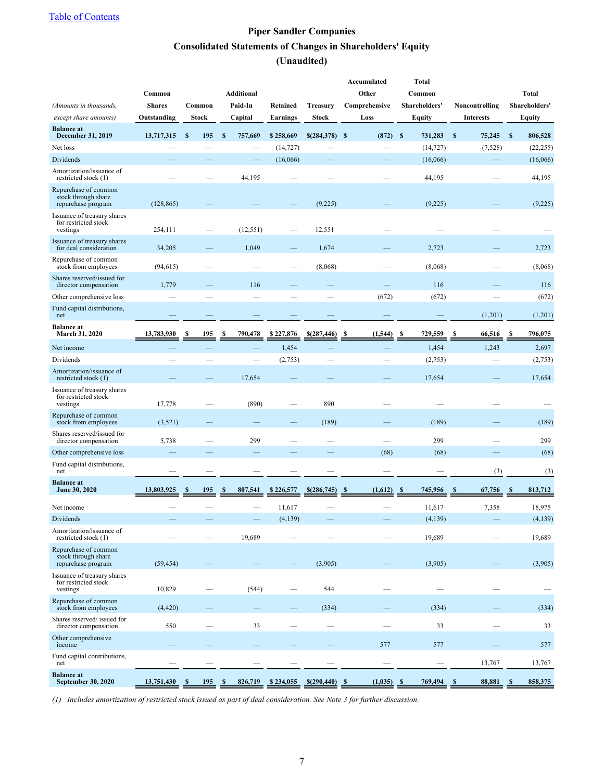### **Piper Sandler Companies Consolidated Statements of Changes in Shareholders' Equity (Unaudited)**

<span id="page-6-0"></span>

| (Amounts in thousands,<br>except share amounts)                   | Common<br><b>Shares</b><br>Outstanding |                  | Common<br>Stock |                  | Additional<br>Paid-In<br>Capital | Retained<br><b>Earnings</b> | <b>Treasury</b><br>Stock |              | Accumulated<br>Other<br>Comprehensive<br>Loss |      | Total<br>Common<br>Shareholders'<br>Equity |              | Noncontrolling<br><b>Interests</b> |              | Total<br>Shareholders'<br>Equity |
|-------------------------------------------------------------------|----------------------------------------|------------------|-----------------|------------------|----------------------------------|-----------------------------|--------------------------|--------------|-----------------------------------------------|------|--------------------------------------------|--------------|------------------------------------|--------------|----------------------------------|
| <b>Balance</b> at<br>December 31, 2019                            | 13,717,315                             | $\boldsymbol{s}$ | 195             | $\boldsymbol{s}$ | 757,669                          | \$258,669                   | \$(284,378)              | - \$         | (872) S                                       |      | 731,283                                    | $\mathbf{s}$ | 75,245                             | $\mathbf{s}$ | 806,528                          |
| Net loss                                                          |                                        |                  |                 |                  |                                  | (14, 727)                   |                          |              |                                               |      | (14, 727)                                  |              | (7, 528)                           |              | (22, 255)                        |
| Dividends                                                         |                                        |                  |                 |                  |                                  | (16,066)                    |                          |              |                                               |      | (16,066)                                   |              |                                    |              | (16,066)                         |
| Amortization/issuance of<br>restricted stock (1)                  |                                        |                  |                 |                  | 44,195                           |                             |                          |              |                                               |      | 44,195                                     |              |                                    |              | 44,195                           |
| Repurchase of common<br>stock through share<br>repurchase program | (128, 865)                             |                  |                 |                  |                                  |                             | (9,225)                  |              |                                               |      | (9,225)                                    |              |                                    |              | (9,225)                          |
| Issuance of treasury shares<br>for restricted stock<br>vestings   | 254,111                                |                  |                 |                  | (12, 551)                        |                             | 12,551                   |              |                                               |      |                                            |              |                                    |              |                                  |
| Issuance of treasury shares<br>for deal consideration             | 34,205                                 |                  |                 |                  | 1,049                            |                             | 1,674                    |              |                                               |      | 2,723                                      |              |                                    |              | 2,723                            |
| Repurchase of common<br>stock from employees                      | (94, 615)                              |                  |                 |                  |                                  |                             | (8,068)                  |              |                                               |      | (8,068)                                    |              |                                    |              | (8,068)                          |
| Shares reserved/issued for<br>director compensation               | 1,779                                  |                  |                 |                  | 116                              |                             |                          |              |                                               |      | 116                                        |              |                                    |              | 116                              |
| Other comprehensive loss                                          |                                        |                  |                 |                  |                                  |                             |                          |              | (672)                                         |      | (672)                                      |              |                                    |              | (672)                            |
| Fund capital distributions,<br>net                                |                                        |                  |                 |                  |                                  |                             |                          |              |                                               |      |                                            |              | (1,201)                            |              | (1,201)                          |
| Balance at<br><b>March 31, 2020</b>                               | 13,783,930                             | S                | 195             | S                | 790,478                          | \$227,876                   | \$(287, 446)             | S            | (1, 544)                                      | -S   | 729,559                                    | \$           | 66,516                             | -S           | 796,075                          |
| Net income                                                        |                                        |                  |                 |                  |                                  | 1,454                       |                          |              |                                               |      | 1,454                                      |              | 1,243                              |              | 2,697                            |
| Dividends                                                         |                                        |                  |                 |                  |                                  | (2,753)                     |                          |              |                                               |      | (2,753)                                    |              |                                    |              | (2,753)                          |
| Amortization/issuance of<br>restricted stock (1)                  |                                        |                  |                 |                  | 17,654                           |                             |                          |              |                                               |      | 17,654                                     |              |                                    |              | 17,654                           |
| Issuance of treasury shares<br>for restricted stock<br>vestings   | 17,778                                 |                  |                 |                  | (890)                            |                             | 890                      |              |                                               |      |                                            |              |                                    |              |                                  |
| Repurchase of common<br>stock from employees                      | (3,521)                                |                  |                 |                  |                                  |                             | (189)                    |              |                                               |      | (189)                                      |              |                                    |              | (189)                            |
| Shares reserved/issued for<br>director compensation               | 5,738                                  |                  |                 |                  | 299                              |                             |                          |              |                                               |      | 299                                        |              |                                    |              | 299                              |
| Other comprehensive loss                                          |                                        |                  |                 |                  |                                  |                             |                          |              | (68)                                          |      | (68)                                       |              |                                    |              | (68)                             |
| Fund capital distributions.<br>net                                |                                        |                  |                 |                  |                                  |                             |                          |              |                                               |      |                                            |              | (3)                                |              | (3)                              |
| <b>Balance at</b><br>June 30, 2020                                | 13,803,925                             |                  | 195             | <sup>\$</sup>    | 807,541                          | \$226,577                   | \$(286,745)              | - \$         | (1,612)                                       | - \$ | 745,956                                    | - \$         | 67,756                             | -S           | 813,712                          |
| Net income                                                        |                                        |                  |                 |                  |                                  | 11,617                      |                          |              |                                               |      | 11,617                                     |              | 7,358                              |              | 18,975                           |
| Dividends                                                         |                                        |                  |                 |                  |                                  | (4, 139)                    |                          |              |                                               |      | (4,139)                                    |              |                                    |              | (4, 139)                         |
| Amortization/issuance of<br>restricted stock (1)                  |                                        |                  |                 |                  | 19,689                           |                             |                          |              |                                               |      | 19,689                                     |              |                                    |              | 19,689                           |
| Repurchase of common<br>stock through share<br>repurchase program | (59, 454)                              |                  |                 |                  |                                  |                             | (3,905)                  |              |                                               |      | (3,905)                                    |              |                                    |              | (3,905)                          |
| Issuance of treasury shares<br>for restricted stock<br>vestings   | 10,829                                 |                  |                 |                  | (544)                            |                             | 544                      |              |                                               |      |                                            |              |                                    |              |                                  |
| Repurchase of common<br>stock from employees                      | (4, 420)                               |                  |                 |                  |                                  |                             | (334)                    |              |                                               |      | (334)                                      |              |                                    |              | (334)                            |
| Shares reserved/ issued for<br>director compensation              | 550                                    |                  |                 |                  | 33                               |                             |                          |              |                                               |      | 33                                         |              |                                    |              | 33                               |
| Other comprehensive<br>income                                     |                                        |                  |                 |                  |                                  |                             |                          |              | 577                                           |      | 577                                        |              |                                    |              | 577                              |
| Fund capital contributions,<br>net                                |                                        |                  |                 |                  |                                  |                             |                          |              |                                               |      |                                            |              | 13,767                             |              | 13,767                           |
| <b>Balance at</b><br>September 30, 2020                           | 13,751,430                             | - \$             | 195             | -S               | 826,719                          | \$234,055                   | \$(290, 440)             | $\mathbf{s}$ | (1,035)                                       | - S  | 769,494                                    | - \$         | 88,881                             | -S           | 858,375                          |

*(1) Includes amortization of restricted stock issued as part of deal consideration. See Note 3 for further discussion.*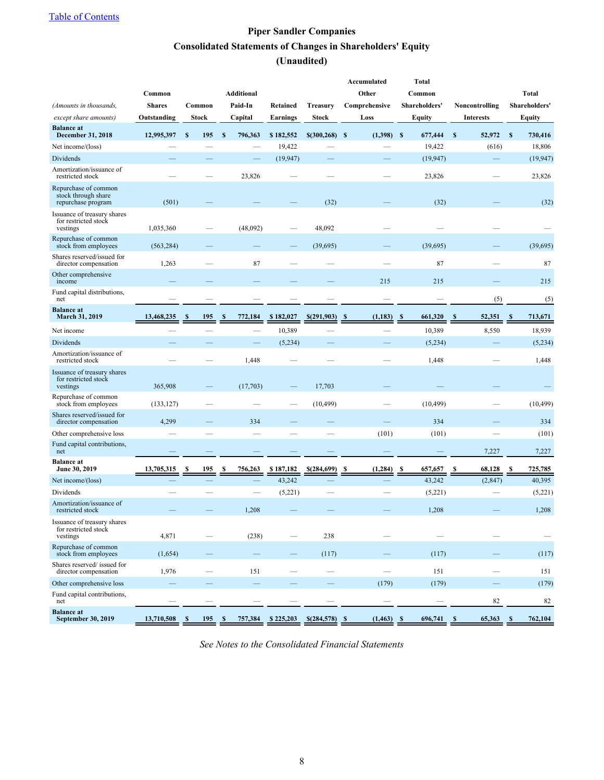### **Piper Sandler Companies Consolidated Statements of Changes in Shareholders' Equity (Unaudited)**

|                                                                   | Common        |               |        |              | Additional |                 |                 |      | Accumulated<br>Other |               | Total<br>Common |                  |                  |              | Total         |
|-------------------------------------------------------------------|---------------|---------------|--------|--------------|------------|-----------------|-----------------|------|----------------------|---------------|-----------------|------------------|------------------|--------------|---------------|
| (Amounts in thousands,                                            | <b>Shares</b> |               | Common |              | Paid-In    | Retained        | <b>Treasury</b> |      | Comprehensive        | Shareholders' |                 |                  | Noncontrolling   |              | Shareholders' |
| except share amounts)                                             | Outstanding   |               | Stock  |              | Capital    | <b>Earnings</b> | Stock           |      | Loss                 |               | <b>Equity</b>   |                  | <b>Interests</b> |              | Equity        |
| <b>Balance</b> at<br>December 31, 2018                            | 12,995,397    | \$            | 195    | $\mathbf{s}$ | 796,363    | \$182,552       | \$(300, 268)    | - \$ | (1,398)              | - \$          | 677,444         | $\mathbf{s}$     | 52,972           | $\mathbf{s}$ | 730,416       |
| Net income/(loss)                                                 |               |               |        |              |            | 19,422          |                 |      |                      |               | 19,422          |                  | (616)            |              | 18,806        |
| Dividends                                                         |               |               |        |              |            | (19, 947)       |                 |      |                      |               | (19, 947)       |                  |                  |              | (19, 947)     |
| Amortization/issuance of<br>restricted stock                      |               |               |        |              | 23,826     |                 |                 |      |                      |               | 23,826          |                  |                  |              | 23,826        |
| Repurchase of common<br>stock through share<br>repurchase program | (501)         |               |        |              |            |                 | (32)            |      |                      |               | (32)            |                  |                  |              | (32)          |
| Issuance of treasury shares<br>for restricted stock<br>vestings   | 1,035,360     |               |        |              | (48,092)   |                 | 48,092          |      |                      |               |                 |                  |                  |              |               |
| Repurchase of common<br>stock from employees                      | (563, 284)    |               |        |              |            |                 | (39,695)        |      |                      |               | (39,695)        |                  |                  |              | (39,695)      |
| Shares reserved/issued for<br>director compensation               | 1,263         |               |        |              | 87         |                 |                 |      |                      |               | 87              |                  |                  |              | 87            |
| Other comprehensive<br>income                                     |               |               |        |              |            |                 |                 |      | 215                  |               | 215             |                  |                  |              | 215           |
| Fund capital distributions,<br>net                                |               |               |        |              |            |                 |                 |      |                      |               |                 |                  | (5)              |              | (5)           |
| <b>Balance at</b><br><b>March 31, 2019</b>                        | 13,468,235    | <sup>\$</sup> | 195    | S            | 772,184    | \$182,027       | \$(291,903)     | - \$ | (1,183)              | - \$          | 661,320         | $\boldsymbol{s}$ | 52,351           | -S           | 713,671       |
| Net income                                                        |               |               |        |              |            | 10,389          |                 |      |                      |               | 10,389          |                  | 8,550            |              | 18,939        |
| Dividends                                                         |               |               |        |              |            | (5,234)         |                 |      |                      |               | (5,234)         |                  |                  |              | (5,234)       |
| Amortization/issuance of<br>restricted stock                      |               |               |        |              | 1,448      |                 |                 |      |                      |               | 1,448           |                  |                  |              | 1,448         |
| Issuance of treasury shares<br>for restricted stock<br>vestings   | 365,908       |               |        |              | (17,703)   |                 | 17,703          |      |                      |               |                 |                  |                  |              |               |
| Repurchase of common<br>stock from employees                      | (133, 127)    |               |        |              |            |                 | (10, 499)       |      |                      |               | (10, 499)       |                  |                  |              | (10, 499)     |
| Shares reserved/issued for<br>director compensation               | 4,299         |               |        |              | 334        |                 |                 |      |                      |               | 334             |                  |                  |              | 334           |
| Other comprehensive loss                                          |               |               |        |              |            |                 |                 |      | (101)                |               | (101)           |                  |                  |              | (101)         |
| Fund capital contributions,<br>net                                |               |               |        |              |            |                 |                 |      |                      |               |                 |                  | 7,227            |              | 7,227         |
| <b>Balance</b> at<br>June 30, 2019                                | 13,705,315    | S             | 195    | S            | 756,263    | \$187,182       | \$(284,699)     | S    | (1, 284)             | -S            | 657,657         | -S               | 68,128           | -S           | 725,785       |
| Net income/(loss)                                                 |               |               |        |              |            | 43,242          |                 |      |                      |               | 43,242          |                  | (2, 847)         |              | 40,395        |
| Dividends                                                         |               |               |        |              |            | (5,221)         |                 |      |                      |               | (5,221)         |                  |                  |              | (5,221)       |
| Amortization/issuance of<br>restricted stock                      |               |               |        |              | 1,208      |                 |                 |      |                      |               | 1,208           |                  |                  |              | 1,208         |
| Issuance of treasury shares<br>for restricted stock<br>vestings   | 4,871         |               |        |              | (238)      |                 | 238             |      |                      |               |                 |                  |                  |              |               |
| Repurchase of common<br>stock from employees                      | (1,654)       |               |        |              |            |                 | (117)           |      |                      |               | (117)           |                  |                  |              | (117)         |
| Shares reserved/ issued for<br>director compensation              | 1,976         |               |        |              | 151        |                 |                 |      |                      |               | 151             |                  |                  |              | 151           |
| Other comprehensive loss                                          |               |               |        |              |            |                 |                 |      | (179)                |               | (179)           |                  |                  |              | (179)         |
| Fund capital contributions,<br>net                                |               |               |        |              |            |                 |                 |      |                      |               |                 |                  | 82               |              | 82            |
| <b>Balance at</b><br>September 30, 2019                           | 13,710,508    | -S            | 195    | $\mathbf{s}$ | 757,384    | \$225,203       | $$(284,578)$ \$ |      | $(1,463)$ \$         |               | 696,741         | $^{\circ}$       | 65,363           | - \$         | 762,104       |

*See Notes to the Consolidated Financial Statements*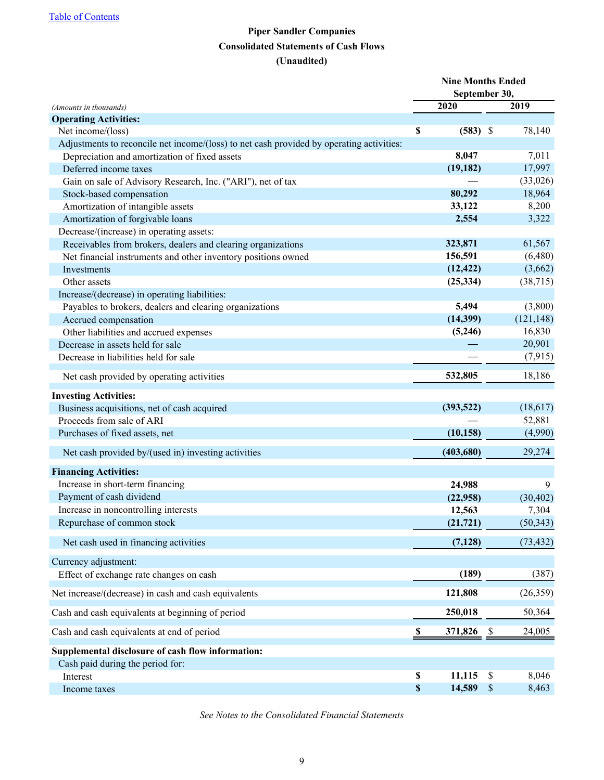### **Piper Sandler Companies Consolidated Statements of Cash Flows (Unaudited)**

<span id="page-8-0"></span>

|                                                                                          | <b>Nine Months Ended</b> |            |                           |            |  |
|------------------------------------------------------------------------------------------|--------------------------|------------|---------------------------|------------|--|
|                                                                                          | September 30,            |            |                           |            |  |
| (Amounts in thousands)                                                                   |                          | 2020       |                           | 2019       |  |
| <b>Operating Activities:</b>                                                             |                          |            |                           |            |  |
| Net income/(loss)                                                                        | \$                       | $(583)$ \$ |                           | 78,140     |  |
| Adjustments to reconcile net income/(loss) to net cash provided by operating activities: |                          |            |                           |            |  |
| Depreciation and amortization of fixed assets                                            |                          | 8,047      |                           | 7,011      |  |
| Deferred income taxes                                                                    |                          | (19, 182)  |                           | 17,997     |  |
| Gain on sale of Advisory Research, Inc. ("ARI"), net of tax                              |                          |            |                           | (33,026)   |  |
| Stock-based compensation                                                                 |                          | 80,292     |                           | 18,964     |  |
| Amortization of intangible assets                                                        |                          | 33,122     |                           | 8,200      |  |
| Amortization of forgivable loans                                                         |                          | 2,554      |                           | 3,322      |  |
| Decrease/(increase) in operating assets:                                                 |                          |            |                           |            |  |
| Receivables from brokers, dealers and clearing organizations                             |                          | 323,871    |                           | 61,567     |  |
| Net financial instruments and other inventory positions owned                            |                          | 156,591    |                           | (6,480)    |  |
| Investments                                                                              |                          | (12, 422)  |                           | (3,662)    |  |
| Other assets                                                                             |                          | (25, 334)  |                           | (38, 715)  |  |
| Increase/(decrease) in operating liabilities:                                            |                          |            |                           |            |  |
| Payables to brokers, dealers and clearing organizations                                  |                          | 5,494      |                           | (3,800)    |  |
| Accrued compensation                                                                     |                          | (14, 399)  |                           | (121, 148) |  |
| Other liabilities and accrued expenses                                                   |                          | (5,246)    |                           | 16,830     |  |
| Decrease in assets held for sale                                                         |                          |            |                           | 20,901     |  |
| Decrease in liabilities held for sale                                                    |                          |            |                           | (7,915)    |  |
| Net cash provided by operating activities                                                |                          | 532,805    |                           | 18,186     |  |
| <b>Investing Activities:</b>                                                             |                          |            |                           |            |  |
| Business acquisitions, net of cash acquired                                              |                          | (393, 522) |                           | (18,617)   |  |
| Proceeds from sale of ARI                                                                |                          |            |                           | 52,881     |  |
| Purchases of fixed assets, net                                                           |                          | (10, 158)  |                           | (4,990)    |  |
| Net cash provided by/(used in) investing activities                                      |                          | (403, 680) |                           | 29,274     |  |
| <b>Financing Activities:</b>                                                             |                          |            |                           |            |  |
| Increase in short-term financing                                                         |                          | 24,988     |                           | 9          |  |
| Payment of cash dividend                                                                 |                          | (22,958)   |                           | (30, 402)  |  |
| Increase in noncontrolling interests                                                     |                          | 12,563     |                           | 7,304      |  |
| Repurchase of common stock                                                               |                          | (21, 721)  |                           | (50, 343)  |  |
| Net cash used in financing activities                                                    |                          | (7, 128)   |                           | (73, 432)  |  |
|                                                                                          |                          |            |                           |            |  |
| Currency adjustment:<br>Effect of exchange rate changes on cash                          |                          | (189)      |                           | (387)      |  |
| Net increase/(decrease) in cash and cash equivalents                                     |                          | 121,808    |                           | (26, 359)  |  |
| Cash and cash equivalents at beginning of period                                         |                          | 250,018    |                           | 50,364     |  |
| Cash and cash equivalents at end of period                                               | $\overline{\mathbf{r}}$  | 371,826    | $\boldsymbol{\mathsf{S}}$ | 24,005     |  |
| Supplemental disclosure of cash flow information:                                        |                          |            |                           |            |  |
| Cash paid during the period for:                                                         |                          |            |                           |            |  |
| Interest                                                                                 | \$                       | 11,115     | \$                        | 8,046      |  |
| Income taxes                                                                             | \$                       | 14,589     | $\boldsymbol{\mathsf{S}}$ | 8,463      |  |

*See Notes to the Consolidated Financial Statements*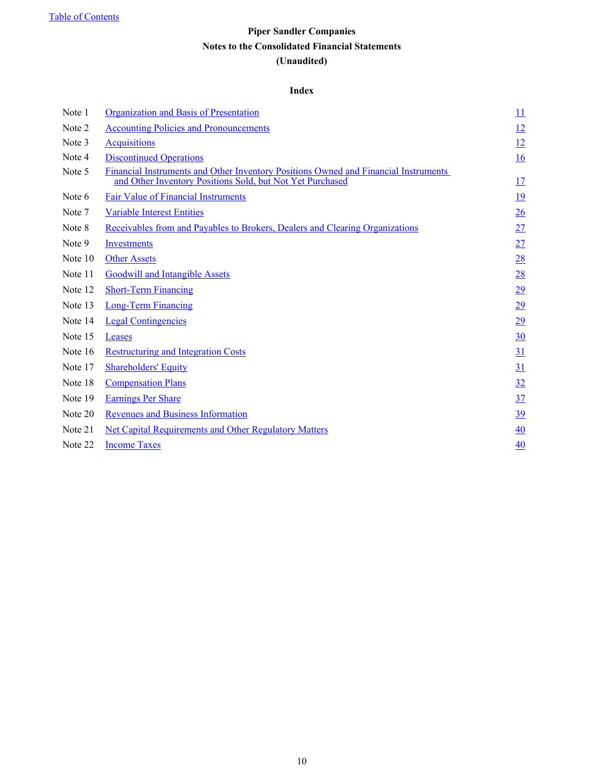### **Index**

<span id="page-9-0"></span>

| Note 1  | <b>Organization and Basis of Presentation</b>                                                                                                    | $\underline{11}$ |
|---------|--------------------------------------------------------------------------------------------------------------------------------------------------|------------------|
| Note 2  | <b>Accounting Policies and Pronouncements</b>                                                                                                    | <u>12</u>        |
| Note 3  | <b>Acquisitions</b>                                                                                                                              | 12               |
| Note 4  | <b>Discontinued Operations</b>                                                                                                                   | <u>16</u>        |
| Note 5  | Financial Instruments and Other Inventory Positions Owned and Financial Instruments<br>and Other Inventory Positions Sold, but Not Yet Purchased | 17               |
| Note 6  | <b>Fair Value of Financial Instruments</b>                                                                                                       | <u>19</u>        |
| Note 7  | <b>Variable Interest Entities</b>                                                                                                                | 26               |
| Note 8  | Receivables from and Payables to Brokers, Dealers and Clearing Organizations                                                                     | 27               |
| Note 9  | <b>Investments</b>                                                                                                                               | 27               |
| Note 10 | <b>Other Assets</b>                                                                                                                              | 28               |
| Note 11 | <b>Goodwill and Intangible Assets</b>                                                                                                            | 28               |
| Note 12 | <b>Short-Term Financing</b>                                                                                                                      | 29               |
| Note 13 | <b>Long-Term Financing</b>                                                                                                                       | 29               |
| Note 14 | <b>Legal Contingencies</b>                                                                                                                       | 29               |
| Note 15 | Leases                                                                                                                                           | 30               |
| Note 16 | <b>Restructuring and Integration Costs</b>                                                                                                       | 31               |
| Note 17 | <b>Shareholders' Equity</b>                                                                                                                      | 31               |
| Note 18 | <b>Compensation Plans</b>                                                                                                                        | 32               |
| Note 19 | <b>Earnings Per Share</b>                                                                                                                        | 37               |
| Note 20 | <b>Revenues and Business Information</b>                                                                                                         | 39               |
| Note 21 | <b>Net Capital Requirements and Other Regulatory Matters</b>                                                                                     | $\underline{40}$ |
| Note 22 | <b>Income Taxes</b>                                                                                                                              | 40               |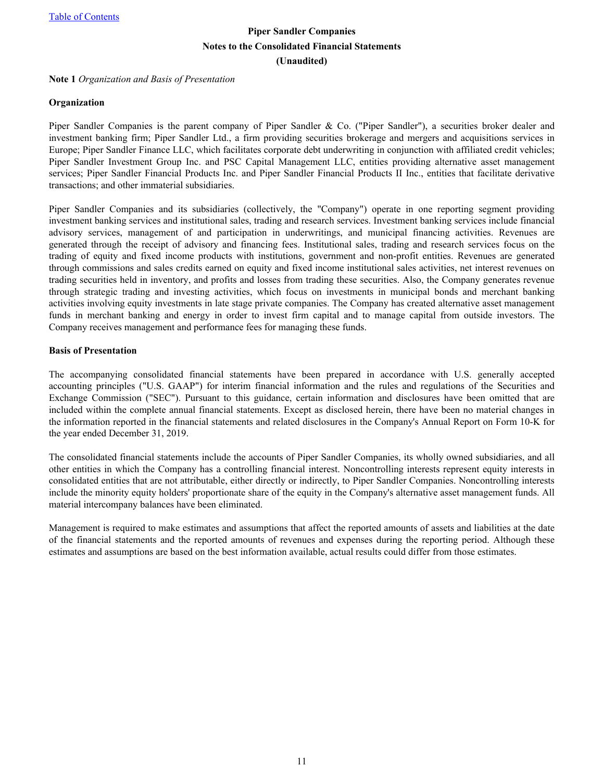<span id="page-10-0"></span>**Note 1** *Organization and Basis of Presentation*

#### **Organization**

Piper Sandler Companies is the parent company of Piper Sandler & Co. ("Piper Sandler"), a securities broker dealer and investment banking firm; Piper Sandler Ltd., a firm providing securities brokerage and mergers and acquisitions services in Europe; Piper Sandler Finance LLC, which facilitates corporate debt underwriting in conjunction with affiliated credit vehicles; Piper Sandler Investment Group Inc. and PSC Capital Management LLC, entities providing alternative asset management services; Piper Sandler Financial Products Inc. and Piper Sandler Financial Products II Inc., entities that facilitate derivative transactions; and other immaterial subsidiaries.

Piper Sandler Companies and its subsidiaries (collectively, the "Company") operate in one reporting segment providing investment banking services and institutional sales, trading and research services. Investment banking services include financial advisory services, management of and participation in underwritings, and municipal financing activities. Revenues are generated through the receipt of advisory and financing fees. Institutional sales, trading and research services focus on the trading of equity and fixed income products with institutions, government and non-profit entities. Revenues are generated through commissions and sales credits earned on equity and fixed income institutional sales activities, net interest revenues on trading securities held in inventory, and profits and losses from trading these securities. Also, the Company generates revenue through strategic trading and investing activities, which focus on investments in municipal bonds and merchant banking activities involving equity investments in late stage private companies. The Company has created alternative asset management funds in merchant banking and energy in order to invest firm capital and to manage capital from outside investors. The Company receives management and performance fees for managing these funds.

#### **Basis of Presentation**

The accompanying consolidated financial statements have been prepared in accordance with U.S. generally accepted accounting principles ("U.S. GAAP") for interim financial information and the rules and regulations of the Securities and Exchange Commission ("SEC"). Pursuant to this guidance, certain information and disclosures have been omitted that are included within the complete annual financial statements. Except as disclosed herein, there have been no material changes in the information reported in the financial statements and related disclosures in the Company's Annual Report on Form 10-K for the year ended December 31, 2019.

The consolidated financial statements include the accounts of Piper Sandler Companies, its wholly owned subsidiaries, and all other entities in which the Company has a controlling financial interest. Noncontrolling interests represent equity interests in consolidated entities that are not attributable, either directly or indirectly, to Piper Sandler Companies. Noncontrolling interests include the minority equity holders' proportionate share of the equity in the Company's alternative asset management funds. All material intercompany balances have been eliminated.

Management is required to make estimates and assumptions that affect the reported amounts of assets and liabilities at the date of the financial statements and the reported amounts of revenues and expenses during the reporting period. Although these estimates and assumptions are based on the best information available, actual results could differ from those estimates.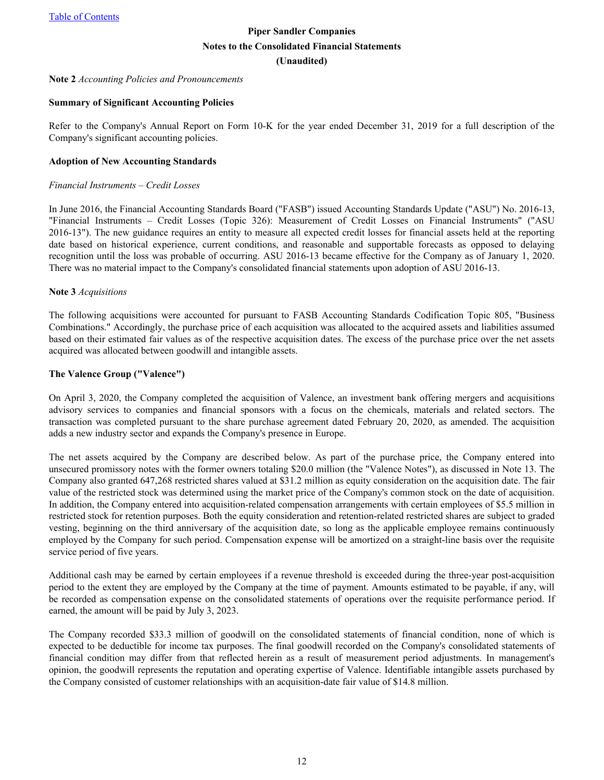<span id="page-11-0"></span>**Note 2** *Accounting Policies and Pronouncements*

#### **Summary of Significant Accounting Policies**

Refer to the Company's Annual Report on Form 10-K for the year ended December 31, 2019 for a full description of the Company's significant accounting policies.

#### **Adoption of New Accounting Standards**

#### *Financial Instruments* – *Credit Losses*

In June 2016, the Financial Accounting Standards Board ("FASB") issued Accounting Standards Update ("ASU") No. 2016-13, "Financial Instruments – Credit Losses (Topic 326): Measurement of Credit Losses on Financial Instruments" ("ASU 2016-13"). The new guidance requires an entity to measure all expected credit losses for financial assets held at the reporting date based on historical experience, current conditions, and reasonable and supportable forecasts as opposed to delaying recognition until the loss was probable of occurring. ASU 2016-13 became effective for the Company as of January 1, 2020. There was no material impact to the Company's consolidated financial statements upon adoption of ASU 2016-13.

#### **Note 3** *Acquisitions*

The following acquisitions were accounted for pursuant to FASB Accounting Standards Codification Topic 805, "Business Combinations." Accordingly, the purchase price of each acquisition was allocated to the acquired assets and liabilities assumed based on their estimated fair values as of the respective acquisition dates. The excess of the purchase price over the net assets acquired was allocated between goodwill and intangible assets.

#### **The Valence Group ("Valence")**

On April 3, 2020, the Company completed the acquisition of Valence, an investment bank offering mergers and acquisitions advisory services to companies and financial sponsors with a focus on the chemicals, materials and related sectors. The transaction was completed pursuant to the share purchase agreement dated February 20, 2020, as amended. The acquisition adds a new industry sector and expands the Company's presence in Europe.

The net assets acquired by the Company are described below. As part of the purchase price, the Company entered into unsecured promissory notes with the former owners totaling \$20.0 million (the "Valence Notes"), as discussed in Note 13. The Company also granted 647,268 restricted shares valued at \$31.2 million as equity consideration on the acquisition date. The fair value of the restricted stock was determined using the market price of the Company's common stock on the date of acquisition. In addition, the Company entered into acquisition-related compensation arrangements with certain employees of \$5.5 million in restricted stock for retention purposes. Both the equity consideration and retention-related restricted shares are subject to graded vesting, beginning on the third anniversary of the acquisition date, so long as the applicable employee remains continuously employed by the Company for such period. Compensation expense will be amortized on a straight-line basis over the requisite service period of five years.

Additional cash may be earned by certain employees if a revenue threshold is exceeded during the three-year post-acquisition period to the extent they are employed by the Company at the time of payment. Amounts estimated to be payable, if any, will be recorded as compensation expense on the consolidated statements of operations over the requisite performance period. If earned, the amount will be paid by July 3, 2023.

The Company recorded \$33.3 million of goodwill on the consolidated statements of financial condition, none of which is expected to be deductible for income tax purposes. The final goodwill recorded on the Company's consolidated statements of financial condition may differ from that reflected herein as a result of measurement period adjustments. In management's opinion, the goodwill represents the reputation and operating expertise of Valence. Identifiable intangible assets purchased by the Company consisted of customer relationships with an acquisition-date fair value of \$14.8 million.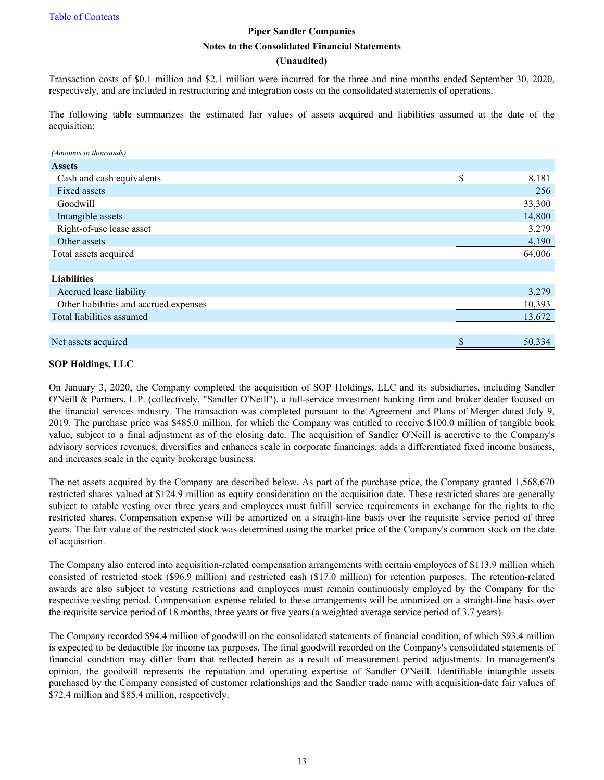### **(Unaudited)**

Transaction costs of \$0.1 million and \$2.1 million were incurred for the three and nine months ended September 30, 2020, respectively, and are included in restructuring and integration costs on the consolidated statements of operations.

The following table summarizes the estimated fair values of assets acquired and liabilities assumed at the date of the acquisition:

| (Amounts in thousands)                 |              |
|----------------------------------------|--------------|
| <b>Assets</b>                          |              |
| Cash and cash equivalents              | \$<br>8,181  |
| Fixed assets                           | 256          |
| Goodwill                               | 33,300       |
| Intangible assets                      | 14,800       |
| Right-of-use lease asset               | 3,279        |
| Other assets                           | 4,190        |
| Total assets acquired                  | 64,006       |
|                                        |              |
| <b>Liabilities</b>                     |              |
| Accrued lease liability                | 3,279        |
| Other liabilities and accrued expenses | 10,393       |
| Total liabilities assumed              | 13,672       |
|                                        |              |
| Net assets acquired                    | \$<br>50,334 |

### **SOP Holdings, LLC**

On January 3, 2020, the Company completed the acquisition of SOP Holdings, LLC and its subsidiaries, including Sandler O'Neill & Partners, L.P. (collectively, "Sandler O'Neill"), a full-service investment banking firm and broker dealer focused on the financial services industry. The transaction was completed pursuant to the Agreement and Plans of Merger dated July 9, 2019. The purchase price was \$485.0 million, for which the Company was entitled to receive \$100.0 million of tangible book value, subject to a final adjustment as of the closing date. The acquisition of Sandler O'Neill is accretive to the Company's advisory services revenues, diversifies and enhances scale in corporate financings, adds a differentiated fixed income business, and increases scale in the equity brokerage business.

The net assets acquired by the Company are described below. As part of the purchase price, the Company granted 1,568,670 restricted shares valued at \$124.9 million as equity consideration on the acquisition date. These restricted shares are generally subject to ratable vesting over three years and employees must fulfill service requirements in exchange for the rights to the restricted shares. Compensation expense will be amortized on a straight-line basis over the requisite service period of three years. The fair value of the restricted stock was determined using the market price of the Company's common stock on the date of acquisition.

The Company also entered into acquisition-related compensation arrangements with certain employees of \$113.9 million which consisted of restricted stock (\$96.9 million) and restricted cash (\$17.0 million) for retention purposes. The retention-related awards are also subject to vesting restrictions and employees must remain continuously employed by the Company for the respective vesting period. Compensation expense related to these arrangements will be amortized on a straight-line basis over the requisite service period of 18 months, three years or five years (a weighted average service period of 3.7 years).

The Company recorded \$94.4 million of goodwill on the consolidated statements of financial condition, of which \$93.4 million is expected to be deductible for income tax purposes. The final goodwill recorded on the Company's consolidated statements of financial condition may differ from that reflected herein as a result of measurement period adjustments. In management's opinion, the goodwill represents the reputation and operating expertise of Sandler O'Neill. Identifiable intangible assets purchased by the Company consisted of customer relationships and the Sandler trade name with acquisition-date fair values of \$72.4 million and \$85.4 million, respectively.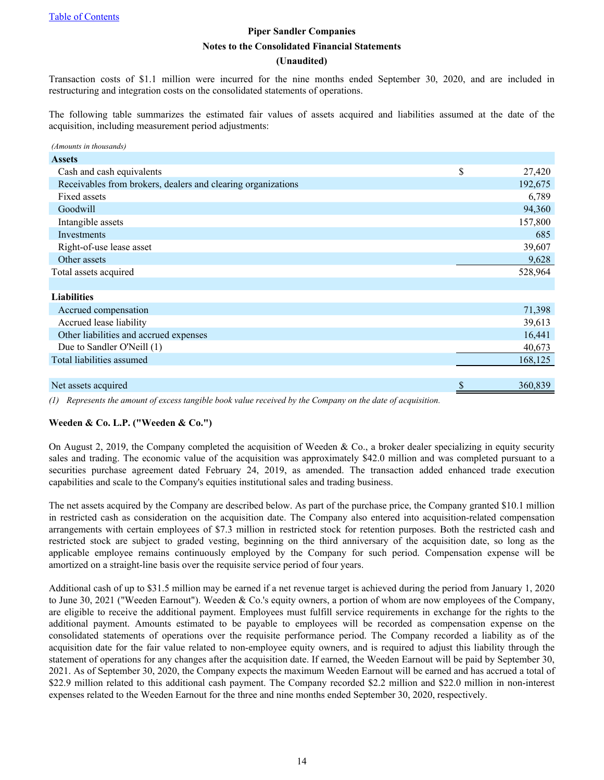### **(Unaudited)**

Transaction costs of \$1.1 million were incurred for the nine months ended September 30, 2020, and are included in restructuring and integration costs on the consolidated statements of operations.

The following table summarizes the estimated fair values of assets acquired and liabilities assumed at the date of the acquisition, including measurement period adjustments:

| (Amounts in thousands)                                       |              |
|--------------------------------------------------------------|--------------|
| <b>Assets</b>                                                |              |
| Cash and cash equivalents                                    | \$<br>27,420 |
| Receivables from brokers, dealers and clearing organizations | 192,675      |
| Fixed assets                                                 | 6,789        |
| Goodwill                                                     | 94,360       |
| Intangible assets                                            | 157,800      |
| Investments                                                  | 685          |
| Right-of-use lease asset                                     | 39,607       |
| Other assets                                                 | 9,628        |
| Total assets acquired                                        | 528,964      |
|                                                              |              |
| <b>Liabilities</b>                                           |              |
| Accrued compensation                                         | 71,398       |
| Accrued lease liability                                      | 39,613       |
| Other liabilities and accrued expenses                       | 16,441       |
| Due to Sandler O'Neill (1)                                   | 40,673       |
| Total liabilities assumed                                    | 168,125      |
|                                                              |              |
| Net assets acquired                                          | 360,839      |

*(1) Represents the amount of excess tangible book value received by the Company on the date of acquisition.*

### **Weeden & Co. L.P. ("Weeden & Co.")**

On August 2, 2019, the Company completed the acquisition of Weeden & Co., a broker dealer specializing in equity security sales and trading. The economic value of the acquisition was approximately \$42.0 million and was completed pursuant to a securities purchase agreement dated February 24, 2019, as amended. The transaction added enhanced trade execution capabilities and scale to the Company's equities institutional sales and trading business.

The net assets acquired by the Company are described below. As part of the purchase price, the Company granted \$10.1 million in restricted cash as consideration on the acquisition date. The Company also entered into acquisition-related compensation arrangements with certain employees of \$7.3 million in restricted stock for retention purposes. Both the restricted cash and restricted stock are subject to graded vesting, beginning on the third anniversary of the acquisition date, so long as the applicable employee remains continuously employed by the Company for such period. Compensation expense will be amortized on a straight-line basis over the requisite service period of four years.

Additional cash of up to \$31.5 million may be earned if a net revenue target is achieved during the period from January 1, 2020 to June 30, 2021 ("Weeden Earnout"). Weeden & Co.'s equity owners, a portion of whom are now employees of the Company, are eligible to receive the additional payment. Employees must fulfill service requirements in exchange for the rights to the additional payment. Amounts estimated to be payable to employees will be recorded as compensation expense on the consolidated statements of operations over the requisite performance period. The Company recorded a liability as of the acquisition date for the fair value related to non-employee equity owners, and is required to adjust this liability through the statement of operations for any changes after the acquisition date. If earned, the Weeden Earnout will be paid by September 30, 2021. As of September 30, 2020, the Company expects the maximum Weeden Earnout will be earned and has accrued a total of \$22.9 million related to this additional cash payment. The Company recorded \$2.2 million and \$22.0 million in non-interest expenses related to the Weeden Earnout for the three and nine months ended September 30, 2020, respectively.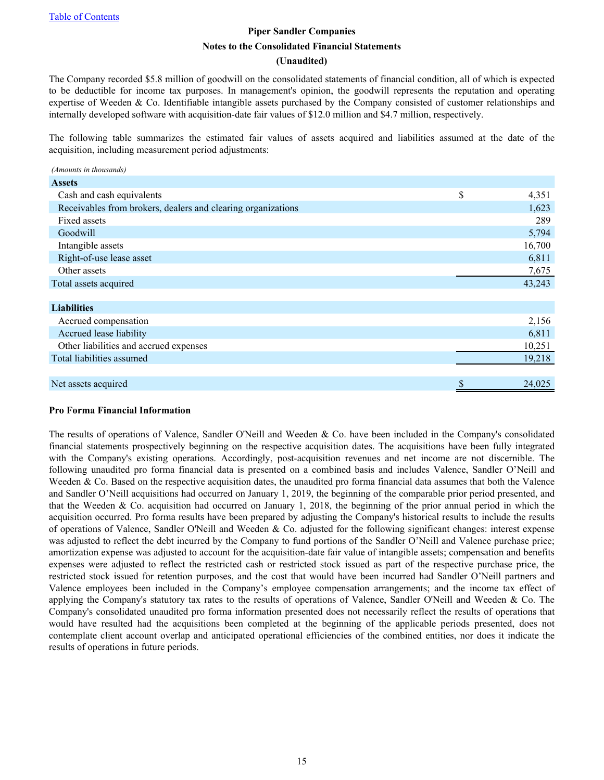*(Amounts in thousands)*

### **Piper Sandler Companies Notes to the Consolidated Financial Statements**

### **(Unaudited)**

The Company recorded \$5.8 million of goodwill on the consolidated statements of financial condition, all of which is expected to be deductible for income tax purposes. In management's opinion, the goodwill represents the reputation and operating expertise of Weeden & Co. Identifiable intangible assets purchased by the Company consisted of customer relationships and internally developed software with acquisition-date fair values of \$12.0 million and \$4.7 million, respectively.

The following table summarizes the estimated fair values of assets acquired and liabilities assumed at the date of the acquisition, including measurement period adjustments:

| \$<br>4,351 |
|-------------|
| 1,623       |
| 289         |
| 5,794       |
| 16,700      |
| 6,811       |
| 7,675       |
| 43,243      |
|             |
|             |
| 2,156       |
| 6,811       |
| 10,251      |
| 19,218      |
|             |
| 24,025      |
|             |

### **Pro Forma Financial Information**

The results of operations of Valence, Sandler O'Neill and Weeden & Co. have been included in the Company's consolidated financial statements prospectively beginning on the respective acquisition dates. The acquisitions have been fully integrated with the Company's existing operations. Accordingly, post-acquisition revenues and net income are not discernible. The following unaudited pro forma financial data is presented on a combined basis and includes Valence, Sandler O'Neill and Weeden & Co. Based on the respective acquisition dates, the unaudited pro forma financial data assumes that both the Valence and Sandler O'Neill acquisitions had occurred on January 1, 2019, the beginning of the comparable prior period presented, and that the Weeden & Co. acquisition had occurred on January 1, 2018, the beginning of the prior annual period in which the acquisition occurred. Pro forma results have been prepared by adjusting the Company's historical results to include the results of operations of Valence, Sandler O'Neill and Weeden & Co. adjusted for the following significant changes: interest expense was adjusted to reflect the debt incurred by the Company to fund portions of the Sandler O'Neill and Valence purchase price; amortization expense was adjusted to account for the acquisition-date fair value of intangible assets; compensation and benefits expenses were adjusted to reflect the restricted cash or restricted stock issued as part of the respective purchase price, the restricted stock issued for retention purposes, and the cost that would have been incurred had Sandler O'Neill partners and Valence employees been included in the Company's employee compensation arrangements; and the income tax effect of applying the Company's statutory tax rates to the results of operations of Valence, Sandler O'Neill and Weeden & Co. The Company's consolidated unaudited pro forma information presented does not necessarily reflect the results of operations that would have resulted had the acquisitions been completed at the beginning of the applicable periods presented, does not contemplate client account overlap and anticipated operational efficiencies of the combined entities, nor does it indicate the results of operations in future periods.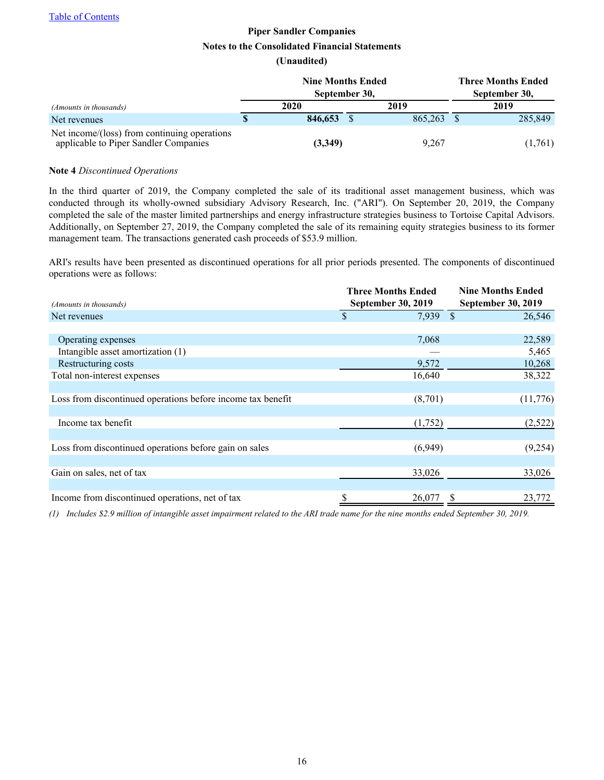<span id="page-15-0"></span>

|                                                                                       | <b>Nine Months Ended</b><br>September 30, | <b>Three Months Ended</b><br>September 30, |         |
|---------------------------------------------------------------------------------------|-------------------------------------------|--------------------------------------------|---------|
| (Amounts in thousands)                                                                | 2020                                      | 2019                                       | 2019    |
| Net revenues                                                                          | 846,653                                   | $865,263$ \$                               | 285,849 |
| Net income/(loss) from continuing operations<br>applicable to Piper Sandler Companies | (3,349)                                   | 9,267                                      | (1,761) |

### **Note 4** *Discontinued Operations*

In the third quarter of 2019, the Company completed the sale of its traditional asset management business, which was conducted through its wholly-owned subsidiary Advisory Research, Inc. ("ARI"). On September 20, 2019, the Company completed the sale of the master limited partnerships and energy infrastructure strategies business to Tortoise Capital Advisors. Additionally, on September 27, 2019, the Company completed the sale of its remaining equity strategies business to its former management team. The transactions generated cash proceeds of \$53.9 million.

ARI's results have been presented as discontinued operations for all prior periods presented. The components of discontinued operations were as follows:

|                                                             | <b>Three Months Ended</b> | <b>Nine Months Ended</b>  |
|-------------------------------------------------------------|---------------------------|---------------------------|
| (Amounts in thousands)                                      | <b>September 30, 2019</b> | <b>September 30, 2019</b> |
| Net revenues                                                | \$<br>7,939               | $\mathcal{S}$<br>26,546   |
|                                                             |                           |                           |
| Operating expenses                                          | 7,068                     | 22,589                    |
| Intangible asset amortization (1)                           |                           | 5,465                     |
| Restructuring costs                                         | 9,572                     | 10,268                    |
| Total non-interest expenses                                 | 16,640                    | 38,322                    |
|                                                             |                           |                           |
| Loss from discontinued operations before income tax benefit | (8,701)                   | (11, 776)                 |
|                                                             |                           |                           |
| Income tax benefit                                          | (1,752)                   | (2,522)                   |
|                                                             |                           |                           |
| Loss from discontinued operations before gain on sales      | (6,949)                   | (9,254)                   |
|                                                             |                           |                           |
| Gain on sales, net of tax                                   | 33,026                    | 33,026                    |
|                                                             |                           |                           |
| Income from discontinued operations, net of tax             | S<br>26,077               | S<br>23,772               |

*(1) Includes \$2.9 million of intangible asset impairment related to the ARI trade name for the nine months ended September 30, 2019.*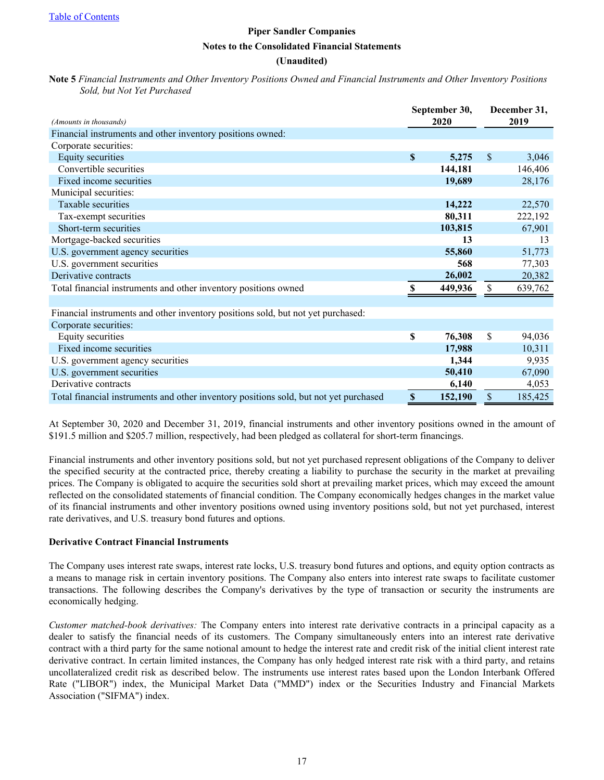### **(Unaudited)**

<span id="page-16-0"></span>**Note 5** *Financial Instruments and Other Inventory Positions Owned and Financial Instruments and Other Inventory Positions Sold, but Not Yet Purchased*

| (Amounts in thousands)                                                                |              | September 30,<br>2020 | December 31,<br>2019 |
|---------------------------------------------------------------------------------------|--------------|-----------------------|----------------------|
| Financial instruments and other inventory positions owned:                            |              |                       |                      |
| Corporate securities:                                                                 |              |                       |                      |
| Equity securities                                                                     | $\mathbf{s}$ | 5,275                 | \$<br>3,046          |
| Convertible securities                                                                |              | 144,181               | 146,406              |
| Fixed income securities                                                               |              | 19,689                | 28,176               |
| Municipal securities:                                                                 |              |                       |                      |
| Taxable securities                                                                    |              | 14,222                | 22,570               |
| Tax-exempt securities                                                                 |              | 80,311                | 222,192              |
| Short-term securities                                                                 |              | 103,815               | 67,901               |
| Mortgage-backed securities                                                            |              | 13                    | 13                   |
| U.S. government agency securities                                                     |              | 55,860                | 51,773               |
| U.S. government securities                                                            |              | 568                   | 77,303               |
| Derivative contracts                                                                  |              | 26,002                | 20,382               |
| Total financial instruments and other inventory positions owned                       | \$           | 449,936               | \$<br>639,762        |
|                                                                                       |              |                       |                      |
| Financial instruments and other inventory positions sold, but not yet purchased:      |              |                       |                      |
| Corporate securities:                                                                 |              |                       |                      |
| Equity securities                                                                     | \$           | 76,308                | \$<br>94,036         |
| Fixed income securities                                                               |              | 17,988                | 10,311               |
| U.S. government agency securities                                                     |              | 1,344                 | 9,935                |
| U.S. government securities                                                            |              | 50,410                | 67,090               |
| Derivative contracts                                                                  |              | 6,140                 | 4,053                |
| Total financial instruments and other inventory positions sold, but not yet purchased | \$           | 152,190               | \$<br>185,425        |

At September 30, 2020 and December 31, 2019, financial instruments and other inventory positions owned in the amount of \$191.5 million and \$205.7 million, respectively, had been pledged as collateral for short-term financings.

Financial instruments and other inventory positions sold, but not yet purchased represent obligations of the Company to deliver the specified security at the contracted price, thereby creating a liability to purchase the security in the market at prevailing prices. The Company is obligated to acquire the securities sold short at prevailing market prices, which may exceed the amount reflected on the consolidated statements of financial condition. The Company economically hedges changes in the market value of its financial instruments and other inventory positions owned using inventory positions sold, but not yet purchased, interest rate derivatives, and U.S. treasury bond futures and options.

### **Derivative Contract Financial Instruments**

The Company uses interest rate swaps, interest rate locks, U.S. treasury bond futures and options, and equity option contracts as a means to manage risk in certain inventory positions. The Company also enters into interest rate swaps to facilitate customer transactions. The following describes the Company's derivatives by the type of transaction or security the instruments are economically hedging.

*Customer matched-book derivatives:* The Company enters into interest rate derivative contracts in a principal capacity as a dealer to satisfy the financial needs of its customers. The Company simultaneously enters into an interest rate derivative contract with a third party for the same notional amount to hedge the interest rate and credit risk of the initial client interest rate derivative contract. In certain limited instances, the Company has only hedged interest rate risk with a third party, and retains uncollateralized credit risk as described below. The instruments use interest rates based upon the London Interbank Offered Rate ("LIBOR") index, the Municipal Market Data ("MMD") index or the Securities Industry and Financial Markets Association ("SIFMA") index.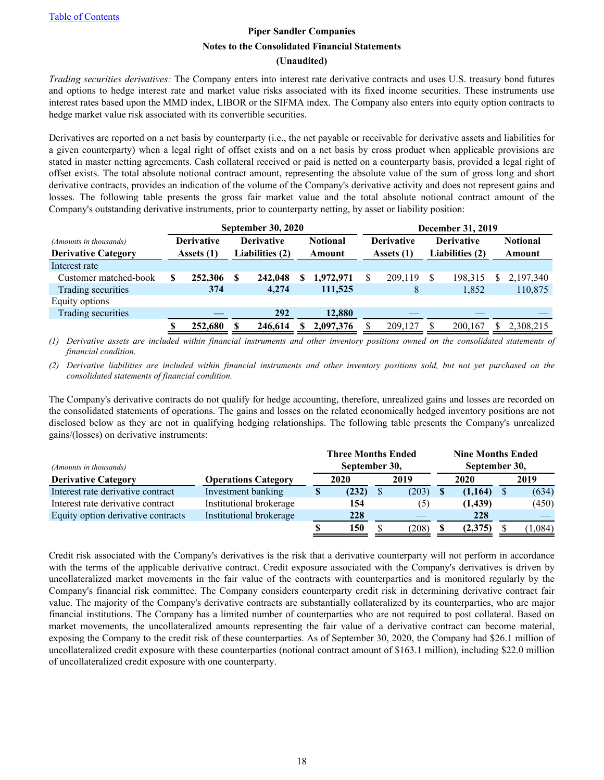#### **(Unaudited)**

*Trading securities derivatives:* The Company enters into interest rate derivative contracts and uses U.S. treasury bond futures and options to hedge interest rate and market value risks associated with its fixed income securities. These instruments use interest rates based upon the MMD index, LIBOR or the SIFMA index. The Company also enters into equity option contracts to hedge market value risk associated with its convertible securities.

Derivatives are reported on a net basis by counterparty (i.e., the net payable or receivable for derivative assets and liabilities for a given counterparty) when a legal right of offset exists and on a net basis by cross product when applicable provisions are stated in master netting agreements. Cash collateral received or paid is netted on a counterparty basis, provided a legal right of offset exists. The total absolute notional contract amount, representing the absolute value of the sum of gross long and short derivative contracts, provides an indication of the volume of the Company's derivative activity and does not represent gains and losses. The following table presents the gross fair market value and the total absolute notional contract amount of the Company's outstanding derivative instruments, prior to counterparty netting, by asset or liability position:

|                            |   |                   | <b>September 30, 2020</b> |        | December 31, 2019 |  |                   |                   |         |  |                 |
|----------------------------|---|-------------------|---------------------------|--------|-------------------|--|-------------------|-------------------|---------|--|-----------------|
| (Amounts in thousands)     |   | <b>Derivative</b> | <b>Derivative</b>         |        | <b>Notional</b>   |  | <b>Derivative</b> | <b>Derivative</b> |         |  | <b>Notional</b> |
| <b>Derivative Category</b> |   | Assets (1)        | Liabilities (2)           | Amount |                   |  | Assets (1)        | Liabilities (2)   |         |  | Amount          |
| Interest rate              |   |                   |                           |        |                   |  |                   |                   |         |  |                 |
| Customer matched-book      | S | 252,306           | 242,048                   |        | 1,972,971         |  | 209.119           |                   | 198,315 |  | 2,197,340       |
| Trading securities         |   | 374               | 4.274                     |        | 111,525           |  | 8                 |                   | 1,852   |  | 110,875         |
| Equity options             |   |                   |                           |        |                   |  |                   |                   |         |  |                 |
| Trading securities         |   |                   | 292                       |        | 12,880            |  |                   |                   |         |  |                 |
|                            |   | 252,680           | 246,614                   |        | 2,097,376         |  | 209,127           |                   | 200,167 |  | 2,308,215       |

*(1) Derivative assets are included within financial instruments and other inventory positions owned on the consolidated statements of financial condition.*

*(2) Derivative liabilities are included within financial instruments and other inventory positions sold, but not yet purchased on the consolidated statements of financial condition.*

The Company's derivative contracts do not qualify for hedge accounting, therefore, unrealized gains and losses are recorded on the consolidated statements of operations. The gains and losses on the related economically hedged inventory positions are not disclosed below as they are not in qualifying hedging relationships. The following table presents the Company's unrealized gains/(losses) on derivative instruments:

| (Amounts in thousands)             | <b>Three Months Ended</b><br>September 30, |       | <b>Nine Months Ended</b><br>September 30, |          |  |       |  |  |  |
|------------------------------------|--------------------------------------------|-------|-------------------------------------------|----------|--|-------|--|--|--|
| <b>Derivative Category</b>         | <b>Operations Category</b>                 | 2020  | 2019                                      | 2020     |  | 2019  |  |  |  |
| Interest rate derivative contract  | Investment banking                         | (232) | (203)                                     | (1,164)  |  | (634) |  |  |  |
| Interest rate derivative contract  | Institutional brokerage                    | 154   | (5)                                       | (1, 439) |  | (450) |  |  |  |
| Equity option derivative contracts | Institutional brokerage                    | 228   |                                           | 228      |  |       |  |  |  |
|                                    |                                            | 150   | (208)                                     | (2,375)  |  | 0.084 |  |  |  |

Credit risk associated with the Company's derivatives is the risk that a derivative counterparty will not perform in accordance with the terms of the applicable derivative contract. Credit exposure associated with the Company's derivatives is driven by uncollateralized market movements in the fair value of the contracts with counterparties and is monitored regularly by the Company's financial risk committee. The Company considers counterparty credit risk in determining derivative contract fair value. The majority of the Company's derivative contracts are substantially collateralized by its counterparties, who are major financial institutions. The Company has a limited number of counterparties who are not required to post collateral. Based on market movements, the uncollateralized amounts representing the fair value of a derivative contract can become material, exposing the Company to the credit risk of these counterparties. As of September 30, 2020, the Company had \$26.1 million of uncollateralized credit exposure with these counterparties (notional contract amount of \$163.1 million), including \$22.0 million of uncollateralized credit exposure with one counterparty.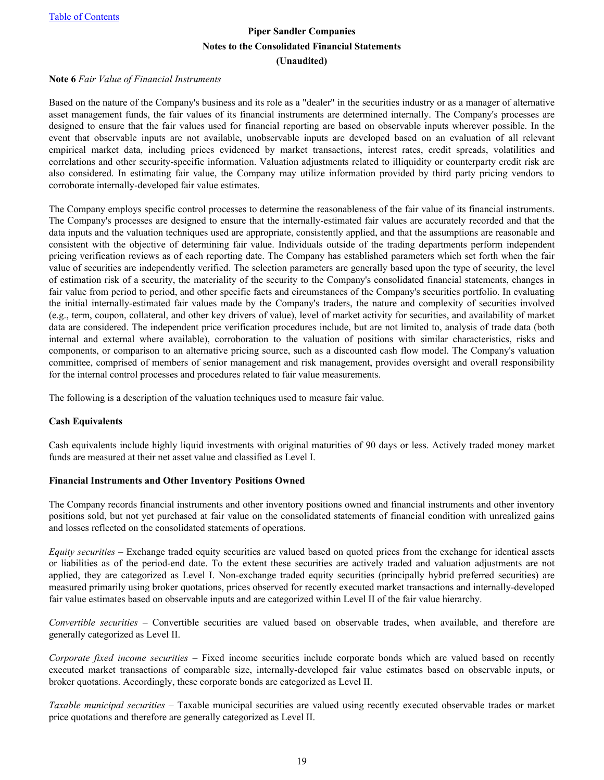### <span id="page-18-0"></span>**Note 6** *Fair Value of Financial Instruments*

Based on the nature of the Company's business and its role as a "dealer" in the securities industry or as a manager of alternative asset management funds, the fair values of its financial instruments are determined internally. The Company's processes are designed to ensure that the fair values used for financial reporting are based on observable inputs wherever possible. In the event that observable inputs are not available, unobservable inputs are developed based on an evaluation of all relevant empirical market data, including prices evidenced by market transactions, interest rates, credit spreads, volatilities and correlations and other security-specific information. Valuation adjustments related to illiquidity or counterparty credit risk are also considered. In estimating fair value, the Company may utilize information provided by third party pricing vendors to corroborate internally-developed fair value estimates.

The Company employs specific control processes to determine the reasonableness of the fair value of its financial instruments. The Company's processes are designed to ensure that the internally-estimated fair values are accurately recorded and that the data inputs and the valuation techniques used are appropriate, consistently applied, and that the assumptions are reasonable and consistent with the objective of determining fair value. Individuals outside of the trading departments perform independent pricing verification reviews as of each reporting date. The Company has established parameters which set forth when the fair value of securities are independently verified. The selection parameters are generally based upon the type of security, the level of estimation risk of a security, the materiality of the security to the Company's consolidated financial statements, changes in fair value from period to period, and other specific facts and circumstances of the Company's securities portfolio. In evaluating the initial internally-estimated fair values made by the Company's traders, the nature and complexity of securities involved (e.g., term, coupon, collateral, and other key drivers of value), level of market activity for securities, and availability of market data are considered. The independent price verification procedures include, but are not limited to, analysis of trade data (both internal and external where available), corroboration to the valuation of positions with similar characteristics, risks and components, or comparison to an alternative pricing source, such as a discounted cash flow model. The Company's valuation committee, comprised of members of senior management and risk management, provides oversight and overall responsibility for the internal control processes and procedures related to fair value measurements.

The following is a description of the valuation techniques used to measure fair value.

#### **Cash Equivalents**

Cash equivalents include highly liquid investments with original maturities of 90 days or less. Actively traded money market funds are measured at their net asset value and classified as Level I.

#### **Financial Instruments and Other Inventory Positions Owned**

The Company records financial instruments and other inventory positions owned and financial instruments and other inventory positions sold, but not yet purchased at fair value on the consolidated statements of financial condition with unrealized gains and losses reflected on the consolidated statements of operations.

*Equity securities –* Exchange traded equity securities are valued based on quoted prices from the exchange for identical assets or liabilities as of the period-end date. To the extent these securities are actively traded and valuation adjustments are not applied, they are categorized as Level I. Non-exchange traded equity securities (principally hybrid preferred securities) are measured primarily using broker quotations, prices observed for recently executed market transactions and internally-developed fair value estimates based on observable inputs and are categorized within Level II of the fair value hierarchy.

*Convertible securities –* Convertible securities are valued based on observable trades, when available, and therefore are generally categorized as Level II.

*Corporate fixed income securities –* Fixed income securities include corporate bonds which are valued based on recently executed market transactions of comparable size, internally-developed fair value estimates based on observable inputs, or broker quotations. Accordingly, these corporate bonds are categorized as Level II.

*Taxable municipal securities –* Taxable municipal securities are valued using recently executed observable trades or market price quotations and therefore are generally categorized as Level II.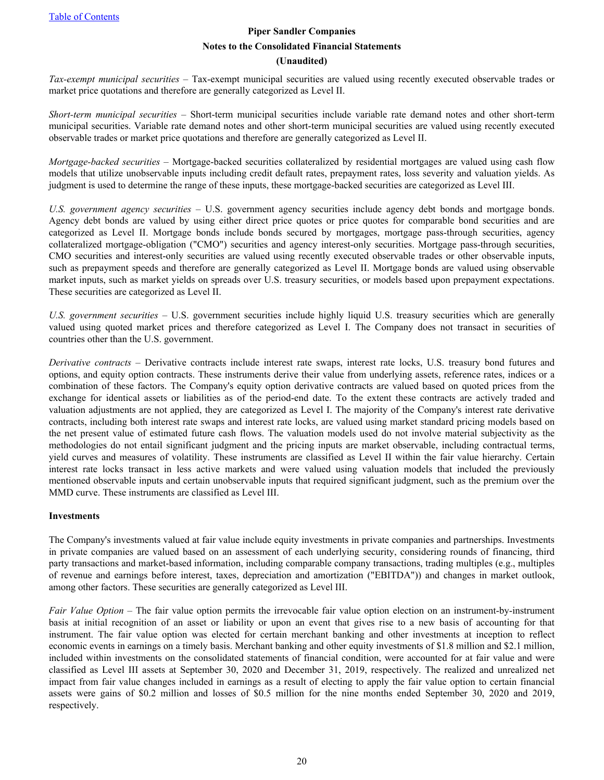*Tax-exempt municipal securities –* Tax-exempt municipal securities are valued using recently executed observable trades or market price quotations and therefore are generally categorized as Level II.

*Short-term municipal securities –* Short-term municipal securities include variable rate demand notes and other short-term municipal securities. Variable rate demand notes and other short-term municipal securities are valued using recently executed observable trades or market price quotations and therefore are generally categorized as Level II.

*Mortgage-backed securities –* Mortgage-backed securities collateralized by residential mortgages are valued using cash flow models that utilize unobservable inputs including credit default rates, prepayment rates, loss severity and valuation yields. As judgment is used to determine the range of these inputs, these mortgage-backed securities are categorized as Level III.

*U.S. government agency securities –* U.S. government agency securities include agency debt bonds and mortgage bonds. Agency debt bonds are valued by using either direct price quotes or price quotes for comparable bond securities and are categorized as Level II. Mortgage bonds include bonds secured by mortgages, mortgage pass-through securities, agency collateralized mortgage-obligation ("CMO") securities and agency interest-only securities. Mortgage pass-through securities, CMO securities and interest-only securities are valued using recently executed observable trades or other observable inputs, such as prepayment speeds and therefore are generally categorized as Level II. Mortgage bonds are valued using observable market inputs, such as market yields on spreads over U.S. treasury securities, or models based upon prepayment expectations. These securities are categorized as Level II.

*U.S. government securities –* U.S. government securities include highly liquid U.S. treasury securities which are generally valued using quoted market prices and therefore categorized as Level I. The Company does not transact in securities of countries other than the U.S. government.

*Derivative contracts –* Derivative contracts include interest rate swaps, interest rate locks, U.S. treasury bond futures and options, and equity option contracts. These instruments derive their value from underlying assets, reference rates, indices or a combination of these factors. The Company's equity option derivative contracts are valued based on quoted prices from the exchange for identical assets or liabilities as of the period-end date. To the extent these contracts are actively traded and valuation adjustments are not applied, they are categorized as Level I. The majority of the Company's interest rate derivative contracts, including both interest rate swaps and interest rate locks, are valued using market standard pricing models based on the net present value of estimated future cash flows. The valuation models used do not involve material subjectivity as the methodologies do not entail significant judgment and the pricing inputs are market observable, including contractual terms, yield curves and measures of volatility. These instruments are classified as Level II within the fair value hierarchy. Certain interest rate locks transact in less active markets and were valued using valuation models that included the previously mentioned observable inputs and certain unobservable inputs that required significant judgment, such as the premium over the MMD curve. These instruments are classified as Level III.

### **Investments**

The Company's investments valued at fair value include equity investments in private companies and partnerships. Investments in private companies are valued based on an assessment of each underlying security, considering rounds of financing, third party transactions and market-based information, including comparable company transactions, trading multiples (e.g., multiples of revenue and earnings before interest, taxes, depreciation and amortization ("EBITDA")) and changes in market outlook, among other factors. These securities are generally categorized as Level III.

*Fair Value Option –* The fair value option permits the irrevocable fair value option election on an instrument-by-instrument basis at initial recognition of an asset or liability or upon an event that gives rise to a new basis of accounting for that instrument. The fair value option was elected for certain merchant banking and other investments at inception to reflect economic events in earnings on a timely basis. Merchant banking and other equity investments of \$1.8 million and \$2.1 million, included within investments on the consolidated statements of financial condition, were accounted for at fair value and were classified as Level III assets at September 30, 2020 and December 31, 2019, respectively. The realized and unrealized net impact from fair value changes included in earnings as a result of electing to apply the fair value option to certain financial assets were gains of \$0.2 million and losses of \$0.5 million for the nine months ended September 30, 2020 and 2019, respectively.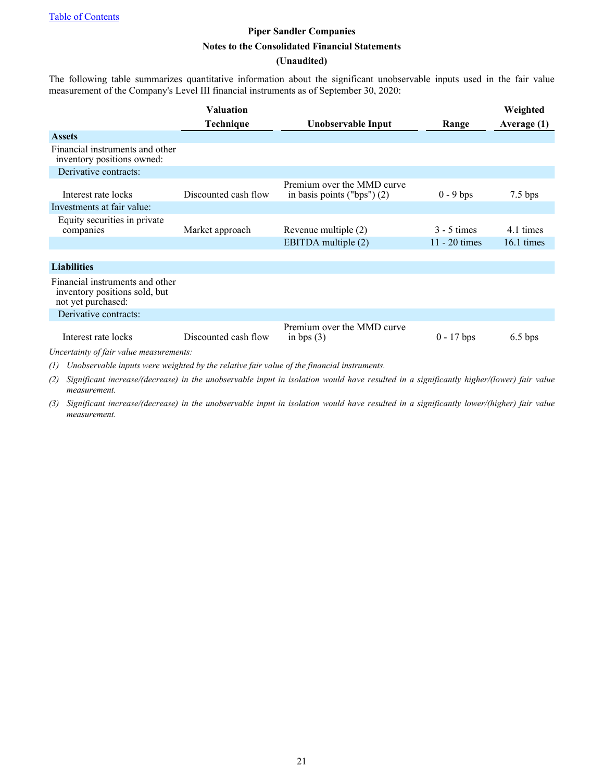#### **(Unaudited)**

The following table summarizes quantitative information about the significant unobservable inputs used in the fair value measurement of the Company's Level III financial instruments as of September 30, 2020:

|                                                                                        | <b>Valuation</b>     |                                                             |                 | Weighted             |
|----------------------------------------------------------------------------------------|----------------------|-------------------------------------------------------------|-----------------|----------------------|
|                                                                                        | <b>Technique</b>     | Unobservable Input                                          | Range           | Average (1)          |
| <b>Assets</b>                                                                          |                      |                                                             |                 |                      |
| Financial instruments and other<br>inventory positions owned:                          |                      |                                                             |                 |                      |
| Derivative contracts:                                                                  |                      |                                                             |                 |                      |
| Interest rate locks                                                                    | Discounted cash flow | Premium over the MMD curve<br>in basis points ("bps") $(2)$ | $0 - 9$ bps     | $7.5$ bps            |
| Investments at fair value:                                                             |                      |                                                             |                 |                      |
| Equity securities in private<br>companies                                              | Market approach      | Revenue multiple (2)                                        | $3 - 5$ times   | 4.1 times            |
|                                                                                        |                      | EBITDA multiple (2)                                         | $11 - 20$ times | $16.1 \text{ times}$ |
|                                                                                        |                      |                                                             |                 |                      |
| <b>Liabilities</b>                                                                     |                      |                                                             |                 |                      |
| Financial instruments and other<br>inventory positions sold, but<br>not yet purchased: |                      |                                                             |                 |                      |
| Derivative contracts:                                                                  |                      |                                                             |                 |                      |
| Interest rate locks                                                                    | Discounted cash flow | Premium over the MMD curve<br>in bps $(3)$                  | $0 - 17$ bps    | $6.5$ bps            |
| Uncertainty of fair value measurements:                                                |                      |                                                             |                 |                      |

*(1) Unobservable inputs were weighted by the relative fair value of the financial instruments.*

*(2) Significant increase/(decrease) in the unobservable input in isolation would have resulted in a significantly higher/(lower) fair value measurement.*

*(3) Significant increase/(decrease) in the unobservable input in isolation would have resulted in a significantly lower/(higher) fair value measurement.*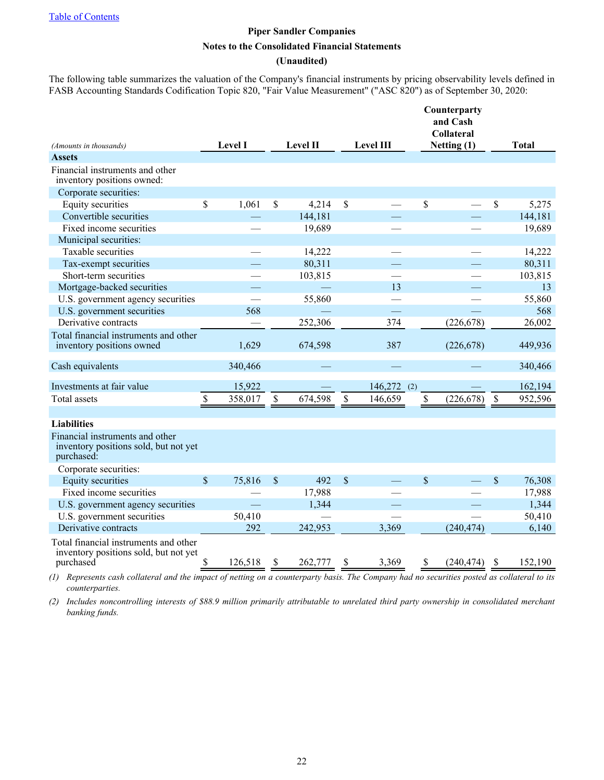**(Unaudited)**

The following table summarizes the valuation of the Company's financial instruments by pricing observability levels defined in FASB Accounting Standards Codification Topic 820, "Fair Value Measurement" ("ASC 820") as of September 30, 2020:

|                                                                                             |                           |                |                 |         |                           |                  |     |               | Counterparty<br>and Cash<br><b>Collateral</b> |               |              |
|---------------------------------------------------------------------------------------------|---------------------------|----------------|-----------------|---------|---------------------------|------------------|-----|---------------|-----------------------------------------------|---------------|--------------|
| (Amounts in thousands)                                                                      |                           | <b>Level I</b> | <b>Level II</b> |         |                           | <b>Level III</b> |     |               | Netting $(1)$                                 |               | <b>Total</b> |
| <b>Assets</b>                                                                               |                           |                |                 |         |                           |                  |     |               |                                               |               |              |
| Financial instruments and other<br>inventory positions owned:                               |                           |                |                 |         |                           |                  |     |               |                                               |               |              |
| Corporate securities:                                                                       |                           |                |                 |         |                           |                  |     |               |                                               |               |              |
| Equity securities                                                                           | $\mathsf{\$}$             | 1,061          | \$              | 4,214   | \$                        |                  |     | \$            |                                               | \$            | 5,275        |
| Convertible securities                                                                      |                           |                |                 | 144,181 |                           |                  |     |               |                                               |               | 144,181      |
| Fixed income securities                                                                     |                           |                |                 | 19,689  |                           |                  |     |               |                                               |               | 19,689       |
| Municipal securities:                                                                       |                           |                |                 |         |                           |                  |     |               |                                               |               |              |
| Taxable securities                                                                          |                           |                |                 | 14,222  |                           |                  |     |               |                                               |               | 14,222       |
| Tax-exempt securities                                                                       |                           |                |                 | 80,311  |                           |                  |     |               |                                               |               | 80,311       |
| Short-term securities                                                                       |                           |                |                 | 103,815 |                           |                  |     |               |                                               |               | 103,815      |
| Mortgage-backed securities                                                                  |                           |                |                 |         |                           | 13               |     |               |                                               |               | 13           |
| U.S. government agency securities                                                           |                           |                |                 | 55,860  |                           |                  |     |               |                                               |               | 55,860       |
| U.S. government securities                                                                  |                           | 568            |                 |         |                           |                  |     |               |                                               |               | 568          |
| Derivative contracts                                                                        |                           |                |                 | 252,306 |                           | 374              |     |               | (226, 678)                                    |               | 26,002       |
| Total financial instruments and other<br>inventory positions owned                          |                           | 1,629          |                 | 674,598 |                           | 387              |     |               | (226, 678)                                    |               | 449,936      |
| Cash equivalents                                                                            |                           | 340,466        |                 |         |                           |                  |     |               |                                               |               | 340,466      |
| Investments at fair value                                                                   |                           | 15,922         |                 |         |                           | 146,272          | (2) |               |                                               |               | 162,194      |
| Total assets                                                                                | $\boldsymbol{\mathsf{S}}$ | 358,017        | \$              | 674,598 | $\boldsymbol{\mathsf{S}}$ | 146,659          |     | $\mathcal{S}$ | (226, 678)                                    | $\mathcal{S}$ | 952,596      |
|                                                                                             |                           |                |                 |         |                           |                  |     |               |                                               |               |              |
| <b>Liabilities</b>                                                                          |                           |                |                 |         |                           |                  |     |               |                                               |               |              |
| Financial instruments and other<br>inventory positions sold, but not yet<br>purchased:      |                           |                |                 |         |                           |                  |     |               |                                               |               |              |
| Corporate securities:                                                                       |                           |                |                 |         |                           |                  |     |               |                                               |               |              |
| Equity securities                                                                           | $\mathsf{\$}$             | 75,816         | \$              | 492     | \$                        |                  |     | \$            |                                               | \$            | 76,308       |
| Fixed income securities                                                                     |                           |                |                 | 17,988  |                           |                  |     |               |                                               |               | 17,988       |
| U.S. government agency securities                                                           |                           |                |                 | 1,344   |                           |                  |     |               |                                               |               | 1,344        |
| U.S. government securities                                                                  |                           | 50,410         |                 |         |                           |                  |     |               |                                               |               | 50,410       |
| Derivative contracts                                                                        |                           | 292            |                 | 242,953 |                           | 3,369            |     |               | (240, 474)                                    |               | 6,140        |
| Total financial instruments and other<br>inventory positions sold, but not yet<br>purchased | \$                        | 126,518        | <sup>\$</sup>   | 262,777 | S                         | 3,369            |     | \$            | (240, 474)                                    | \$            | 152,190      |

*(1) Represents cash collateral and the impact of netting on a counterparty basis. The Company had no securities posted as collateral to its counterparties.*

*(2) Includes noncontrolling interests of \$88.9 million primarily attributable to unrelated third party ownership in consolidated merchant banking funds.*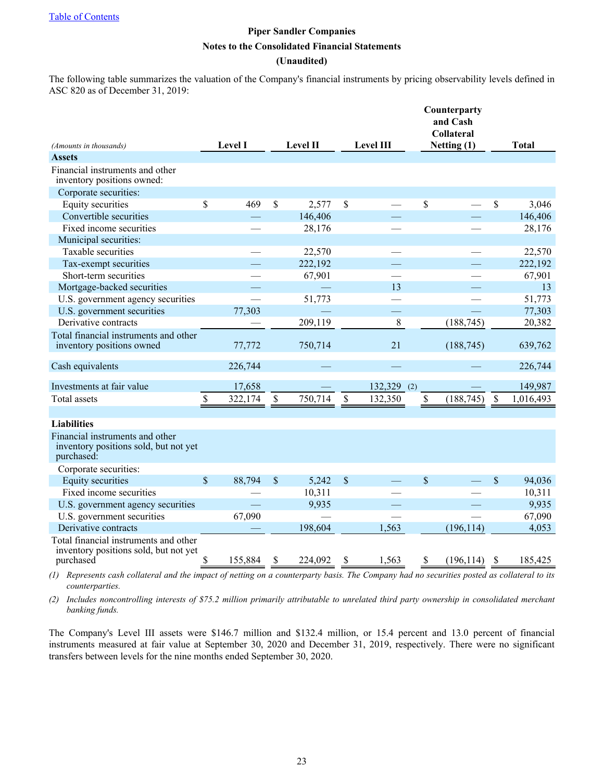[Table of Contents](#page-1-0)

### **Piper Sandler Companies Notes to the Consolidated Financial Statements (Unaudited)**

The following table summarizes the valuation of the Company's financial instruments by pricing observability levels defined in ASC 820 as of December 31, 2019:

| (Amounts in thousands)                                                                      |               | <b>Level I</b> |               | <b>Level II</b> |      | <b>Level III</b> | Counterparty<br>and Cash<br><b>Collateral</b><br>Netting (1) |                           | <b>Total</b> |
|---------------------------------------------------------------------------------------------|---------------|----------------|---------------|-----------------|------|------------------|--------------------------------------------------------------|---------------------------|--------------|
| <b>Assets</b>                                                                               |               |                |               |                 |      |                  |                                                              |                           |              |
| Financial instruments and other<br>inventory positions owned:                               |               |                |               |                 |      |                  |                                                              |                           |              |
| Corporate securities:                                                                       |               |                |               |                 |      |                  |                                                              |                           |              |
| Equity securities                                                                           | \$            | 469            | $\mathsf{\$}$ | 2,577           | \$   |                  | \$                                                           | \$                        | 3,046        |
| Convertible securities                                                                      |               |                |               | 146,406         |      |                  |                                                              |                           | 146,406      |
| Fixed income securities                                                                     |               |                |               | 28,176          |      |                  |                                                              |                           | 28,176       |
| Municipal securities:                                                                       |               |                |               |                 |      |                  |                                                              |                           |              |
| Taxable securities                                                                          |               |                |               | 22,570          |      |                  |                                                              |                           | 22,570       |
| Tax-exempt securities                                                                       |               |                |               | 222,192         |      |                  |                                                              |                           | 222,192      |
| Short-term securities                                                                       |               |                |               | 67,901          |      |                  |                                                              |                           | 67,901       |
| Mortgage-backed securities                                                                  |               |                |               |                 |      | 13               |                                                              |                           | 13           |
| U.S. government agency securities                                                           |               |                |               | 51,773          |      |                  |                                                              |                           | 51,773       |
| U.S. government securities                                                                  |               | 77,303         |               |                 |      |                  |                                                              |                           | 77,303       |
| Derivative contracts                                                                        |               |                |               | 209,119         |      | $\,8\,$          | (188, 745)                                                   |                           | 20,382       |
| Total financial instruments and other<br>inventory positions owned                          |               | 77,772         |               | 750,714         |      | 21               | (188, 745)                                                   |                           | 639,762      |
| Cash equivalents                                                                            |               | 226,744        |               |                 |      |                  |                                                              |                           | 226,744      |
| Investments at fair value                                                                   |               | 17,658         |               |                 |      | 132,329 (2)      |                                                              |                           | 149,987      |
| Total assets                                                                                | $\mathbb{S}$  | 322,174        | $\mathbb{S}$  | 750,714         | $\$$ | 132,350          | \$<br>(188, 745)                                             | $\boldsymbol{\mathsf{S}}$ | 1,016,493    |
| <b>Liabilities</b>                                                                          |               |                |               |                 |      |                  |                                                              |                           |              |
| Financial instruments and other<br>inventory positions sold, but not yet<br>purchased:      |               |                |               |                 |      |                  |                                                              |                           |              |
| Corporate securities:                                                                       |               |                |               |                 |      |                  |                                                              |                           |              |
| Equity securities                                                                           | $\mathsf{\$}$ | 88,794         | $\$$          | 5,242           | \$   |                  | \$                                                           | \$                        | 94,036       |
| Fixed income securities                                                                     |               |                |               | 10,311          |      |                  |                                                              |                           | 10,311       |
| U.S. government agency securities                                                           |               |                |               | 9,935           |      |                  |                                                              |                           | 9,935        |
| U.S. government securities                                                                  |               | 67,090         |               |                 |      |                  |                                                              |                           | 67,090       |
| Derivative contracts                                                                        |               |                |               | 198,604         |      | 1,563            | (196, 114)                                                   |                           | 4,053        |
| Total financial instruments and other<br>inventory positions sold, but not yet<br>purchased | \$            | 155,884        | \$            | 224,092         | \$   | 1,563            | \$<br>(196, 114)                                             | \$                        | 185,425      |

*(1) Represents cash collateral and the impact of netting on a counterparty basis. The Company had no securities posted as collateral to its counterparties.*

*(2) Includes noncontrolling interests of \$75.2 million primarily attributable to unrelated third party ownership in consolidated merchant banking funds.*

The Company's Level III assets were \$146.7 million and \$132.4 million, or 15.4 percent and 13.0 percent of financial instruments measured at fair value at September 30, 2020 and December 31, 2019, respectively. There were no significant transfers between levels for the nine months ended September 30, 2020.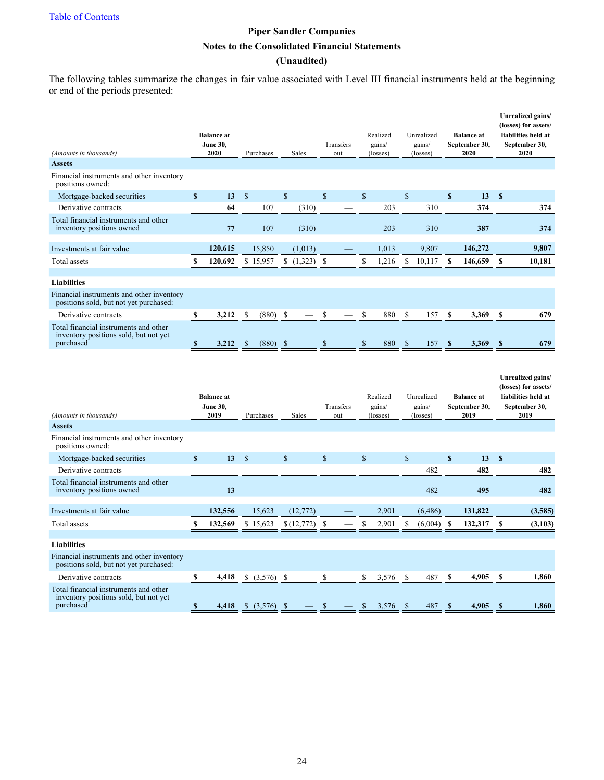[Table of Contents](#page-1-0)

### **Piper Sandler Companies Notes to the Consolidated Financial Statements (Unaudited)**

The following tables summarize the changes in fair value associated with Level III financial instruments held at the beginning or end of the periods presented:

| (Amounts in thousands)                                                                      |              | <b>Balance</b> at<br><b>June 30,</b><br>2020 |              | Purchases |               | Sales      |              | Transfers<br>out |             | Realized<br>gains/<br>(losses) |               | Unrealized<br>gains/<br>(losses) |                           | <b>Balance</b> at<br>September 30,<br>2020 |                  | Unrealized gains/<br>(losses) for assets/<br>liabilities held at<br>September 30,<br>2020 |
|---------------------------------------------------------------------------------------------|--------------|----------------------------------------------|--------------|-----------|---------------|------------|--------------|------------------|-------------|--------------------------------|---------------|----------------------------------|---------------------------|--------------------------------------------|------------------|-------------------------------------------------------------------------------------------|
| <b>Assets</b>                                                                               |              |                                              |              |           |               |            |              |                  |             |                                |               |                                  |                           |                                            |                  |                                                                                           |
| Financial instruments and other inventory<br>positions owned:                               |              |                                              |              |           |               |            |              |                  |             |                                |               |                                  |                           |                                            |                  |                                                                                           |
| Mortgage-backed securities                                                                  | \$           | 13                                           | \$           |           | $\mathbb{S}$  |            | $\mathbb{S}$ |                  | $\mathbf S$ |                                | $\mathbf S$   |                                  | $\boldsymbol{\mathsf{s}}$ | 13                                         | \$               |                                                                                           |
| Derivative contracts                                                                        |              | 64                                           |              | 107       |               | (310)      |              |                  |             | 203                            |               | 310                              |                           | 374                                        |                  | 374                                                                                       |
| Total financial instruments and other<br>inventory positions owned                          |              | 77                                           |              | 107       |               | (310)      |              |                  |             | 203                            |               | 310                              |                           | 387                                        |                  | 374                                                                                       |
| Investments at fair value                                                                   |              | 120,615                                      |              | 15,850    |               | (1,013)    |              |                  |             | 1,013                          |               | 9,807                            |                           | 146,272                                    |                  | 9,807                                                                                     |
| Total assets                                                                                | S            | 120.692                                      |              | \$15.957  | \$            | (1,323)    | \$           |                  | $\mathbb S$ | 1,216                          | \$            | 10.117                           | $\mathbf S$               | 146,659                                    | \$               | 10,181                                                                                    |
|                                                                                             |              |                                              |              |           |               |            |              |                  |             |                                |               |                                  |                           |                                            |                  |                                                                                           |
| <b>Liabilities</b>                                                                          |              |                                              |              |           |               |            |              |                  |             |                                |               |                                  |                           |                                            |                  |                                                                                           |
| Financial instruments and other inventory<br>positions sold, but not yet purchased:         |              |                                              |              |           |               |            |              |                  |             |                                |               |                                  |                           |                                            |                  |                                                                                           |
| Derivative contracts                                                                        | \$           | 3,212                                        | \$           | (880)     | \$            |            | \$           |                  | \$          | 880                            | <sup>\$</sup> | 157                              | \$                        | 3,369                                      | \$               | 679                                                                                       |
| Total financial instruments and other<br>inventory positions sold, but not yet<br>purchased | $\mathbf{s}$ | 3,212                                        | \$           | (880)     | <sup>\$</sup> |            |              |                  | S           | 880                            | -S            | 157                              | \$                        | 3,369                                      | $\boldsymbol{s}$ | 679                                                                                       |
| (Amounts in thousands)                                                                      |              | <b>Balance</b> at<br><b>June 30,</b><br>2019 |              | Purchases |               | Sales      |              | Transfers<br>out |             | Realized<br>gains/<br>(losses) |               | Unrealized<br>gains/<br>(losses) |                           | <b>Balance</b> at<br>September 30,<br>2019 |                  | Unrealized gains/<br>(losses) for assets/<br>liabilities held at<br>September 30,<br>2019 |
| <b>Assets</b>                                                                               |              |                                              |              |           |               |            |              |                  |             |                                |               |                                  |                           |                                            |                  |                                                                                           |
| Financial instruments and other inventory<br>positions owned:                               |              |                                              |              |           |               |            |              |                  |             |                                |               |                                  |                           |                                            |                  |                                                                                           |
| Mortgage-backed securities                                                                  | $\mathbf S$  | 13                                           | \$           |           | <sup>\$</sup> |            | \$           |                  | \$          |                                | $\mathcal{S}$ |                                  | \$                        | 13                                         | \$               |                                                                                           |
| Derivative contracts                                                                        |              |                                              |              |           |               |            |              |                  |             |                                |               | 482                              |                           | 482                                        |                  | 482                                                                                       |
| Total financial instruments and other<br>inventory positions owned                          |              | 13                                           |              |           |               |            |              |                  |             |                                |               | 482                              |                           | 495                                        |                  | 482                                                                                       |
| Investments at fair value                                                                   |              | 132,556                                      |              | 15,623    |               | (12, 772)  |              |                  |             | 2,901                          |               | (6, 486)                         |                           | 131,822                                    |                  | (3,585)                                                                                   |
| Total assets                                                                                | \$           | 132,569                                      |              | \$15,623  |               | \$(12,772) | \$           |                  | \$          | 2,901                          | \$            | (6,004)                          | -S                        | 132,317                                    | \$               | (3,103)                                                                                   |
|                                                                                             |              |                                              |              |           |               |            |              |                  |             |                                |               |                                  |                           |                                            |                  |                                                                                           |
| <b>Liabilities</b>                                                                          |              |                                              |              |           |               |            |              |                  |             |                                |               |                                  |                           |                                            |                  |                                                                                           |
| Financial instruments and other inventory<br>positions sold, but not yet purchased:         |              |                                              |              |           |               |            |              |                  |             |                                |               |                                  |                           |                                            |                  |                                                                                           |
| Derivative contracts                                                                        | \$           | 4,418                                        | \$           | (3,576)   | -S            |            | \$           |                  | \$          | 3,576                          | <sup>\$</sup> | 487                              | \$                        | 4,905                                      | \$               | 1,860                                                                                     |
| Total financial instruments and other<br>inventory positions sold, but not yet<br>purchased | \$           | 4,418                                        | $\mathbb{S}$ | (3,576)   | S             |            | \$           |                  | \$          | 3,576                          | \$            | 487                              | \$                        | 4,905                                      | \$               | 1,860                                                                                     |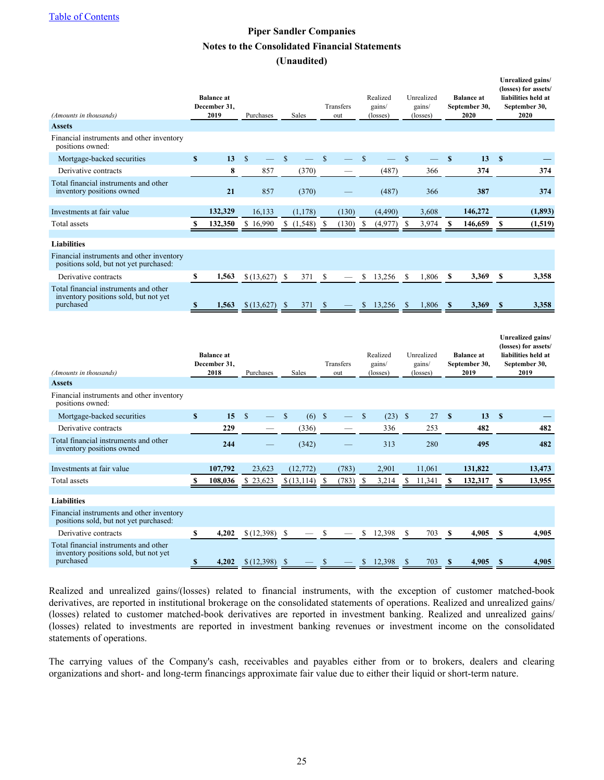| (Amounts in thousands)                                                                      |                  | <b>Balance</b> at<br>December 31,<br>2019 | Purchases    | Sales                   |               | Transfers<br>out |             | Realized<br>gains/<br>(losses) |               | Unrealized<br>gains/<br>(losses) |    | <b>Balance</b> at<br>September 30,<br>2020 | Unrealized gains/<br>(losses) for assets/<br>liabilities held at<br>September 30,<br>2020 |         |
|---------------------------------------------------------------------------------------------|------------------|-------------------------------------------|--------------|-------------------------|---------------|------------------|-------------|--------------------------------|---------------|----------------------------------|----|--------------------------------------------|-------------------------------------------------------------------------------------------|---------|
| <b>Assets</b>                                                                               |                  |                                           |              |                         |               |                  |             |                                |               |                                  |    |                                            |                                                                                           |         |
| Financial instruments and other inventory<br>positions owned:                               |                  |                                           |              |                         |               |                  |             |                                |               |                                  |    |                                            |                                                                                           |         |
| Mortgage-backed securities                                                                  | $\boldsymbol{s}$ | 13                                        | \$           | $\mathsf{\$}$           | <sup>\$</sup> |                  | \$          |                                | $\mathcal{S}$ |                                  | \$ | 13                                         | \$                                                                                        |         |
| Derivative contracts                                                                        |                  | 8                                         | 857          | (370)                   |               |                  |             | (487)                          |               | 366                              |    | 374                                        |                                                                                           | 374     |
| Total financial instruments and other<br>inventory positions owned                          |                  | 21                                        | 857          | (370)                   |               |                  |             | (487)                          |               | 366                              |    | 387                                        |                                                                                           | 374     |
| Investments at fair value                                                                   |                  | 132,329                                   | 16,133       | (1, 178)                |               | (130)            |             | (4, 490)                       |               | 3,608                            |    | 146,272                                    |                                                                                           | (1,893) |
| Total assets                                                                                | S                | 132,350                                   | \$16,990     | \$<br>(1, 548)          | <sup>\$</sup> | (130)            | $\mathbf S$ | (4,977)                        | S             | 3,974                            | \$ | 146,659                                    | \$                                                                                        | (1,519) |
|                                                                                             |                  |                                           |              |                         |               |                  |             |                                |               |                                  |    |                                            |                                                                                           |         |
| <b>Liabilities</b>                                                                          |                  |                                           |              |                         |               |                  |             |                                |               |                                  |    |                                            |                                                                                           |         |
| Financial instruments and other inventory<br>positions sold, but not yet purchased:         |                  |                                           |              |                         |               |                  |             |                                |               |                                  |    |                                            |                                                                                           |         |
| Derivative contracts                                                                        | \$               | 1,563                                     | \$(13,627)   | $\mathcal{S}$<br>371    | \$            |                  | \$          | 13,256                         | \$            | 1,806                            | S  | 3,369                                      | \$                                                                                        | 3,358   |
| Total financial instruments and other<br>inventory positions sold, but not yet<br>purchased | S,               | 1,563                                     | \$(13,627)   | 371<br>-S               | -S            |                  | \$          | 13,256                         | S             | 1,806                            | \$ | 3,369                                      | \$                                                                                        | 3,358   |
|                                                                                             |                  |                                           |              |                         |               |                  |             |                                |               |                                  |    |                                            |                                                                                           |         |
| (Amounts in thousands)                                                                      |                  | <b>Balance</b> at<br>December 31,<br>2018 | Purchases    | Sales                   |               | Transfers<br>out |             | Realized<br>gains/<br>(losses) |               | Unrealized<br>gains/<br>(losses) |    | <b>Balance</b> at<br>September 30,<br>2019 | Unrealized gains/<br>(losses) for assets/<br>liabilities held at<br>September 30,<br>2019 |         |
| <b>Assets</b>                                                                               |                  |                                           |              |                         |               |                  |             |                                |               |                                  |    |                                            |                                                                                           |         |
| Financial instruments and other inventory<br>positions owned:                               |                  |                                           |              |                         |               |                  |             |                                |               |                                  |    |                                            |                                                                                           |         |
| Mortgage-backed securities                                                                  | $\mathbf{s}$     | 15                                        | \$           | $\mathbf S$<br>$(6)$ \$ |               |                  | $\mathbf S$ | $(23)$ \$                      |               | 27                               | \$ | 13                                         | $\mathbf{s}$                                                                              |         |
| Derivative contracts                                                                        |                  | 229                                       |              | (336)                   |               |                  |             | 336                            |               | 253                              |    | 482                                        |                                                                                           | 482     |
| Total financial instruments and other<br>inventory positions owned                          |                  | 244                                       |              | (342)                   |               |                  |             | 313                            |               | 280                              |    | 495                                        |                                                                                           | 482     |
| Investments at fair value                                                                   |                  | 107,792                                   | 23,623       | (12, 772)               |               | (783)            |             | 2,901                          |               | 11,061                           |    | 131,822                                    |                                                                                           | 13,473  |
| Total assets                                                                                | \$               | 108,036                                   | S.<br>23,623 | \$(13,114)              | -S            | (783)            | S           | 3,214                          | S             | 11,341                           | S  | 132,317                                    | \$                                                                                        | 13,955  |
|                                                                                             |                  |                                           |              |                         |               |                  |             |                                |               |                                  |    |                                            |                                                                                           |         |
| <b>Liabilities</b>                                                                          |                  |                                           |              |                         |               |                  |             |                                |               |                                  |    |                                            |                                                                                           |         |
| Financial instruments and other inventory<br>positions sold, but not yet purchased:         |                  |                                           |              |                         |               |                  |             |                                |               |                                  |    |                                            |                                                                                           |         |
| Derivative contracts                                                                        | S                | 4,202                                     | \$(12,398)   | \$                      | \$            |                  | \$          | 12.398                         | S             | 703                              | S  | 4,905                                      | S                                                                                         | 4.905   |
| Total financial instruments and other<br>inventory positions sold, but not yet<br>purchased | $\mathbf{s}$     | 4,202                                     | \$(12,398)   | -S                      | \$            |                  |             | \$12,398                       |               | 703                              | S  | 4.905                                      | S                                                                                         | 4,905   |

Realized and unrealized gains/(losses) related to financial instruments, with the exception of customer matched-book derivatives, are reported in institutional brokerage on the consolidated statements of operations. Realized and unrealized gains/ (losses) related to customer matched-book derivatives are reported in investment banking. Realized and unrealized gains/ (losses) related to investments are reported in investment banking revenues or investment income on the consolidated statements of operations.

The carrying values of the Company's cash, receivables and payables either from or to brokers, dealers and clearing organizations and short- and long-term financings approximate fair value due to either their liquid or short-term nature.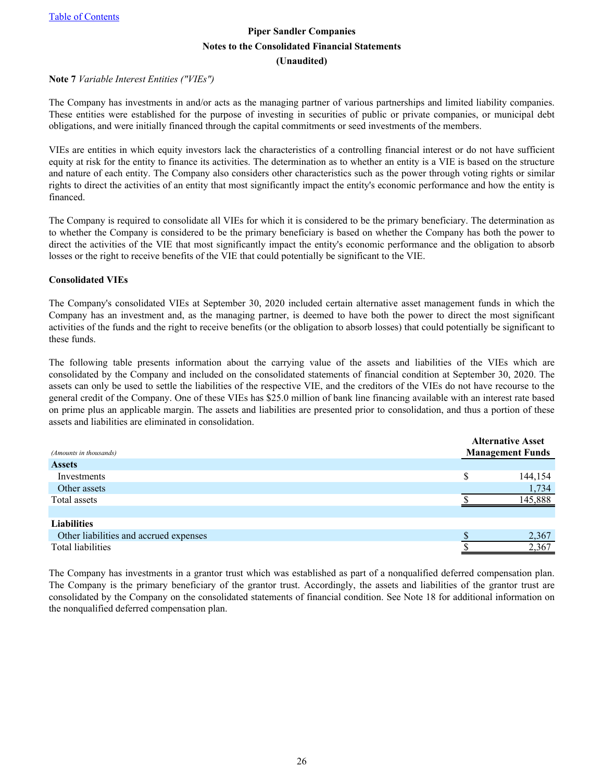### <span id="page-25-0"></span>**Note 7** *Variable Interest Entities ("VIEs")*

The Company has investments in and/or acts as the managing partner of various partnerships and limited liability companies. These entities were established for the purpose of investing in securities of public or private companies, or municipal debt obligations, and were initially financed through the capital commitments or seed investments of the members.

VIEs are entities in which equity investors lack the characteristics of a controlling financial interest or do not have sufficient equity at risk for the entity to finance its activities. The determination as to whether an entity is a VIE is based on the structure and nature of each entity. The Company also considers other characteristics such as the power through voting rights or similar rights to direct the activities of an entity that most significantly impact the entity's economic performance and how the entity is financed.

The Company is required to consolidate all VIEs for which it is considered to be the primary beneficiary. The determination as to whether the Company is considered to be the primary beneficiary is based on whether the Company has both the power to direct the activities of the VIE that most significantly impact the entity's economic performance and the obligation to absorb losses or the right to receive benefits of the VIE that could potentially be significant to the VIE.

### **Consolidated VIEs**

The Company's consolidated VIEs at September 30, 2020 included certain alternative asset management funds in which the Company has an investment and, as the managing partner, is deemed to have both the power to direct the most significant activities of the funds and the right to receive benefits (or the obligation to absorb losses) that could potentially be significant to these funds.

The following table presents information about the carrying value of the assets and liabilities of the VIEs which are consolidated by the Company and included on the consolidated statements of financial condition at September 30, 2020. The assets can only be used to settle the liabilities of the respective VIE, and the creditors of the VIEs do not have recourse to the general credit of the Company. One of these VIEs has \$25.0 million of bank line financing available with an interest rate based on prime plus an applicable margin. The assets and liabilities are presented prior to consolidation, and thus a portion of these assets and liabilities are eliminated in consolidation.

|                                        | <b>Alternative Asset</b> |
|----------------------------------------|--------------------------|
| (Amounts in thousands)                 | <b>Management Funds</b>  |
| <b>Assets</b>                          |                          |
| Investments                            | 144,154<br>S             |
| Other assets                           | 1,734                    |
| Total assets                           | 145,888                  |
|                                        |                          |
| <b>Liabilities</b>                     |                          |
| Other liabilities and accrued expenses | 2,367                    |
| Total liabilities                      | 2,367                    |
|                                        |                          |

The Company has investments in a grantor trust which was established as part of a nonqualified deferred compensation plan. The Company is the primary beneficiary of the grantor trust. Accordingly, the assets and liabilities of the grantor trust are consolidated by the Company on the consolidated statements of financial condition. See Note 18 for additional information on the nonqualified deferred compensation plan.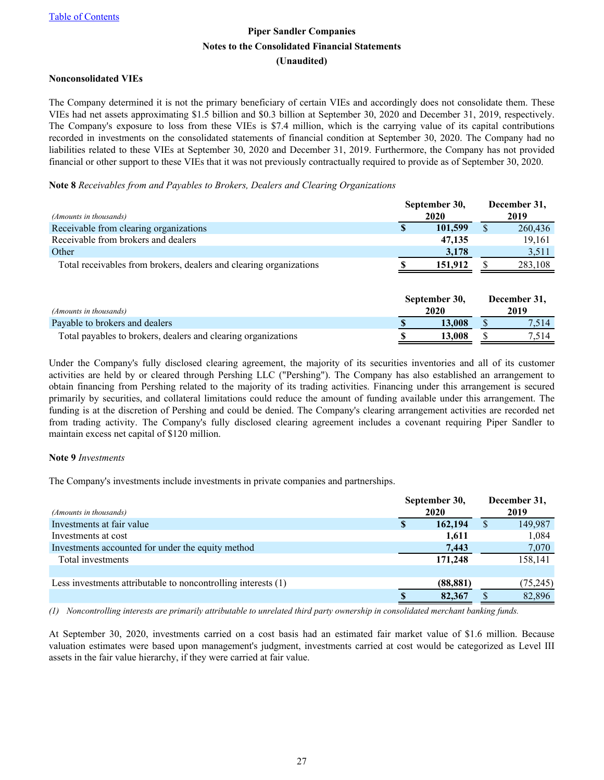### <span id="page-26-0"></span>**Nonconsolidated VIEs**

The Company determined it is not the primary beneficiary of certain VIEs and accordingly does not consolidate them. These VIEs had net assets approximating \$1.5 billion and \$0.3 billion at September 30, 2020 and December 31, 2019, respectively. The Company's exposure to loss from these VIEs is \$7.4 million, which is the carrying value of its capital contributions recorded in investments on the consolidated statements of financial condition at September 30, 2020. The Company had no liabilities related to these VIEs at September 30, 2020 and December 31, 2019. Furthermore, the Company has not provided financial or other support to these VIEs that it was not previously contractually required to provide as of September 30, 2020.

### **Note 8** *Receivables from and Payables to Brokers, Dealers and Clearing Organizations*

| (Amounts in thousands)                                             |   | September 30,<br>2020 | December 31,<br>2019 |                      |  |
|--------------------------------------------------------------------|---|-----------------------|----------------------|----------------------|--|
| Receivable from clearing organizations                             | S | 101.599               | <sup>S</sup>         | 260,436              |  |
| Receivable from brokers and dealers                                |   | 47,135                |                      | 19,161               |  |
| Other                                                              |   | 3,178                 |                      | 3,511                |  |
| Total receivables from brokers, dealers and clearing organizations |   | 151,912               |                      | 283,108              |  |
| <i>(Amounts in thousands)</i>                                      |   | September 30,<br>2020 |                      | December 31,<br>2019 |  |

| <i>(Amounts in thousands)</i>                                 | 2020   | 2019 |
|---------------------------------------------------------------|--------|------|
| Payable to brokers and dealers                                | 13.008 |      |
| Total payables to brokers, dealers and clearing organizations | 3.008  |      |

Under the Company's fully disclosed clearing agreement, the majority of its securities inventories and all of its customer activities are held by or cleared through Pershing LLC ("Pershing"). The Company has also established an arrangement to obtain financing from Pershing related to the majority of its trading activities. Financing under this arrangement is secured primarily by securities, and collateral limitations could reduce the amount of funding available under this arrangement. The funding is at the discretion of Pershing and could be denied. The Company's clearing arrangement activities are recorded net from trading activity. The Company's fully disclosed clearing agreement includes a covenant requiring Piper Sandler to maintain excess net capital of \$120 million.

### **Note 9** *Investments*

The Company's investments include investments in private companies and partnerships.

| <i>(Amounts in thousands)</i>                                 | September 30,<br>2020 |           | December 31,<br>2019 |
|---------------------------------------------------------------|-----------------------|-----------|----------------------|
| Investments at fair value                                     | S                     | 162,194   | 149,987              |
| Investments at cost                                           |                       | 1,611     | 1,084                |
| Investments accounted for under the equity method             |                       | 7,443     | 7,070                |
| Total investments                                             |                       | 171,248   | 158,141              |
|                                                               |                       |           |                      |
| Less investments attributable to noncontrolling interests (1) |                       | (88, 881) | (75, 245)            |
|                                                               |                       | 82,367    | 82,896               |

*(1) Noncontrolling interests are primarily attributable to unrelated third party ownership in consolidated merchant banking funds.*

At September 30, 2020, investments carried on a cost basis had an estimated fair market value of \$1.6 million. Because valuation estimates were based upon management's judgment, investments carried at cost would be categorized as Level III assets in the fair value hierarchy, if they were carried at fair value.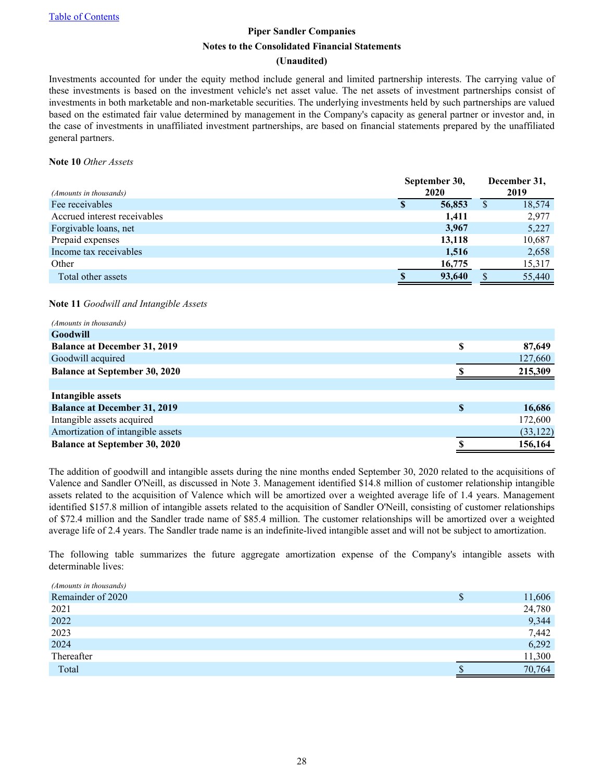#### **(Unaudited)**

<span id="page-27-0"></span>Investments accounted for under the equity method include general and limited partnership interests. The carrying value of these investments is based on the investment vehicle's net asset value. The net assets of investment partnerships consist of investments in both marketable and non-marketable securities. The underlying investments held by such partnerships are valued based on the estimated fair value determined by management in the Company's capacity as general partner or investor and, in the case of investments in unaffiliated investment partnerships, are based on financial statements prepared by the unaffiliated general partners.

#### **Note 10** *Other Assets*

*(Amounts in thousands)*

| (Amounts in thousands)       | September 30,<br>2020 |        |  | December 31,<br>2019 |  |  |
|------------------------------|-----------------------|--------|--|----------------------|--|--|
| Fee receivables              | S                     | 56,853 |  | 18,574               |  |  |
| Accrued interest receivables |                       | 1,411  |  | 2,977                |  |  |
| Forgivable loans, net        |                       | 3,967  |  | 5,227                |  |  |
| Prepaid expenses             |                       | 13,118 |  | 10,687               |  |  |
| Income tax receivables       |                       | 1,516  |  | 2,658                |  |  |
| Other                        |                       | 16,775 |  | 15,317               |  |  |
| Total other assets           |                       | 93,640 |  | 55,440               |  |  |

#### **Note 11** *Goodwill and Intangible Assets*

| (Amounts in thousands)               |   |           |
|--------------------------------------|---|-----------|
| <b>Goodwill</b>                      |   |           |
| <b>Balance at December 31, 2019</b>  | S | 87,649    |
| Goodwill acquired                    |   | 127,660   |
| <b>Balance at September 30, 2020</b> |   | 215,309   |
|                                      |   |           |
| Intangible assets                    |   |           |
| <b>Balance at December 31, 2019</b>  | S | 16,686    |
| Intangible assets acquired           |   | 172,600   |
| Amortization of intangible assets    |   | (33, 122) |
| <b>Balance at September 30, 2020</b> |   | 156,164   |

The addition of goodwill and intangible assets during the nine months ended September 30, 2020 related to the acquisitions of Valence and Sandler O'Neill, as discussed in Note 3. Management identified \$14.8 million of customer relationship intangible assets related to the acquisition of Valence which will be amortized over a weighted average life of 1.4 years. Management identified \$157.8 million of intangible assets related to the acquisition of Sandler O'Neill, consisting of customer relationships of \$72.4 million and the Sandler trade name of \$85.4 million. The customer relationships will be amortized over a weighted average life of 2.4 years. The Sandler trade name is an indefinite-lived intangible asset and will not be subject to amortization.

The following table summarizes the future aggregate amortization expense of the Company's intangible assets with determinable lives:

| (Amounts in thousands) |   |        |
|------------------------|---|--------|
| Remainder of 2020      | D | 11,606 |
| 2021                   |   | 24,780 |
| 2022                   |   | 9,344  |
| 2023                   |   | 7,442  |
| 2024                   |   | 6,292  |
| Thereafter             |   | 11,300 |
| Total                  |   | 70,764 |
|                        |   |        |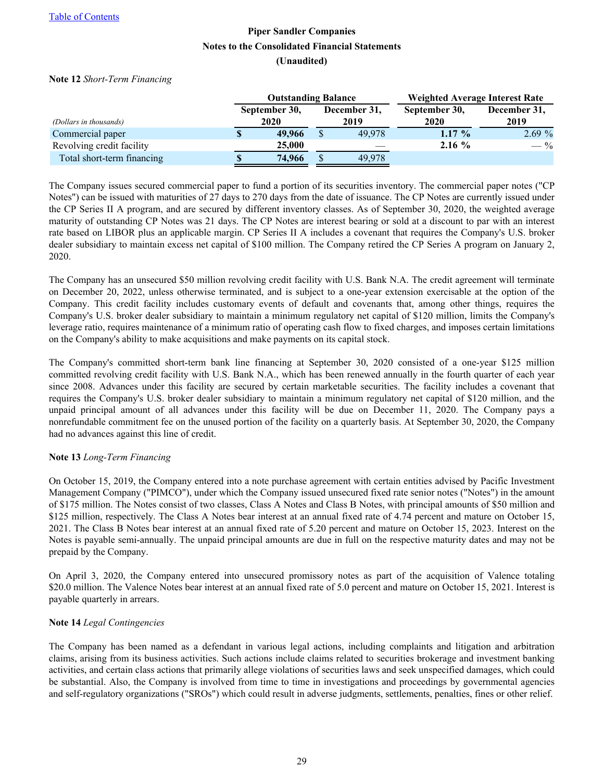### <span id="page-28-0"></span>**Note 12** *Short-Term Financing*

|                            |    | <b>Outstanding Balance</b> |              | <b>Weighted Average Interest Rate</b> |              |  |  |  |  |
|----------------------------|----|----------------------------|--------------|---------------------------------------|--------------|--|--|--|--|
|                            |    | September 30,              | December 31, | September 30,                         | December 31, |  |  |  |  |
| (Dollars in thousands)     |    | 2020                       | 2019         | 2020                                  | 2019         |  |  |  |  |
| Commercial paper           | S. | 49,966                     | 49.978       | $1.17\%$                              | 2.69%        |  |  |  |  |
| Revolving credit facility  |    | 25,000                     |              | $2.16\%$                              | $-$ %        |  |  |  |  |
| Total short-term financing |    | 74,966                     | 49.978       |                                       |              |  |  |  |  |

The Company issues secured commercial paper to fund a portion of its securities inventory. The commercial paper notes ("CP Notes") can be issued with maturities of 27 days to 270 days from the date of issuance. The CP Notes are currently issued under the CP Series II A program, and are secured by different inventory classes. As of September 30, 2020, the weighted average maturity of outstanding CP Notes was 21 days. The CP Notes are interest bearing or sold at a discount to par with an interest rate based on LIBOR plus an applicable margin. CP Series II A includes a covenant that requires the Company's U.S. broker dealer subsidiary to maintain excess net capital of \$100 million. The Company retired the CP Series A program on January 2, 2020.

The Company has an unsecured \$50 million revolving credit facility with U.S. Bank N.A. The credit agreement will terminate on December 20, 2022, unless otherwise terminated, and is subject to a one-year extension exercisable at the option of the Company. This credit facility includes customary events of default and covenants that, among other things, requires the Company's U.S. broker dealer subsidiary to maintain a minimum regulatory net capital of \$120 million, limits the Company's leverage ratio, requires maintenance of a minimum ratio of operating cash flow to fixed charges, and imposes certain limitations on the Company's ability to make acquisitions and make payments on its capital stock.

The Company's committed short-term bank line financing at September 30, 2020 consisted of a one-year \$125 million committed revolving credit facility with U.S. Bank N.A., which has been renewed annually in the fourth quarter of each year since 2008. Advances under this facility are secured by certain marketable securities. The facility includes a covenant that requires the Company's U.S. broker dealer subsidiary to maintain a minimum regulatory net capital of \$120 million, and the unpaid principal amount of all advances under this facility will be due on December 11, 2020. The Company pays a nonrefundable commitment fee on the unused portion of the facility on a quarterly basis. At September 30, 2020, the Company had no advances against this line of credit.

### **Note 13** *Long-Term Financing*

On October 15, 2019, the Company entered into a note purchase agreement with certain entities advised by Pacific Investment Management Company ("PIMCO"), under which the Company issued unsecured fixed rate senior notes ("Notes") in the amount of \$175 million. The Notes consist of two classes, Class A Notes and Class B Notes, with principal amounts of \$50 million and \$125 million, respectively. The Class A Notes bear interest at an annual fixed rate of 4.74 percent and mature on October 15, 2021. The Class B Notes bear interest at an annual fixed rate of 5.20 percent and mature on October 15, 2023. Interest on the Notes is payable semi-annually. The unpaid principal amounts are due in full on the respective maturity dates and may not be prepaid by the Company.

On April 3, 2020, the Company entered into unsecured promissory notes as part of the acquisition of Valence totaling \$20.0 million. The Valence Notes bear interest at an annual fixed rate of 5.0 percent and mature on October 15, 2021. Interest is payable quarterly in arrears.

### **Note 14** *Legal Contingencies*

The Company has been named as a defendant in various legal actions, including complaints and litigation and arbitration claims, arising from its business activities. Such actions include claims related to securities brokerage and investment banking activities, and certain class actions that primarily allege violations of securities laws and seek unspecified damages, which could be substantial. Also, the Company is involved from time to time in investigations and proceedings by governmental agencies and self-regulatory organizations ("SROs") which could result in adverse judgments, settlements, penalties, fines or other relief.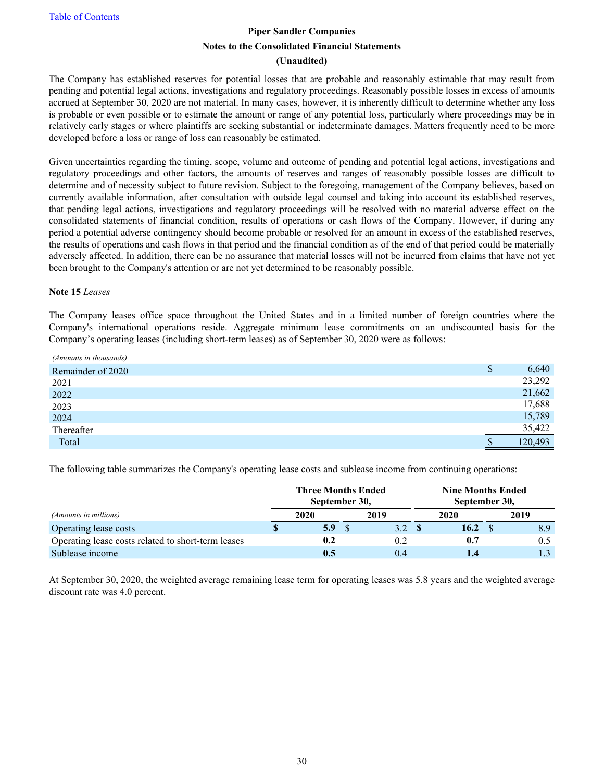#### **(Unaudited)**

<span id="page-29-0"></span>The Company has established reserves for potential losses that are probable and reasonably estimable that may result from pending and potential legal actions, investigations and regulatory proceedings. Reasonably possible losses in excess of amounts accrued at September 30, 2020 are not material. In many cases, however, it is inherently difficult to determine whether any loss is probable or even possible or to estimate the amount or range of any potential loss, particularly where proceedings may be in relatively early stages or where plaintiffs are seeking substantial or indeterminate damages. Matters frequently need to be more developed before a loss or range of loss can reasonably be estimated.

Given uncertainties regarding the timing, scope, volume and outcome of pending and potential legal actions, investigations and regulatory proceedings and other factors, the amounts of reserves and ranges of reasonably possible losses are difficult to determine and of necessity subject to future revision. Subject to the foregoing, management of the Company believes, based on currently available information, after consultation with outside legal counsel and taking into account its established reserves, that pending legal actions, investigations and regulatory proceedings will be resolved with no material adverse effect on the consolidated statements of financial condition, results of operations or cash flows of the Company. However, if during any period a potential adverse contingency should become probable or resolved for an amount in excess of the established reserves, the results of operations and cash flows in that period and the financial condition as of the end of that period could be materially adversely affected. In addition, there can be no assurance that material losses will not be incurred from claims that have not yet been brought to the Company's attention or are not yet determined to be reasonably possible.

#### **Note 15** *Leases*

The Company leases office space throughout the United States and in a limited number of foreign countries where the Company's international operations reside. Aggregate minimum lease commitments on an undiscounted basis for the Company's operating leases (including short-term leases) as of September 30, 2020 were as follows:

| (Amounts in thousands) |             |
|------------------------|-------------|
| Remainder of 2020      | \$<br>6,640 |
| 2021                   | 23,292      |
| 2022                   | 21,662      |
| 2023                   | 17,688      |
| 2024                   | 15,789      |
| Thereafter             | 35,422      |
| Total                  | 120,493     |

The following table summarizes the Company's operating lease costs and sublease income from continuing operations:

| (Amounts in millions)                              | <b>Three Months Ended</b><br>September 30, |  | <b>Nine Months Ended</b><br>September 30, |  |      |  |      |
|----------------------------------------------------|--------------------------------------------|--|-------------------------------------------|--|------|--|------|
|                                                    | 2020                                       |  | 2019                                      |  | 2020 |  | 2019 |
| Operating lease costs                              | 5.9                                        |  | 3.2                                       |  | 16.2 |  | 8.9  |
| Operating lease costs related to short-term leases | 0.2                                        |  | 0.2                                       |  | 0.7  |  | 0.5  |
| Sublease income                                    | 0.5                                        |  | 0.4                                       |  | 1.4  |  |      |

At September 30, 2020, the weighted average remaining lease term for operating leases was 5.8 years and the weighted average discount rate was 4.0 percent.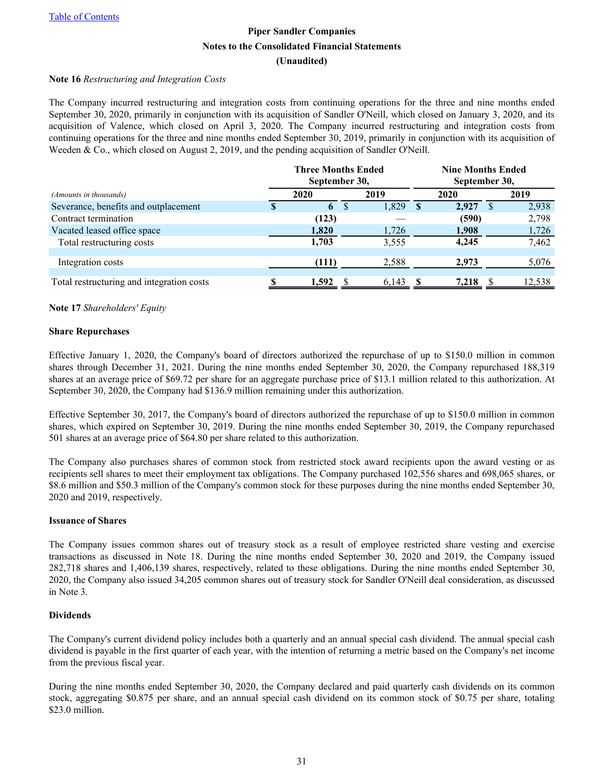### <span id="page-30-0"></span>**Note 16** *Restructuring and Integration Costs*

The Company incurred restructuring and integration costs from continuing operations for the three and nine months ended September 30, 2020, primarily in conjunction with its acquisition of Sandler O'Neill, which closed on January 3, 2020, and its acquisition of Valence, which closed on April 3, 2020. The Company incurred restructuring and integration costs from continuing operations for the three and nine months ended September 30, 2019, primarily in conjunction with its acquisition of Weeden & Co., which closed on August 2, 2019, and the pending acquisition of Sandler O'Neill.

|                                           | <b>Three Months Ended</b><br>September 30, |       |      |       |    | <b>Nine Months Ended</b><br>September 30, |          |        |  |
|-------------------------------------------|--------------------------------------------|-------|------|-------|----|-------------------------------------------|----------|--------|--|
| (Amounts in thousands)                    |                                            | 2020  |      | 2019  |    | 2020                                      |          | 2019   |  |
| Severance, benefits and outplacement      |                                            | 6     | - \$ | 1,829 | -8 | 2,927                                     | <b>S</b> | 2,938  |  |
| Contract termination                      |                                            | (123) |      |       |    | (590)                                     |          | 2,798  |  |
| Vacated leased office space               |                                            | 1,820 |      | 1,726 |    | 1,908                                     |          | 1,726  |  |
| Total restructuring costs                 |                                            | 1.703 |      | 3,555 |    | 4,245                                     |          | 7,462  |  |
|                                           |                                            |       |      |       |    |                                           |          |        |  |
| Integration costs                         |                                            | (111) |      | 2,588 |    | 2.973                                     |          | 5,076  |  |
|                                           |                                            |       |      |       |    |                                           |          |        |  |
| Total restructuring and integration costs |                                            | 1,592 |      | 6,143 |    | 7,218                                     |          | 12,538 |  |

### **Note 17** *Shareholders' Equity*

### **Share Repurchases**

Effective January 1, 2020, the Company's board of directors authorized the repurchase of up to \$150.0 million in common shares through December 31, 2021. During the nine months ended September 30, 2020, the Company repurchased 188,319 shares at an average price of \$69.72 per share for an aggregate purchase price of \$13.1 million related to this authorization. At September 30, 2020, the Company had \$136.9 million remaining under this authorization.

Effective September 30, 2017, the Company's board of directors authorized the repurchase of up to \$150.0 million in common shares, which expired on September 30, 2019. During the nine months ended September 30, 2019, the Company repurchased 501 shares at an average price of \$64.80 per share related to this authorization.

The Company also purchases shares of common stock from restricted stock award recipients upon the award vesting or as recipients sell shares to meet their employment tax obligations. The Company purchased 102,556 shares and 698,065 shares, or \$8.6 million and \$50.3 million of the Company's common stock for these purposes during the nine months ended September 30, 2020 and 2019, respectively.

### **Issuance of Shares**

The Company issues common shares out of treasury stock as a result of employee restricted share vesting and exercise transactions as discussed in Note 18. During the nine months ended September 30, 2020 and 2019, the Company issued 282,718 shares and 1,406,139 shares, respectively, related to these obligations. During the nine months ended September 30, 2020, the Company also issued 34,205 common shares out of treasury stock for Sandler O'Neill deal consideration, as discussed in Note 3.

### **Dividends**

The Company's current dividend policy includes both a quarterly and an annual special cash dividend. The annual special cash dividend is payable in the first quarter of each year, with the intention of returning a metric based on the Company's net income from the previous fiscal year.

During the nine months ended September 30, 2020, the Company declared and paid quarterly cash dividends on its common stock, aggregating \$0.875 per share, and an annual special cash dividend on its common stock of \$0.75 per share, totaling \$23.0 million.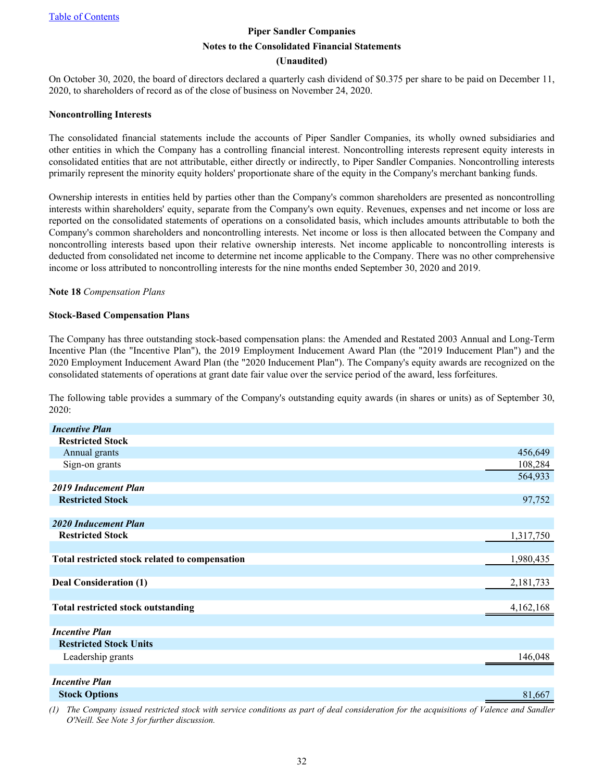<span id="page-31-0"></span>On October 30, 2020, the board of directors declared a quarterly cash dividend of \$0.375 per share to be paid on December 11, 2020, to shareholders of record as of the close of business on November 24, 2020.

### **Noncontrolling Interests**

The consolidated financial statements include the accounts of Piper Sandler Companies, its wholly owned subsidiaries and other entities in which the Company has a controlling financial interest. Noncontrolling interests represent equity interests in consolidated entities that are not attributable, either directly or indirectly, to Piper Sandler Companies. Noncontrolling interests primarily represent the minority equity holders' proportionate share of the equity in the Company's merchant banking funds.

Ownership interests in entities held by parties other than the Company's common shareholders are presented as noncontrolling interests within shareholders' equity, separate from the Company's own equity. Revenues, expenses and net income or loss are reported on the consolidated statements of operations on a consolidated basis, which includes amounts attributable to both the Company's common shareholders and noncontrolling interests. Net income or loss is then allocated between the Company and noncontrolling interests based upon their relative ownership interests. Net income applicable to noncontrolling interests is deducted from consolidated net income to determine net income applicable to the Company. There was no other comprehensive income or loss attributed to noncontrolling interests for the nine months ended September 30, 2020 and 2019.

#### **Note 18** *Compensation Plans*

#### **Stock-Based Compensation Plans**

The Company has three outstanding stock-based compensation plans: the Amended and Restated 2003 Annual and Long-Term Incentive Plan (the "Incentive Plan"), the 2019 Employment Inducement Award Plan (the "2019 Inducement Plan") and the 2020 Employment Inducement Award Plan (the "2020 Inducement Plan"). The Company's equity awards are recognized on the consolidated statements of operations at grant date fair value over the service period of the award, less forfeitures.

The following table provides a summary of the Company's outstanding equity awards (in shares or units) as of September 30, 2020:

| <b>Incentive Plan</b>                          |           |
|------------------------------------------------|-----------|
| <b>Restricted Stock</b>                        |           |
| Annual grants                                  | 456,649   |
| Sign-on grants                                 | 108,284   |
|                                                | 564,933   |
| 2019 Inducement Plan                           |           |
| <b>Restricted Stock</b>                        | 97,752    |
|                                                |           |
| <b>2020 Inducement Plan</b>                    |           |
| <b>Restricted Stock</b>                        | 1,317,750 |
|                                                |           |
| Total restricted stock related to compensation | 1,980,435 |
|                                                |           |
| <b>Deal Consideration (1)</b>                  | 2,181,733 |
|                                                |           |
| <b>Total restricted stock outstanding</b>      | 4,162,168 |
|                                                |           |
| <b>Incentive Plan</b>                          |           |
| <b>Restricted Stock Units</b>                  |           |
| Leadership grants                              | 146,048   |
|                                                |           |
| <b>Incentive Plan</b>                          |           |
| <b>Stock Options</b>                           | 81,667    |

*(1) The Company issued restricted stock with service conditions as part of deal consideration for the acquisitions of Valence and Sandler O'Neill. See Note 3 for further discussion.*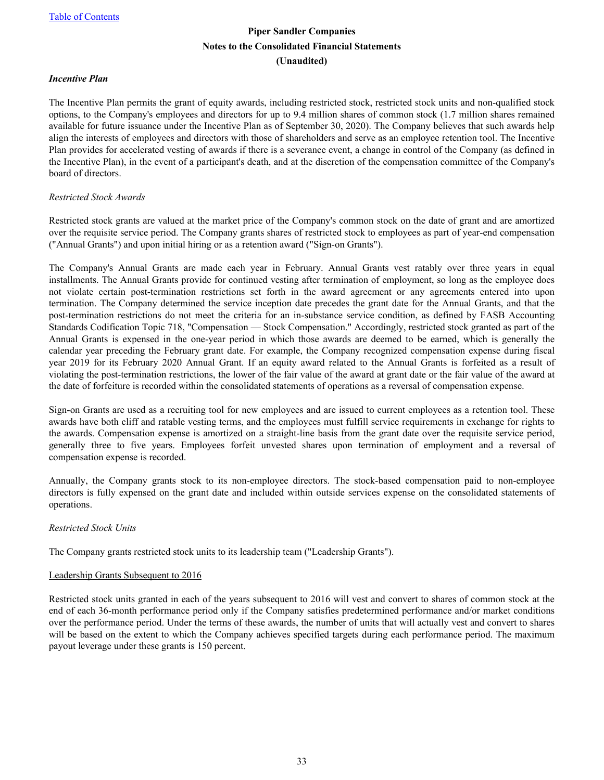### *Incentive Plan*

The Incentive Plan permits the grant of equity awards, including restricted stock, restricted stock units and non-qualified stock options, to the Company's employees and directors for up to 9.4 million shares of common stock (1.7 million shares remained available for future issuance under the Incentive Plan as of September 30, 2020). The Company believes that such awards help align the interests of employees and directors with those of shareholders and serve as an employee retention tool. The Incentive Plan provides for accelerated vesting of awards if there is a severance event, a change in control of the Company (as defined in the Incentive Plan), in the event of a participant's death, and at the discretion of the compensation committee of the Company's board of directors.

#### *Restricted Stock Awards*

Restricted stock grants are valued at the market price of the Company's common stock on the date of grant and are amortized over the requisite service period. The Company grants shares of restricted stock to employees as part of year-end compensation ("Annual Grants") and upon initial hiring or as a retention award ("Sign-on Grants").

The Company's Annual Grants are made each year in February. Annual Grants vest ratably over three years in equal installments. The Annual Grants provide for continued vesting after termination of employment, so long as the employee does not violate certain post-termination restrictions set forth in the award agreement or any agreements entered into upon termination. The Company determined the service inception date precedes the grant date for the Annual Grants, and that the post-termination restrictions do not meet the criteria for an in-substance service condition, as defined by FASB Accounting Standards Codification Topic 718, "Compensation — Stock Compensation." Accordingly, restricted stock granted as part of the Annual Grants is expensed in the one-year period in which those awards are deemed to be earned, which is generally the calendar year preceding the February grant date. For example, the Company recognized compensation expense during fiscal year 2019 for its February 2020 Annual Grant. If an equity award related to the Annual Grants is forfeited as a result of violating the post-termination restrictions, the lower of the fair value of the award at grant date or the fair value of the award at the date of forfeiture is recorded within the consolidated statements of operations as a reversal of compensation expense.

Sign-on Grants are used as a recruiting tool for new employees and are issued to current employees as a retention tool. These awards have both cliff and ratable vesting terms, and the employees must fulfill service requirements in exchange for rights to the awards. Compensation expense is amortized on a straight-line basis from the grant date over the requisite service period, generally three to five years. Employees forfeit unvested shares upon termination of employment and a reversal of compensation expense is recorded.

Annually, the Company grants stock to its non-employee directors. The stock-based compensation paid to non-employee directors is fully expensed on the grant date and included within outside services expense on the consolidated statements of operations.

### *Restricted Stock Units*

The Company grants restricted stock units to its leadership team ("Leadership Grants").

### Leadership Grants Subsequent to 2016

Restricted stock units granted in each of the years subsequent to 2016 will vest and convert to shares of common stock at the end of each 36-month performance period only if the Company satisfies predetermined performance and/or market conditions over the performance period. Under the terms of these awards, the number of units that will actually vest and convert to shares will be based on the extent to which the Company achieves specified targets during each performance period. The maximum payout leverage under these grants is 150 percent.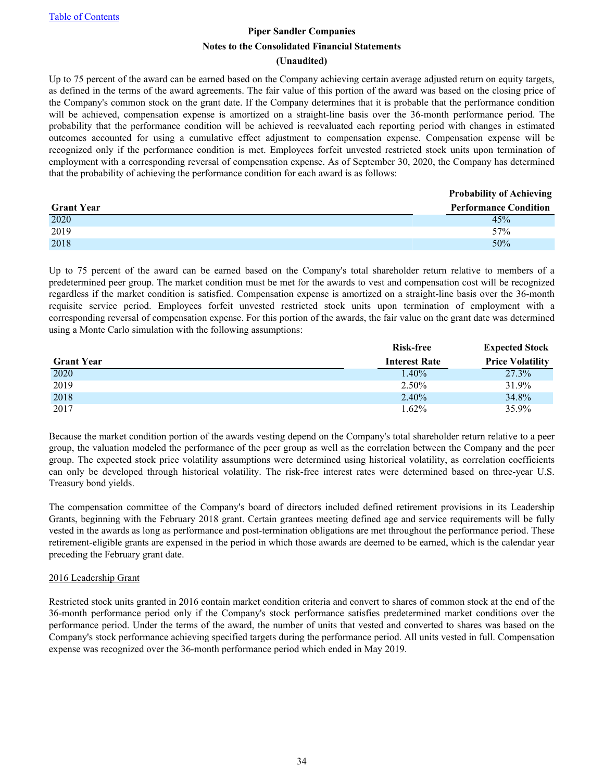### **(Unaudited)**

Up to 75 percent of the award can be earned based on the Company achieving certain average adjusted return on equity targets, as defined in the terms of the award agreements. The fair value of this portion of the award was based on the closing price of the Company's common stock on the grant date. If the Company determines that it is probable that the performance condition will be achieved, compensation expense is amortized on a straight-line basis over the 36-month performance period. The probability that the performance condition will be achieved is reevaluated each reporting period with changes in estimated outcomes accounted for using a cumulative effect adjustment to compensation expense. Compensation expense will be recognized only if the performance condition is met. Employees forfeit unvested restricted stock units upon termination of employment with a corresponding reversal of compensation expense. As of September 30, 2020, the Company has determined that the probability of achieving the performance condition for each award is as follows:

|                   | <b>Probability of Achieving</b> |
|-------------------|---------------------------------|
| <b>Grant Year</b> | <b>Performance Condition</b>    |
| 2020              | 45%                             |
| 2019              | 57%                             |
| 2018              | 50%                             |

Up to 75 percent of the award can be earned based on the Company's total shareholder return relative to members of a predetermined peer group. The market condition must be met for the awards to vest and compensation cost will be recognized regardless if the market condition is satisfied. Compensation expense is amortized on a straight-line basis over the 36-month requisite service period. Employees forfeit unvested restricted stock units upon termination of employment with a corresponding reversal of compensation expense. For this portion of the awards, the fair value on the grant date was determined using a Monte Carlo simulation with the following assumptions:

|                   | <b>Risk-free</b>     | <b>Expected Stock</b>   |
|-------------------|----------------------|-------------------------|
| <b>Grant Year</b> | <b>Interest Rate</b> | <b>Price Volatility</b> |
| 2020              | $1.40\%$             | 27.3%                   |
| 2019              | $2.50\%$             | 31.9%                   |
| 2018              | 2.40%                | 34.8%                   |
| 2017              | $1.62\%$             | 35.9%                   |

Because the market condition portion of the awards vesting depend on the Company's total shareholder return relative to a peer group, the valuation modeled the performance of the peer group as well as the correlation between the Company and the peer group. The expected stock price volatility assumptions were determined using historical volatility, as correlation coefficients can only be developed through historical volatility. The risk-free interest rates were determined based on three-year U.S. Treasury bond yields.

The compensation committee of the Company's board of directors included defined retirement provisions in its Leadership Grants, beginning with the February 2018 grant. Certain grantees meeting defined age and service requirements will be fully vested in the awards as long as performance and post-termination obligations are met throughout the performance period. These retirement-eligible grants are expensed in the period in which those awards are deemed to be earned, which is the calendar year preceding the February grant date.

### 2016 Leadership Grant

Restricted stock units granted in 2016 contain market condition criteria and convert to shares of common stock at the end of the 36-month performance period only if the Company's stock performance satisfies predetermined market conditions over the performance period. Under the terms of the award, the number of units that vested and converted to shares was based on the Company's stock performance achieving specified targets during the performance period. All units vested in full. Compensation expense was recognized over the 36-month performance period which ended in May 2019.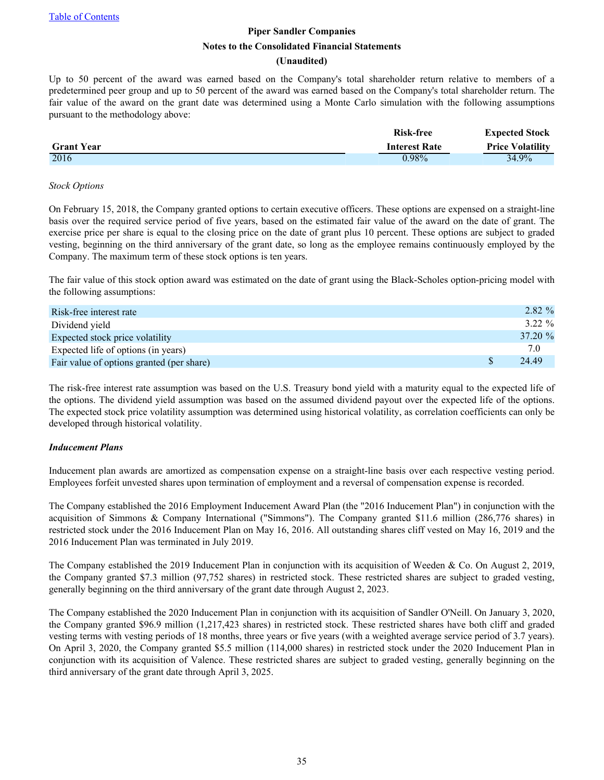#### **(Unaudited)**

Up to 50 percent of the award was earned based on the Company's total shareholder return relative to members of a predetermined peer group and up to 50 percent of the award was earned based on the Company's total shareholder return. The fair value of the award on the grant date was determined using a Monte Carlo simulation with the following assumptions pursuant to the methodology above:

|                   | <b>Risk-free</b>     | <b>Expected Stock</b>   |
|-------------------|----------------------|-------------------------|
| <b>Grant Year</b> | <b>Interest Rate</b> | <b>Price Volatility</b> |
| 2016              | 0.98%                | 34.9%                   |

#### *Stock Options*

On February 15, 2018, the Company granted options to certain executive officers. These options are expensed on a straight-line basis over the required service period of five years, based on the estimated fair value of the award on the date of grant. The exercise price per share is equal to the closing price on the date of grant plus 10 percent. These options are subject to graded vesting, beginning on the third anniversary of the grant date, so long as the employee remains continuously employed by the Company. The maximum term of these stock options is ten years.

The fair value of this stock option award was estimated on the date of grant using the Black-Scholes option-pricing model with the following assumptions:

| Risk-free interest rate                   | $2.82\%$   |
|-------------------------------------------|------------|
| Dividend yield                            | $3.22 \%$  |
| Expected stock price volatility           | $37.20 \%$ |
| Expected life of options (in years)       | 70         |
| Fair value of options granted (per share) | 24 49      |

The risk-free interest rate assumption was based on the U.S. Treasury bond yield with a maturity equal to the expected life of the options. The dividend yield assumption was based on the assumed dividend payout over the expected life of the options. The expected stock price volatility assumption was determined using historical volatility, as correlation coefficients can only be developed through historical volatility.

### *Inducement Plans*

Inducement plan awards are amortized as compensation expense on a straight-line basis over each respective vesting period. Employees forfeit unvested shares upon termination of employment and a reversal of compensation expense is recorded.

The Company established the 2016 Employment Inducement Award Plan (the "2016 Inducement Plan") in conjunction with the acquisition of Simmons & Company International ("Simmons"). The Company granted \$11.6 million (286,776 shares) in restricted stock under the 2016 Inducement Plan on May 16, 2016. All outstanding shares cliff vested on May 16, 2019 and the 2016 Inducement Plan was terminated in July 2019.

The Company established the 2019 Inducement Plan in conjunction with its acquisition of Weeden & Co. On August 2, 2019, the Company granted \$7.3 million (97,752 shares) in restricted stock. These restricted shares are subject to graded vesting, generally beginning on the third anniversary of the grant date through August 2, 2023.

The Company established the 2020 Inducement Plan in conjunction with its acquisition of Sandler O'Neill. On January 3, 2020, the Company granted \$96.9 million (1,217,423 shares) in restricted stock. These restricted shares have both cliff and graded vesting terms with vesting periods of 18 months, three years or five years (with a weighted average service period of 3.7 years). On April 3, 2020, the Company granted \$5.5 million (114,000 shares) in restricted stock under the 2020 Inducement Plan in conjunction with its acquisition of Valence. These restricted shares are subject to graded vesting, generally beginning on the third anniversary of the grant date through April 3, 2025.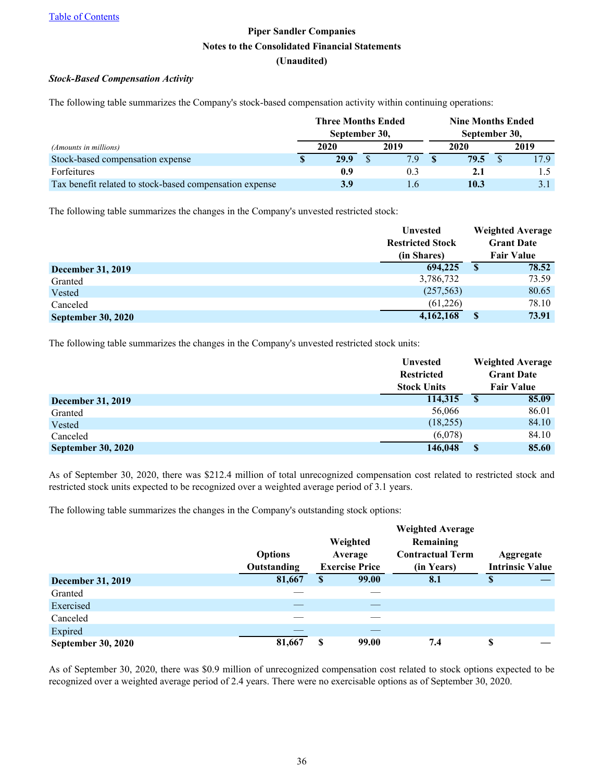#### [Table of Contents](#page-1-0)

### **Piper Sandler Companies Notes to the Consolidated Financial Statements (Unaudited)**

### *Stock-Based Compensation Activity*

The following table summarizes the Company's stock-based compensation activity within continuing operations:

|                                                         | <b>Three Months Ended</b> |      | <b>Nine Months Ended</b> |               |  |      |  |      |
|---------------------------------------------------------|---------------------------|------|--------------------------|---------------|--|------|--|------|
|                                                         | September 30,             |      |                          | September 30, |  |      |  |      |
| (Amounts in millions)                                   |                           | 2020 |                          | 2019          |  | 2020 |  | 2019 |
| Stock-based compensation expense                        |                           | 29.9 |                          | 7.9           |  | 79.5 |  | 17.9 |
| <b>Forfeitures</b>                                      |                           | 0.9  |                          | 0.3           |  | 2.1  |  |      |
| Tax benefit related to stock-based compensation expense |                           | 3.9  |                          | .6            |  | 10.3 |  |      |

The following table summarizes the changes in the Company's unvested restricted stock:

|                           | <b>Unvested</b>         | <b>Weighted Average</b> |                   |
|---------------------------|-------------------------|-------------------------|-------------------|
|                           | <b>Restricted Stock</b> |                         | <b>Grant Date</b> |
|                           | (in Shares)             |                         | <b>Fair Value</b> |
| <b>December 31, 2019</b>  | 694,225                 |                         | 78.52             |
| Granted                   | 3,786,732               |                         | 73.59             |
| Vested                    | (257, 563)              |                         | 80.65             |
| Canceled                  | (61,226)                |                         | 78.10             |
| <b>September 30, 2020</b> | 4,162,168               |                         | 73.91             |

The following table summarizes the changes in the Company's unvested restricted stock units:

|                           | <b>Unvested</b><br><b>Restricted</b><br><b>Stock Units</b> |   | <b>Weighted Average</b><br><b>Grant Date</b><br><b>Fair Value</b> |  |  |
|---------------------------|------------------------------------------------------------|---|-------------------------------------------------------------------|--|--|
| <b>December 31, 2019</b>  | 114,315                                                    | S | 85.09                                                             |  |  |
| Granted                   | 56,066                                                     |   | 86.01                                                             |  |  |
| Vested                    | (18, 255)                                                  |   | 84.10                                                             |  |  |
| Canceled                  | (6,078)                                                    |   | 84.10                                                             |  |  |
| <b>September 30, 2020</b> | 146,048                                                    | S | 85.60                                                             |  |  |

As of September 30, 2020, there was \$212.4 million of total unrecognized compensation cost related to restricted stock and restricted stock units expected to be recognized over a weighted average period of 3.1 years.

The following table summarizes the changes in the Company's outstanding stock options:

|                           | <b>Options</b><br>Outstanding | Weighted<br>Average<br><b>Exercise Price</b> |       | <b>Weighted Average</b><br>Remaining<br><b>Contractual Term</b><br>(in Years) |   | Aggregate<br><b>Intrinsic Value</b> |
|---------------------------|-------------------------------|----------------------------------------------|-------|-------------------------------------------------------------------------------|---|-------------------------------------|
| <b>December 31, 2019</b>  | 81,667                        | $\mathbf S$                                  | 99.00 | 8.1                                                                           | S |                                     |
| Granted                   |                               |                                              |       |                                                                               |   |                                     |
| Exercised                 |                               |                                              |       |                                                                               |   |                                     |
| Canceled                  |                               |                                              |       |                                                                               |   |                                     |
| Expired                   |                               |                                              |       |                                                                               |   |                                     |
| <b>September 30, 2020</b> | 81,667                        | S                                            | 99.00 | 7.4                                                                           | S |                                     |

As of September 30, 2020, there was \$0.9 million of unrecognized compensation cost related to stock options expected to be recognized over a weighted average period of 2.4 years. There were no exercisable options as of September 30, 2020.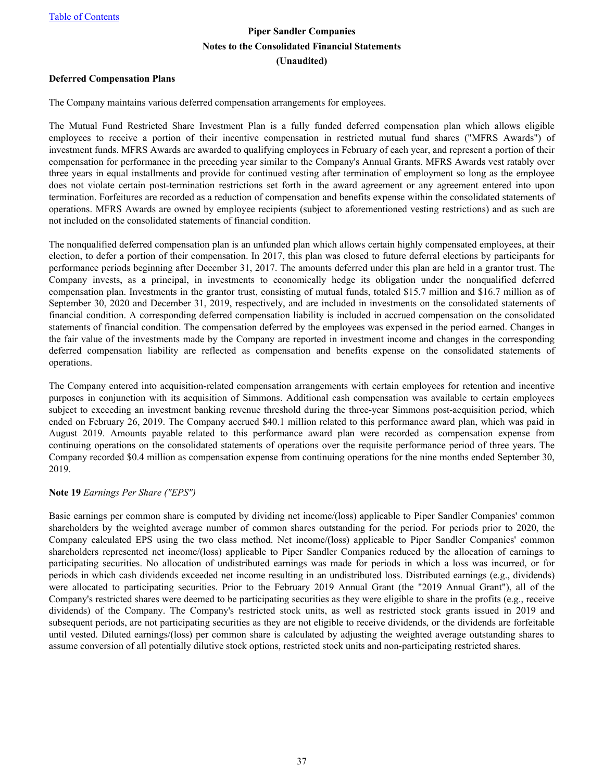## **Deferred Compensation Plans**

The Company maintains various deferred compensation arrangements for employees.

The Mutual Fund Restricted Share Investment Plan is a fully funded deferred compensation plan which allows eligible employees to receive a portion of their incentive compensation in restricted mutual fund shares ("MFRS Awards") of investment funds. MFRS Awards are awarded to qualifying employees in February of each year, and represent a portion of their compensation for performance in the preceding year similar to the Company's Annual Grants. MFRS Awards vest ratably over three years in equal installments and provide for continued vesting after termination of employment so long as the employee does not violate certain post-termination restrictions set forth in the award agreement or any agreement entered into upon termination. Forfeitures are recorded as a reduction of compensation and benefits expense within the consolidated statements of operations. MFRS Awards are owned by employee recipients (subject to aforementioned vesting restrictions) and as such are not included on the consolidated statements of financial condition.

The nonqualified deferred compensation plan is an unfunded plan which allows certain highly compensated employees, at their election, to defer a portion of their compensation. In 2017, this plan was closed to future deferral elections by participants for performance periods beginning after December 31, 2017. The amounts deferred under this plan are held in a grantor trust. The Company invests, as a principal, in investments to economically hedge its obligation under the nonqualified deferred compensation plan. Investments in the grantor trust, consisting of mutual funds, totaled \$15.7 million and \$16.7 million as of September 30, 2020 and December 31, 2019, respectively, and are included in investments on the consolidated statements of financial condition. A corresponding deferred compensation liability is included in accrued compensation on the consolidated statements of financial condition. The compensation deferred by the employees was expensed in the period earned. Changes in the fair value of the investments made by the Company are reported in investment income and changes in the corresponding deferred compensation liability are reflected as compensation and benefits expense on the consolidated statements of operations.

The Company entered into acquisition-related compensation arrangements with certain employees for retention and incentive purposes in conjunction with its acquisition of Simmons. Additional cash compensation was available to certain employees subject to exceeding an investment banking revenue threshold during the three-year Simmons post-acquisition period, which ended on February 26, 2019. The Company accrued \$40.1 million related to this performance award plan, which was paid in August 2019. Amounts payable related to this performance award plan were recorded as compensation expense from continuing operations on the consolidated statements of operations over the requisite performance period of three years. The Company recorded \$0.4 million as compensation expense from continuing operations for the nine months ended September 30, 2019.

#### **Note 19** *Earnings Per Share ("EPS")*

Basic earnings per common share is computed by dividing net income/(loss) applicable to Piper Sandler Companies' common shareholders by the weighted average number of common shares outstanding for the period. For periods prior to 2020, the Company calculated EPS using the two class method. Net income/(loss) applicable to Piper Sandler Companies' common shareholders represented net income/(loss) applicable to Piper Sandler Companies reduced by the allocation of earnings to participating securities. No allocation of undistributed earnings was made for periods in which a loss was incurred, or for periods in which cash dividends exceeded net income resulting in an undistributed loss. Distributed earnings (e.g., dividends) were allocated to participating securities. Prior to the February 2019 Annual Grant (the "2019 Annual Grant"), all of the Company's restricted shares were deemed to be participating securities as they were eligible to share in the profits (e.g., receive dividends) of the Company. The Company's restricted stock units, as well as restricted stock grants issued in 2019 and subsequent periods, are not participating securities as they are not eligible to receive dividends, or the dividends are forfeitable until vested. Diluted earnings/(loss) per common share is calculated by adjusting the weighted average outstanding shares to assume conversion of all potentially dilutive stock options, restricted stock units and non-participating restricted shares.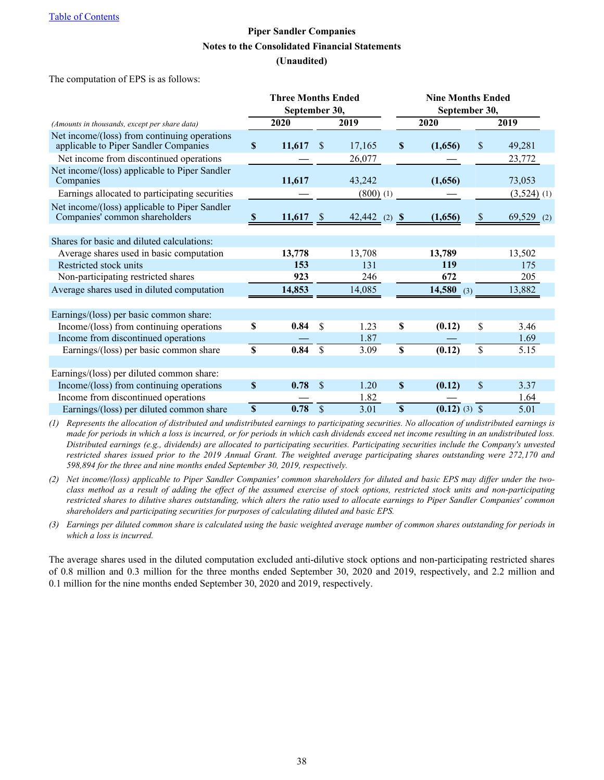The computation of EPS is as follows:

|                                                                                       | <b>Three Months Ended</b><br>September 30, |                      |                    |                        |                           | <b>Nine Months Ended</b><br>September 30, |                           |               |  |  |
|---------------------------------------------------------------------------------------|--------------------------------------------|----------------------|--------------------|------------------------|---------------------------|-------------------------------------------|---------------------------|---------------|--|--|
| (Amounts in thousands, except per share data)                                         |                                            | 2020                 |                    | 2019                   |                           | 2020                                      |                           | 2019          |  |  |
| Net income/(loss) from continuing operations<br>applicable to Piper Sandler Companies | $\mathbf S$                                | $11,617$ \$          |                    | 17,165                 | $\mathbf{\$}$             | (1,656)                                   | \$                        | 49,281        |  |  |
| Net income from discontinued operations                                               |                                            |                      |                    | 26,077                 |                           |                                           |                           | 23,772        |  |  |
| Net income/(loss) applicable to Piper Sandler<br>Companies                            |                                            | 11,617               |                    | 43,242                 |                           | (1,656)                                   |                           | 73,053        |  |  |
| Earnings allocated to participating securities                                        |                                            |                      |                    | $(800)$ (1)            |                           |                                           |                           | $(3,524)$ (1) |  |  |
| Net income/(loss) applicable to Piper Sandler<br>Companies' common shareholders       | $\mathbf{\$}$                              | $11,617$ \$          |                    | $42,442$ (2) <b>\$</b> |                           | (1,656)                                   | $\boldsymbol{\mathsf{S}}$ | $69,529$ (2)  |  |  |
|                                                                                       |                                            |                      |                    |                        |                           |                                           |                           |               |  |  |
| Shares for basic and diluted calculations:                                            |                                            |                      |                    |                        |                           |                                           |                           |               |  |  |
| Average shares used in basic computation                                              |                                            | 13,778               |                    | 13,708                 |                           | 13,789                                    |                           | 13,502        |  |  |
| Restricted stock units                                                                |                                            | 153                  |                    | 131                    |                           | <b>119</b>                                |                           | 175           |  |  |
| Non-participating restricted shares                                                   |                                            | 923                  |                    | 246                    |                           | 672                                       |                           | 205           |  |  |
| Average shares used in diluted computation                                            |                                            | 14,853               |                    | 14,085                 |                           | 14,580<br>(3)                             |                           | 13,882        |  |  |
| Earnings/(loss) per basic common share:                                               |                                            |                      |                    |                        |                           |                                           |                           |               |  |  |
| Income/(loss) from continuing operations                                              | \$                                         | 0.84                 | \$                 | 1.23                   | \$                        | (0.12)                                    | \$                        | 3.46          |  |  |
| Income from discontinued operations                                                   |                                            |                      |                    | 1.87                   |                           |                                           |                           | 1.69          |  |  |
| Earnings/(loss) per basic common share                                                | \$                                         | $0.84 \overline{\$}$ |                    | 3.09                   | $\overline{\mathbf{s}}$   | (0.12)                                    | $\overline{\mathcal{S}}$  | 5.15          |  |  |
| Earnings/(loss) per diluted common share:                                             |                                            |                      |                    |                        |                           |                                           |                           |               |  |  |
| Income/(loss) from continuing operations                                              | $\boldsymbol{\mathsf{S}}$                  | 0.78                 | $\sqrt{S}$         | 1.20                   | $\boldsymbol{\mathsf{S}}$ | (0.12)                                    | $\$$                      | 3.37          |  |  |
| Income from discontinued operations                                                   |                                            |                      |                    | 1.82                   |                           |                                           |                           | 1.64          |  |  |
| Earnings/(loss) per diluted common share                                              | $\mathbf S$                                | 0.78                 | $\mathbf{\hat{s}}$ | 3.01                   | $\mathbf S$               | $(0.12)$ (3) \$                           |                           | 5.01          |  |  |

*(1) Represents the allocation of distributed and undistributed earnings to participating securities. No allocation of undistributed earnings is made for periods in which a loss is incurred, or for periods in which cash dividends exceed net income resulting in an undistributed loss. Distributed earnings (e.g., dividends) are allocated to participating securities. Participating securities include the Company's unvested restricted shares issued prior to the 2019 Annual Grant. The weighted average participating shares outstanding were 272,170 and 598,894 for the three and nine months ended September 30, 2019, respectively.*

*(2) Net income/(loss) applicable to Piper Sandler Companies' common shareholders for diluted and basic EPS may differ under the twoclass method as a result of adding the effect of the assumed exercise of stock options, restricted stock units and non-participating restricted shares to dilutive shares outstanding, which alters the ratio used to allocate earnings to Piper Sandler Companies' common shareholders and participating securities for purposes of calculating diluted and basic EPS.*

*(3) Earnings per diluted common share is calculated using the basic weighted average number of common shares outstanding for periods in which a loss is incurred.*

The average shares used in the diluted computation excluded anti-dilutive stock options and non-participating restricted shares of 0.8 million and 0.3 million for the three months ended September 30, 2020 and 2019, respectively, and 2.2 million and 0.1 million for the nine months ended September 30, 2020 and 2019, respectively.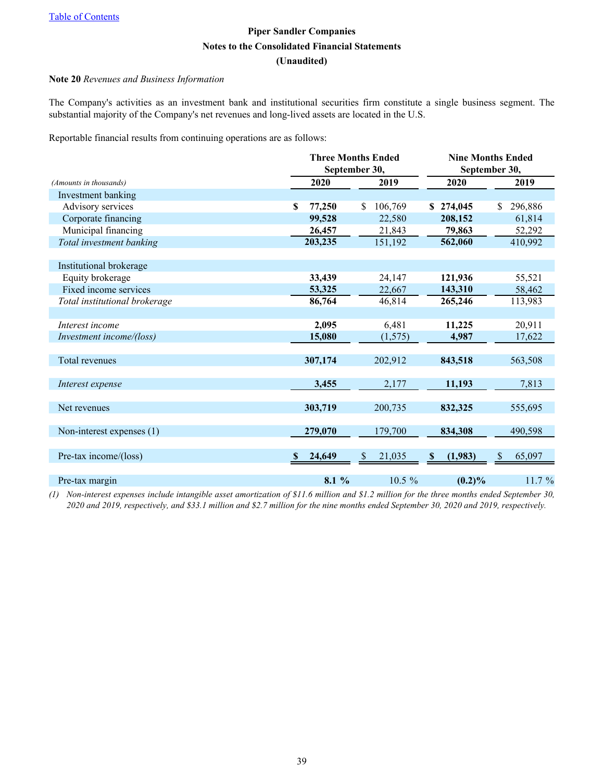#### **Note 20** *Revenues and Business Information*

The Company's activities as an investment bank and institutional securities firm constitute a single business segment. The substantial majority of the Company's net revenues and long-lived assets are located in the U.S.

Reportable financial results from continuing operations are as follows:

|                               | <b>Three Months Ended</b><br>September 30, |               |                          | <b>Nine Months Ended</b><br>September 30, |  |  |
|-------------------------------|--------------------------------------------|---------------|--------------------------|-------------------------------------------|--|--|
| (Amounts in thousands)        | 2020                                       | 2019          | 2020                     | 2019                                      |  |  |
| Investment banking            |                                            |               |                          |                                           |  |  |
| Advisory services             | \$<br>77,250                               | \$<br>106,769 | \$274,045                | 296,886<br>\$                             |  |  |
| Corporate financing           | 99,528                                     | 22,580        | 208,152                  | 61,814                                    |  |  |
| Municipal financing           | 26,457                                     | 21,843        | 79,863                   | 52,292                                    |  |  |
| Total investment banking      | 203,235                                    | 151,192       | 562,060                  | 410,992                                   |  |  |
| Institutional brokerage       |                                            |               |                          |                                           |  |  |
| Equity brokerage              | 33,439                                     | 24,147        | 121,936                  | 55,521                                    |  |  |
| Fixed income services         | 53,325                                     | 22,667        | 143,310                  | 58,462                                    |  |  |
| Total institutional brokerage | 86,764                                     | 46,814        | 265,246                  | 113,983                                   |  |  |
|                               |                                            |               |                          |                                           |  |  |
| Interest income               | 2,095                                      | 6,481         | 11,225                   | 20,911                                    |  |  |
| Investment income/(loss)      | 15,080                                     | (1, 575)      | 4,987                    | 17,622                                    |  |  |
|                               |                                            |               |                          |                                           |  |  |
| Total revenues                | 307,174                                    | 202,912       | 843,518                  | 563,508                                   |  |  |
| Interest expense              | 3,455                                      | 2,177         | 11,193                   | 7,813                                     |  |  |
|                               |                                            |               |                          |                                           |  |  |
| Net revenues                  | 303,719                                    | 200,735       | 832,325                  | 555,695                                   |  |  |
| Non-interest expenses (1)     | 279,070                                    | 179,700       | 834,308                  | 490,598                                   |  |  |
| Pre-tax income/(loss)         | 24,649<br>S                                | \$<br>21,035  | (1,983)<br><sup>\$</sup> | \$<br>65,097                              |  |  |
|                               |                                            |               |                          |                                           |  |  |
| Pre-tax margin                | 8.1%                                       | 10.5 %        | $(0.2)\%$                | 11.7 %                                    |  |  |

*(1) Non-interest expenses include intangible asset amortization of \$11.6 million and \$1.2 million for the three months ended September 30, 2020 and 2019, respectively, and \$33.1 million and \$2.7 million for the nine months ended September 30, 2020 and 2019, respectively.*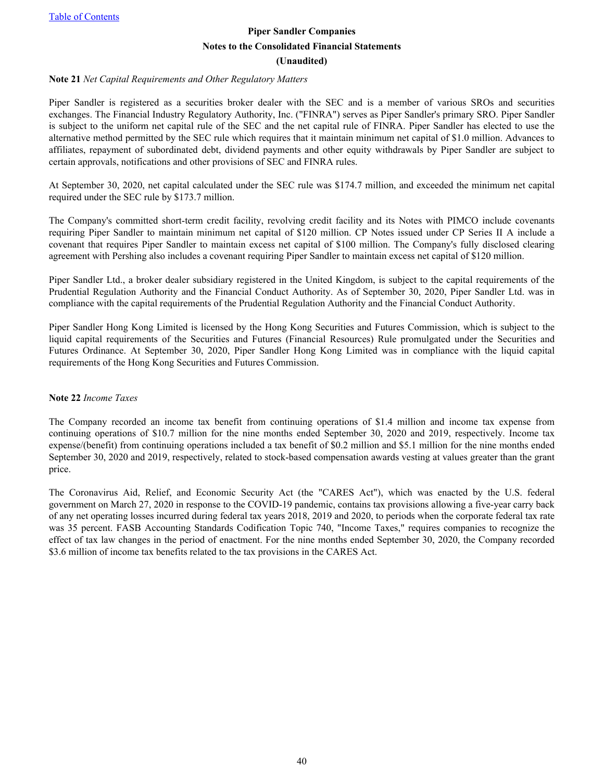#### **Note 21** *Net Capital Requirements and Other Regulatory Matters*

Piper Sandler is registered as a securities broker dealer with the SEC and is a member of various SROs and securities exchanges. The Financial Industry Regulatory Authority, Inc. ("FINRA") serves as Piper Sandler's primary SRO. Piper Sandler is subject to the uniform net capital rule of the SEC and the net capital rule of FINRA. Piper Sandler has elected to use the alternative method permitted by the SEC rule which requires that it maintain minimum net capital of \$1.0 million. Advances to affiliates, repayment of subordinated debt, dividend payments and other equity withdrawals by Piper Sandler are subject to certain approvals, notifications and other provisions of SEC and FINRA rules.

At September 30, 2020, net capital calculated under the SEC rule was \$174.7 million, and exceeded the minimum net capital required under the SEC rule by \$173.7 million.

The Company's committed short-term credit facility, revolving credit facility and its Notes with PIMCO include covenants requiring Piper Sandler to maintain minimum net capital of \$120 million. CP Notes issued under CP Series II A include a covenant that requires Piper Sandler to maintain excess net capital of \$100 million. The Company's fully disclosed clearing agreement with Pershing also includes a covenant requiring Piper Sandler to maintain excess net capital of \$120 million.

Piper Sandler Ltd., a broker dealer subsidiary registered in the United Kingdom, is subject to the capital requirements of the Prudential Regulation Authority and the Financial Conduct Authority. As of September 30, 2020, Piper Sandler Ltd. was in compliance with the capital requirements of the Prudential Regulation Authority and the Financial Conduct Authority.

Piper Sandler Hong Kong Limited is licensed by the Hong Kong Securities and Futures Commission, which is subject to the liquid capital requirements of the Securities and Futures (Financial Resources) Rule promulgated under the Securities and Futures Ordinance. At September 30, 2020, Piper Sandler Hong Kong Limited was in compliance with the liquid capital requirements of the Hong Kong Securities and Futures Commission.

#### **Note 22** *Income Taxes*

The Company recorded an income tax benefit from continuing operations of \$1.4 million and income tax expense from continuing operations of \$10.7 million for the nine months ended September 30, 2020 and 2019, respectively. Income tax expense/(benefit) from continuing operations included a tax benefit of \$0.2 million and \$5.1 million for the nine months ended September 30, 2020 and 2019, respectively, related to stock-based compensation awards vesting at values greater than the grant price.

The Coronavirus Aid, Relief, and Economic Security Act (the "CARES Act"), which was enacted by the U.S. federal government on March 27, 2020 in response to the COVID-19 pandemic, contains tax provisions allowing a five-year carry back of any net operating losses incurred during federal tax years 2018, 2019 and 2020, to periods when the corporate federal tax rate was 35 percent. FASB Accounting Standards Codification Topic 740, "Income Taxes," requires companies to recognize the effect of tax law changes in the period of enactment. For the nine months ended September 30, 2020, the Company recorded \$3.6 million of income tax benefits related to the tax provisions in the CARES Act.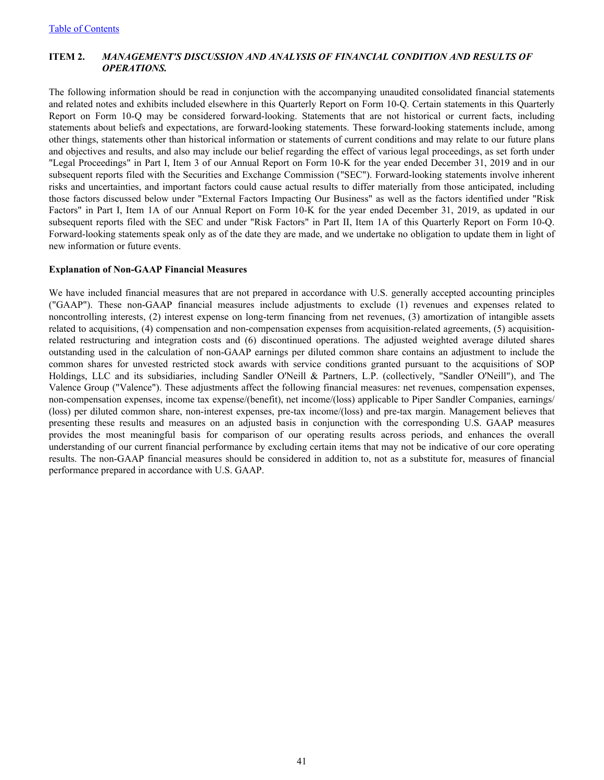## **ITEM 2.** *MANAGEMENT'S DISCUSSION AND ANALYSIS OF FINANCIAL CONDITION AND RESULTS OF OPERATIONS.*

The following information should be read in conjunction with the accompanying unaudited consolidated financial statements and related notes and exhibits included elsewhere in this Quarterly Report on Form 10-Q. Certain statements in this Quarterly Report on Form 10-Q may be considered forward-looking. Statements that are not historical or current facts, including statements about beliefs and expectations, are forward-looking statements. These forward-looking statements include, among other things, statements other than historical information or statements of current conditions and may relate to our future plans and objectives and results, and also may include our belief regarding the effect of various legal proceedings, as set forth under "Legal Proceedings" in Part I, Item 3 of our Annual Report on Form 10-K for the year ended December 31, 2019 and in our subsequent reports filed with the Securities and Exchange Commission ("SEC"). Forward-looking statements involve inherent risks and uncertainties, and important factors could cause actual results to differ materially from those anticipated, including those factors discussed below under "External Factors Impacting Our Business" as well as the factors identified under "Risk Factors" in Part I, Item 1A of our Annual Report on Form 10-K for the year ended December 31, 2019, as updated in our subsequent reports filed with the SEC and under "Risk Factors" in Part II, Item 1A of this Quarterly Report on Form 10-Q. Forward-looking statements speak only as of the date they are made, and we undertake no obligation to update them in light of new information or future events.

#### **Explanation of Non-GAAP Financial Measures**

We have included financial measures that are not prepared in accordance with U.S. generally accepted accounting principles ("GAAP"). These non-GAAP financial measures include adjustments to exclude (1) revenues and expenses related to noncontrolling interests, (2) interest expense on long-term financing from net revenues, (3) amortization of intangible assets related to acquisitions, (4) compensation and non-compensation expenses from acquisition-related agreements, (5) acquisitionrelated restructuring and integration costs and (6) discontinued operations. The adjusted weighted average diluted shares outstanding used in the calculation of non-GAAP earnings per diluted common share contains an adjustment to include the common shares for unvested restricted stock awards with service conditions granted pursuant to the acquisitions of SOP Holdings, LLC and its subsidiaries, including Sandler O'Neill & Partners, L.P. (collectively, "Sandler O'Neill"), and The Valence Group ("Valence"). These adjustments affect the following financial measures: net revenues, compensation expenses, non-compensation expenses, income tax expense/(benefit), net income/(loss) applicable to Piper Sandler Companies, earnings/ (loss) per diluted common share, non-interest expenses, pre-tax income/(loss) and pre-tax margin. Management believes that presenting these results and measures on an adjusted basis in conjunction with the corresponding U.S. GAAP measures provides the most meaningful basis for comparison of our operating results across periods, and enhances the overall understanding of our current financial performance by excluding certain items that may not be indicative of our core operating results. The non-GAAP financial measures should be considered in addition to, not as a substitute for, measures of financial performance prepared in accordance with U.S. GAAP.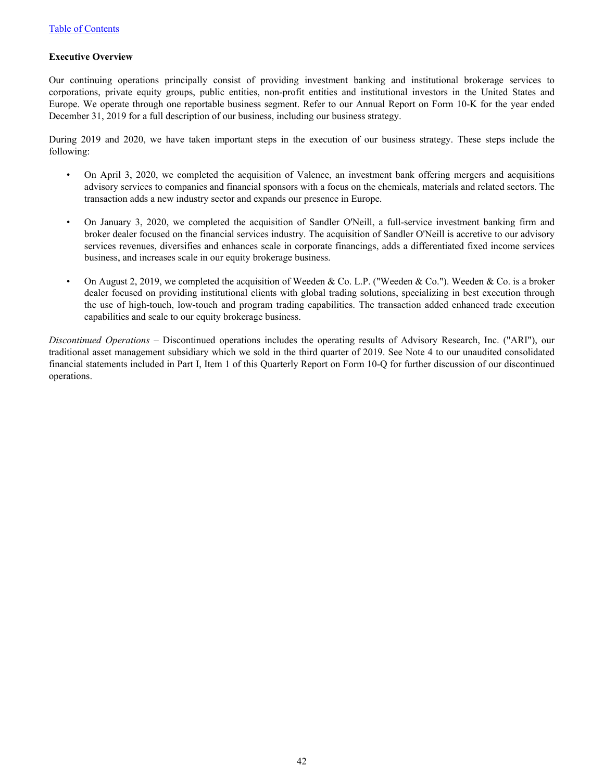## **Executive Overview**

Our continuing operations principally consist of providing investment banking and institutional brokerage services to corporations, private equity groups, public entities, non-profit entities and institutional investors in the United States and Europe. We operate through one reportable business segment. Refer to our Annual Report on Form 10-K for the year ended December 31, 2019 for a full description of our business, including our business strategy.

During 2019 and 2020, we have taken important steps in the execution of our business strategy. These steps include the following:

- On April 3, 2020, we completed the acquisition of Valence, an investment bank offering mergers and acquisitions advisory services to companies and financial sponsors with a focus on the chemicals, materials and related sectors. The transaction adds a new industry sector and expands our presence in Europe.
- On January 3, 2020, we completed the acquisition of Sandler O'Neill, a full-service investment banking firm and broker dealer focused on the financial services industry. The acquisition of Sandler O'Neill is accretive to our advisory services revenues, diversifies and enhances scale in corporate financings, adds a differentiated fixed income services business, and increases scale in our equity brokerage business.
- On August 2, 2019, we completed the acquisition of Weeden & Co. L.P. ("Weeden & Co."). Weeden & Co. is a broker dealer focused on providing institutional clients with global trading solutions, specializing in best execution through the use of high-touch, low-touch and program trading capabilities. The transaction added enhanced trade execution capabilities and scale to our equity brokerage business.

*Discontinued Operations –* Discontinued operations includes the operating results of Advisory Research, Inc. ("ARI"), our traditional asset management subsidiary which we sold in the third quarter of 2019. See Note 4 to our unaudited consolidated financial statements included in Part I, Item 1 of this Quarterly Report on Form 10-Q for further discussion of our discontinued operations.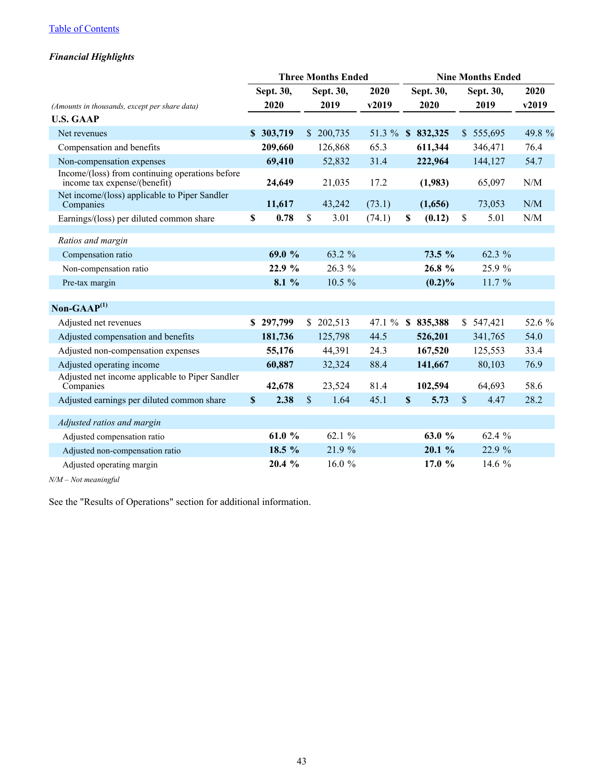# *Financial Highlights*

|                                                                                 | <b>Three Months Ended</b> |            |               |           |          | <b>Nine Months Ended</b> |                   |    |           |        |
|---------------------------------------------------------------------------------|---------------------------|------------|---------------|-----------|----------|--------------------------|-------------------|----|-----------|--------|
|                                                                                 |                           | Sept. 30,  |               | Sept. 30, | 2020     |                          | Sept. 30,         |    | Sept. 30, | 2020   |
| (Amounts in thousands, except per share data)                                   |                           | 2020       |               | 2019      | v2019    |                          | 2020              |    | 2019      | v2019  |
| <b>U.S. GAAP</b>                                                                |                           |            |               |           |          |                          |                   |    |           |        |
| Net revenues                                                                    |                           | \$ 303,719 |               | \$200,735 |          |                          | 51.3 % \$ 832,325 |    | \$555,695 | 49.8 % |
| Compensation and benefits                                                       |                           | 209,660    |               | 126,868   | 65.3     |                          | 611,344           |    | 346,471   | 76.4   |
| Non-compensation expenses                                                       |                           | 69,410     |               | 52,832    | 31.4     |                          | 222,964           |    | 144,127   | 54.7   |
| Income/(loss) from continuing operations before<br>income tax expense/(benefit) |                           | 24,649     |               | 21,035    | 17.2     |                          | (1,983)           |    | 65,097    | N/M    |
| Net income/(loss) applicable to Piper Sandler<br>Companies                      |                           | 11,617     |               | 43,242    | (73.1)   |                          | (1,656)           |    | 73,053    | N/M    |
| Earnings/(loss) per diluted common share                                        | \$                        | 0.78       | \$            | 3.01      | (74.1)   | \$                       | (0.12)            | \$ | 5.01      | N/M    |
|                                                                                 |                           |            |               |           |          |                          |                   |    |           |        |
| Ratios and margin                                                               |                           |            |               |           |          |                          |                   |    |           |        |
| Compensation ratio                                                              |                           | 69.0 %     |               | 63.2 %    |          |                          | 73.5 %            |    | 62.3 %    |        |
| Non-compensation ratio                                                          |                           | 22.9 %     |               | 26.3 %    |          |                          | 26.8 %            |    | 25.9 %    |        |
| Pre-tax margin                                                                  |                           | 8.1 %      |               | $10.5 \%$ |          |                          | $(0.2)\%$         |    | 11.7%     |        |
|                                                                                 |                           |            |               |           |          |                          |                   |    |           |        |
| Non-GAA $P^{(1)}$                                                               |                           |            |               |           |          |                          |                   |    |           |        |
| Adjusted net revenues                                                           |                           | \$297,799  |               | \$202,513 | 47.1 $%$ | $\mathbf S$              | 835,388           | \$ | 547,421   | 52.6 % |
| Adjusted compensation and benefits                                              |                           | 181,736    |               | 125,798   | 44.5     |                          | 526,201           |    | 341,765   | 54.0   |
| Adjusted non-compensation expenses                                              |                           | 55,176     |               | 44,391    | 24.3     |                          | 167,520           |    | 125,553   | 33.4   |
| Adjusted operating income                                                       |                           | 60,887     |               | 32,324    | 88.4     |                          | 141,667           |    | 80,103    | 76.9   |
| Adjusted net income applicable to Piper Sandler<br>Companies                    |                           | 42,678     |               | 23,524    | 81.4     |                          | 102,594           |    | 64,693    | 58.6   |
| Adjusted earnings per diluted common share                                      | $\mathbb{S}$              | 2.38       | $\mathsf{\$}$ | 1.64      | 45.1     | $\mathbf{s}$             | 5.73              | \$ | 4.47      | 28.2   |
|                                                                                 |                           |            |               |           |          |                          |                   |    |           |        |
| Adjusted ratios and margin                                                      |                           |            |               |           |          |                          |                   |    |           |        |
| Adjusted compensation ratio                                                     |                           | 61.0 %     |               | 62.1 %    |          |                          | 63.0 %            |    | 62.4 %    |        |
| Adjusted non-compensation ratio                                                 |                           | 18.5 %     |               | 21.9 %    |          |                          | 20.1 %            |    | 22.9 %    |        |
| Adjusted operating margin                                                       |                           | 20.4 %     |               | 16.0 $%$  |          |                          | 17.0 %            |    | 14.6 %    |        |
| $\mathbf{v} \cdot \mathbf{v}$                                                   |                           |            |               |           |          |                          |                   |    |           |        |

*N/M – Not meaningful*

See the "Results of Operations" section for additional information.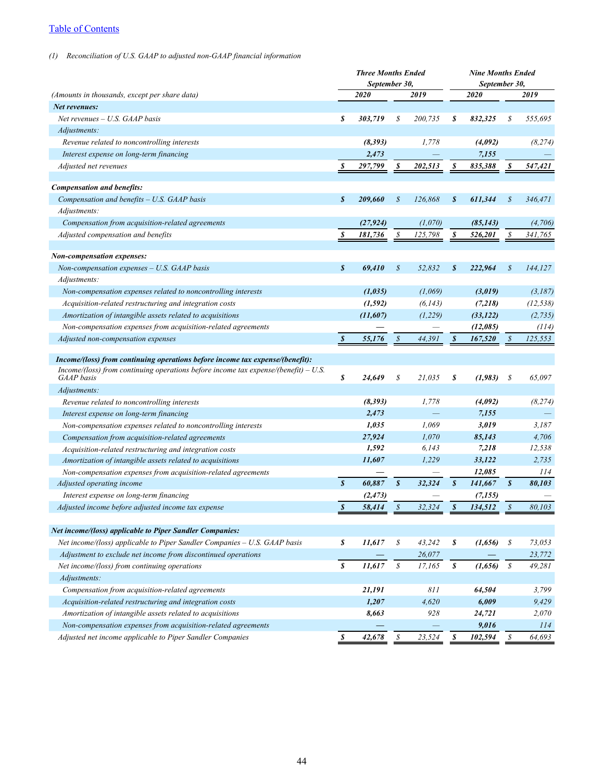# [Table of Contents](#page-1-0)

## *(1) Reconciliation of U.S. GAAP to adjusted non-GAAP financial information*

|                                                                                                                      | <b>Three Months Ended</b> |                |                     |          | <b>Nine Months Ended</b> |           |                                                       |                      |  |
|----------------------------------------------------------------------------------------------------------------------|---------------------------|----------------|---------------------|----------|--------------------------|-----------|-------------------------------------------------------|----------------------|--|
|                                                                                                                      |                           | September 30,  |                     |          |                          |           | September 30,                                         |                      |  |
| (Amounts in thousands, except per share data)                                                                        |                           | 2020           |                     | 2019     |                          | 2020      |                                                       | 2019                 |  |
| Net revenues:                                                                                                        |                           |                |                     |          |                          |           |                                                       |                      |  |
| Net revenues - U.S. GAAP basis                                                                                       | \$                        | 303,719        | \$                  | 200,735  | S                        | 832,325   | S                                                     | 555,695              |  |
| Adjustments:                                                                                                         |                           |                |                     |          |                          |           |                                                       |                      |  |
| Revenue related to noncontrolling interests                                                                          |                           | (8, 393)       |                     | 1,778    |                          | (4,092)   |                                                       | (8, 274)             |  |
| Interest expense on long-term financing                                                                              |                           | 2,473          |                     |          |                          | 7,155     |                                                       |                      |  |
| Adjusted net revenues                                                                                                | S                         | 297,799        | \$                  | 202,513  | S                        | 835,388   | S                                                     | 547,421              |  |
|                                                                                                                      |                           |                |                     |          |                          |           |                                                       |                      |  |
| <b>Compensation and benefits:</b>                                                                                    |                           |                |                     |          |                          |           |                                                       |                      |  |
| Compensation and benefits - U.S. GAAP basis                                                                          | \$                        | 209,660        | $\mathcal{S}_{0}$   | 126,868  | $\boldsymbol{s}$         | 611,344   | $\mathcal{S}$                                         | 346,471              |  |
| Adjustments:                                                                                                         |                           |                |                     |          |                          |           |                                                       |                      |  |
| Compensation from acquisition-related agreements                                                                     |                           | (27, 924)      |                     | (1,070)  |                          | (85, 143) |                                                       | (4,706)              |  |
| Adjusted compensation and benefits                                                                                   | S                         | 181,736        | \$                  | 125,798  | \$                       | 526,201   | \$                                                    | 341,765              |  |
|                                                                                                                      |                           |                |                     |          |                          |           |                                                       |                      |  |
| Non-compensation expenses:                                                                                           |                           |                |                     |          |                          |           |                                                       |                      |  |
| Non-compensation expenses $- U.S. G AAP$ basis                                                                       | \$                        | 69,410         | $\mathcal{S}$       | 52,832   | $\boldsymbol{s}$         | 222,964   | \$                                                    | 144,127              |  |
| Adjustments:                                                                                                         |                           |                |                     |          |                          |           |                                                       |                      |  |
| Non-compensation expenses related to noncontrolling interests                                                        |                           | (1,035)        |                     | (1,069)  |                          | (3,019)   |                                                       | (3,187)              |  |
| Acquisition-related restructuring and integration costs                                                              |                           | (1, 592)       |                     | (6, 143) |                          | (7,218)   |                                                       | (12, 538)            |  |
| Amortization of intangible assets related to acquisitions                                                            |                           | (11,607)       |                     | (1, 229) |                          | (33, 122) |                                                       | (2, 735)             |  |
| Non-compensation expenses from acquisition-related agreements                                                        |                           |                |                     |          |                          | (12,085)  |                                                       | (114)                |  |
| Adjusted non-compensation expenses                                                                                   | S                         | 55,176         | $\mathcal S$        | 44,391   | \$                       | 167,520   | $\mathcal{S}$                                         | 125,553              |  |
|                                                                                                                      |                           |                |                     |          |                          |           |                                                       |                      |  |
| Income/(loss) from continuing operations before income tax expense/(benefit):                                        |                           |                |                     |          |                          |           |                                                       |                      |  |
| Income/(loss) from continuing operations before income tax expense/(benefit) – U.S.<br>GAAP basis                    | \$                        | 24,649         | \$                  | 21,035   | \$                       | (1, 983)  | \$                                                    | 65,097               |  |
| Adjustments:                                                                                                         |                           |                |                     |          |                          |           |                                                       |                      |  |
| Revenue related to noncontrolling interests                                                                          |                           | (8, 393)       |                     | 1,778    |                          | (4,092)   |                                                       | (8, 274)             |  |
| Interest expense on long-term financing                                                                              |                           | 2,473          |                     |          |                          | 7,155     |                                                       |                      |  |
| Non-compensation expenses related to noncontrolling interests                                                        |                           | 1,035          |                     | 1,069    |                          | 3,019     |                                                       | 3,187                |  |
| Compensation from acquisition-related agreements                                                                     |                           | 27,924         |                     | 1,070    |                          | 85,143    |                                                       | 4,706                |  |
| Acquisition-related restructuring and integration costs                                                              |                           | 1,592          |                     | 6,143    |                          | 7,218     |                                                       | 12,538               |  |
| Amortization of intangible assets related to acquisitions                                                            |                           | 11.607         |                     | 1,229    |                          | 33,122    |                                                       | 2,735                |  |
| Non-compensation expenses from acquisition-related agreements                                                        |                           |                |                     |          |                          | 12,085    |                                                       | 114                  |  |
| Adjusted operating income                                                                                            | $\boldsymbol{s}$          | 60,887         | $\pmb{\mathcal{S}}$ | 32,324   | $\boldsymbol{s}$         | 141,667   | $\boldsymbol{\mathcal{S}}$                            | 80,103               |  |
| Interest expense on long-term financing                                                                              |                           | (2, 473)       |                     |          |                          | (7,155)   |                                                       |                      |  |
| Adjusted income before adjusted income tax expense                                                                   | $\boldsymbol{s}$          | 58,414         | $\mathcal{S}_{0}$   | 32.324   | $\boldsymbol{s}$         | 134,512   | $\mathcal{S}_{0}$                                     | 80.103               |  |
|                                                                                                                      |                           |                |                     |          |                          |           |                                                       |                      |  |
| Net income/(loss) applicable to Piper Sandler Companies:                                                             |                           |                |                     |          |                          |           |                                                       |                      |  |
| Net income/(loss) applicable to Piper Sandler Companies - U.S. GAAP basis                                            | \$                        | 11,617         | \$                  | 43,242   | \$                       | (1,656)   | \$                                                    | 73,053               |  |
| Adjustment to exclude net income from discontinued operations                                                        |                           |                |                     | 26,077   |                          |           |                                                       | 23,772               |  |
| Net income/(loss) from continuing operations                                                                         | $\boldsymbol{s}$          | 11,617         | $\mathcal S$        | 17,165   | \$                       | (1,656)   | $\mathcal{S}% _{0}^{\prime}=\mathcal{S}_{0}^{\prime}$ | 49,281               |  |
| Adjustments:                                                                                                         |                           |                |                     |          |                          |           |                                                       |                      |  |
|                                                                                                                      |                           | 21,191         |                     | 811      |                          | 64,504    |                                                       | 3,799                |  |
| Compensation from acquisition-related agreements                                                                     |                           |                |                     | 4,620    |                          | 6,009     |                                                       |                      |  |
| Acquisition-related restructuring and integration costs<br>Amortization of intangible assets related to acquisitions |                           | 1,207<br>8,663 |                     |          |                          | 24,721    |                                                       | 9,429                |  |
|                                                                                                                      |                           |                |                     | 928      |                          | 9,016     |                                                       | 2,070                |  |
| Non-compensation expenses from acquisition-related agreements                                                        | S                         | 42,678         | $\mathcal S$        | 23,524   |                          | 102,594   | $\mathcal S$                                          | <i>114</i><br>64,693 |  |
| Adjusted net income applicable to Piper Sandler Companies                                                            |                           |                |                     |          | \$                       |           |                                                       |                      |  |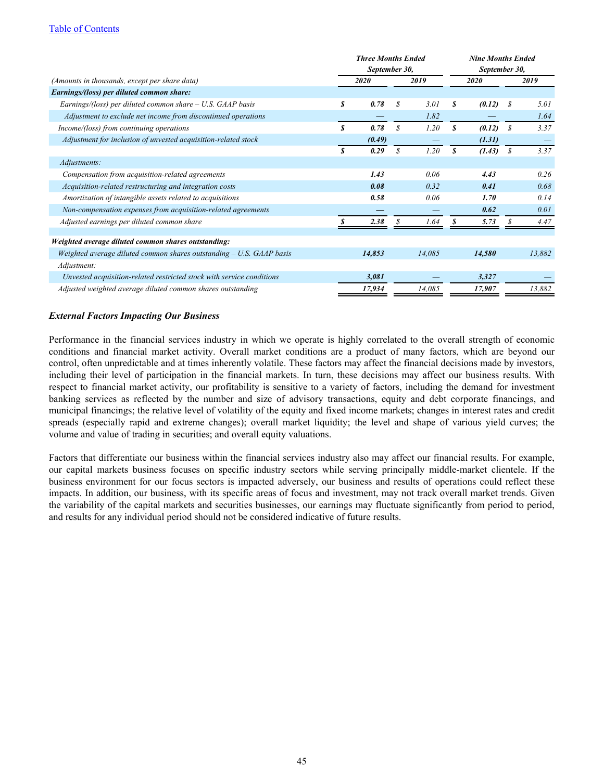#### [Table of Contents](#page-1-0)

|                                                                       |   | <b>Three Months Ended</b> |   | <b>Nine Months Ended</b> |   |        |               |        |
|-----------------------------------------------------------------------|---|---------------------------|---|--------------------------|---|--------|---------------|--------|
|                                                                       |   | September 30,             |   |                          |   |        | September 30, |        |
| (Amounts in thousands, except per share data)                         |   | 2020                      |   | 2019                     |   | 2020   |               | 2019   |
| Earnings/(loss) per diluted common share:                             |   |                           |   |                          |   |        |               |        |
| Earnings/(loss) per diluted common share $- U.S. G AAP$ basis         | S | 0.78                      | S | 3.01                     | S | (0.12) | \$            | 5.01   |
| Adjustment to exclude net income from discontinued operations         |   |                           |   | 1.82                     |   |        |               | 1.64   |
| Income/(loss) from continuing operations                              | S | 0.78                      | S | 1.20                     | S | (0.12) | S             | 3.37   |
| Adjustment for inclusion of unvested acquisition-related stock        |   | (0.49)                    |   |                          |   | (1.31) |               |        |
|                                                                       | S | 0.29                      | S | 1.20                     | S | (1.43) | $\mathcal{S}$ | 3.37   |
| Adjustments:                                                          |   |                           |   |                          |   |        |               |        |
| Compensation from acquisition-related agreements                      |   | 1.43                      |   | 0.06                     |   | 4.43   |               | 0.26   |
| Acquisition-related restructuring and integration costs               |   | 0.08                      |   | 0.32                     |   | 0.41   |               | 0.68   |
| Amortization of intangible assets related to acquisitions             |   | 0.58                      |   | 0.06                     |   | 1.70   |               | 0.14   |
| Non-compensation expenses from acquisition-related agreements         |   |                           |   |                          |   | 0.62   |               | 0.01   |
| Adjusted earnings per diluted common share                            |   | 2.38                      | S | 1.64                     |   | 5.73   | S             | 4.47   |
|                                                                       |   |                           |   |                          |   |        |               |        |
| Weighted average diluted common shares outstanding:                   |   |                           |   |                          |   |        |               |        |
| Weighted average diluted common shares outstanding $- U.S. GAP$ basis |   | 14,853                    |   | 14,085                   |   | 14,580 |               | 13,882 |
| Adjustment:                                                           |   |                           |   |                          |   |        |               |        |
| Unvested acquisition-related restricted stock with service conditions |   | 3,081                     |   |                          |   | 3,327  |               |        |
| Adjusted weighted average diluted common shares outstanding           |   | 17,934                    |   | 14,085                   |   | 17,907 |               | 13,882 |

#### *External Factors Impacting Our Business*

Performance in the financial services industry in which we operate is highly correlated to the overall strength of economic conditions and financial market activity. Overall market conditions are a product of many factors, which are beyond our control, often unpredictable and at times inherently volatile. These factors may affect the financial decisions made by investors, including their level of participation in the financial markets. In turn, these decisions may affect our business results. With respect to financial market activity, our profitability is sensitive to a variety of factors, including the demand for investment banking services as reflected by the number and size of advisory transactions, equity and debt corporate financings, and municipal financings; the relative level of volatility of the equity and fixed income markets; changes in interest rates and credit spreads (especially rapid and extreme changes); overall market liquidity; the level and shape of various yield curves; the volume and value of trading in securities; and overall equity valuations.

Factors that differentiate our business within the financial services industry also may affect our financial results. For example, our capital markets business focuses on specific industry sectors while serving principally middle-market clientele. If the business environment for our focus sectors is impacted adversely, our business and results of operations could reflect these impacts. In addition, our business, with its specific areas of focus and investment, may not track overall market trends. Given the variability of the capital markets and securities businesses, our earnings may fluctuate significantly from period to period, and results for any individual period should not be considered indicative of future results.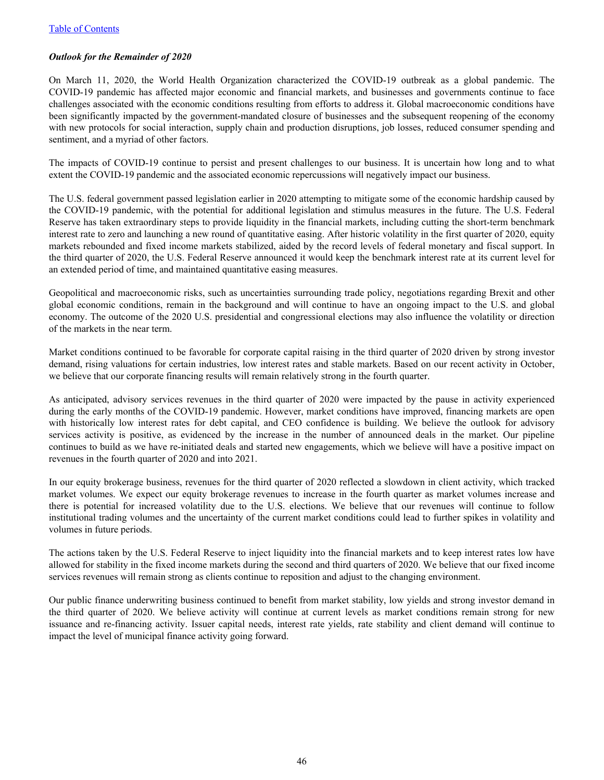## *Outlook for the Remainder of 2020*

On March 11, 2020, the World Health Organization characterized the COVID-19 outbreak as a global pandemic. The COVID-19 pandemic has affected major economic and financial markets, and businesses and governments continue to face challenges associated with the economic conditions resulting from efforts to address it. Global macroeconomic conditions have been significantly impacted by the government-mandated closure of businesses and the subsequent reopening of the economy with new protocols for social interaction, supply chain and production disruptions, job losses, reduced consumer spending and sentiment, and a myriad of other factors.

The impacts of COVID-19 continue to persist and present challenges to our business. It is uncertain how long and to what extent the COVID-19 pandemic and the associated economic repercussions will negatively impact our business.

The U.S. federal government passed legislation earlier in 2020 attempting to mitigate some of the economic hardship caused by the COVID-19 pandemic, with the potential for additional legislation and stimulus measures in the future. The U.S. Federal Reserve has taken extraordinary steps to provide liquidity in the financial markets, including cutting the short-term benchmark interest rate to zero and launching a new round of quantitative easing. After historic volatility in the first quarter of 2020, equity markets rebounded and fixed income markets stabilized, aided by the record levels of federal monetary and fiscal support. In the third quarter of 2020, the U.S. Federal Reserve announced it would keep the benchmark interest rate at its current level for an extended period of time, and maintained quantitative easing measures.

Geopolitical and macroeconomic risks, such as uncertainties surrounding trade policy, negotiations regarding Brexit and other global economic conditions, remain in the background and will continue to have an ongoing impact to the U.S. and global economy. The outcome of the 2020 U.S. presidential and congressional elections may also influence the volatility or direction of the markets in the near term.

Market conditions continued to be favorable for corporate capital raising in the third quarter of 2020 driven by strong investor demand, rising valuations for certain industries, low interest rates and stable markets. Based on our recent activity in October, we believe that our corporate financing results will remain relatively strong in the fourth quarter.

As anticipated, advisory services revenues in the third quarter of 2020 were impacted by the pause in activity experienced during the early months of the COVID-19 pandemic. However, market conditions have improved, financing markets are open with historically low interest rates for debt capital, and CEO confidence is building. We believe the outlook for advisory services activity is positive, as evidenced by the increase in the number of announced deals in the market. Our pipeline continues to build as we have re-initiated deals and started new engagements, which we believe will have a positive impact on revenues in the fourth quarter of 2020 and into 2021.

In our equity brokerage business, revenues for the third quarter of 2020 reflected a slowdown in client activity, which tracked market volumes. We expect our equity brokerage revenues to increase in the fourth quarter as market volumes increase and there is potential for increased volatility due to the U.S. elections. We believe that our revenues will continue to follow institutional trading volumes and the uncertainty of the current market conditions could lead to further spikes in volatility and volumes in future periods.

The actions taken by the U.S. Federal Reserve to inject liquidity into the financial markets and to keep interest rates low have allowed for stability in the fixed income markets during the second and third quarters of 2020. We believe that our fixed income services revenues will remain strong as clients continue to reposition and adjust to the changing environment.

Our public finance underwriting business continued to benefit from market stability, low yields and strong investor demand in the third quarter of 2020. We believe activity will continue at current levels as market conditions remain strong for new issuance and re-financing activity. Issuer capital needs, interest rate yields, rate stability and client demand will continue to impact the level of municipal finance activity going forward.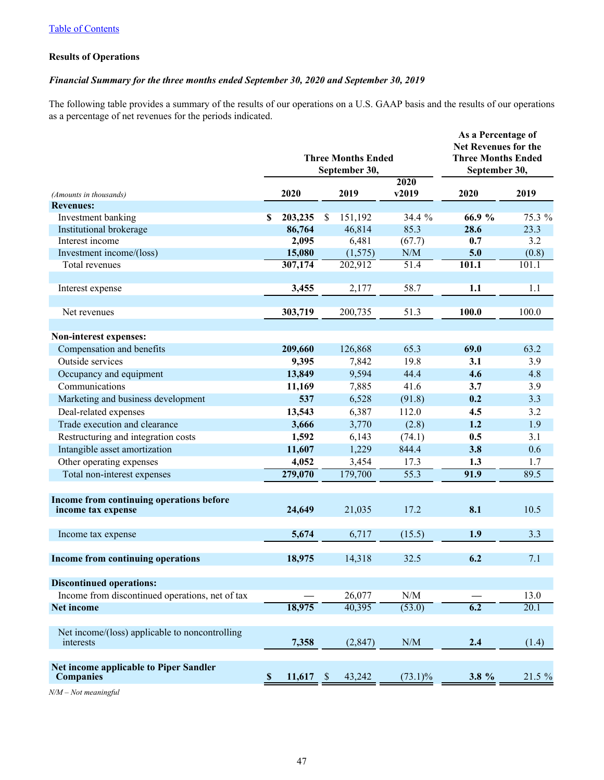## **Results of Operations**

# *Financial Summary for the three months ended September 30, 2020 and September 30, 2019*

The following table provides a summary of the results of our operations on a U.S. GAAP basis and the results of our operations as a percentage of net revenues for the periods indicated.

|                                                                   | <b>Three Months Ended</b><br>September 30,<br>2020 |               |          |                                                             |         | As a Percentage of<br>Net Revenues for the<br><b>Three Months Ended</b><br>September 30, |
|-------------------------------------------------------------------|----------------------------------------------------|---------------|----------|-------------------------------------------------------------|---------|------------------------------------------------------------------------------------------|
| (Amounts in thousands)                                            | 2020                                               |               | 2019     | v2019                                                       | 2020    | 2019                                                                                     |
| <b>Revenues:</b>                                                  |                                                    |               |          |                                                             |         |                                                                                          |
| Investment banking                                                | 203,235<br>S                                       | <sup>\$</sup> | 151,192  | 34.4 %                                                      | 66.9 %  | 75.3 %                                                                                   |
| Institutional brokerage                                           | 86,764                                             |               | 46,814   | 85.3                                                        | 28.6    | 23.3                                                                                     |
| Interest income                                                   | 2,095                                              |               | 6,481    | (67.7)                                                      | 0.7     | 3.2                                                                                      |
| Investment income/(loss)                                          | 15,080                                             |               | (1, 575) | $\ensuremath{\text{N}}\xspace/\ensuremath{\text{M}}\xspace$ | 5.0     | (0.8)                                                                                    |
| Total revenues                                                    | 307,174                                            |               | 202,912  | 51.4                                                        | 101.1   | 101.1                                                                                    |
| Interest expense                                                  | 3,455                                              |               | 2,177    | 58.7                                                        | 1.1     | 1.1                                                                                      |
| Net revenues                                                      | 303,719                                            |               | 200,735  | 51.3                                                        | 100.0   | 100.0                                                                                    |
| Non-interest expenses:                                            |                                                    |               |          |                                                             |         |                                                                                          |
| Compensation and benefits                                         | 209,660                                            |               | 126,868  | 65.3                                                        | 69.0    | 63.2                                                                                     |
| Outside services                                                  | 9,395                                              |               | 7,842    | 19.8                                                        | 3.1     | 3.9                                                                                      |
| Occupancy and equipment                                           | 13,849                                             |               | 9,594    | 44.4                                                        | 4.6     | 4.8                                                                                      |
| Communications                                                    | 11,169                                             |               | 7,885    | 41.6                                                        | 3.7     | 3.9                                                                                      |
| Marketing and business development                                | 537                                                |               | 6,528    | (91.8)                                                      | 0.2     | 3.3                                                                                      |
| Deal-related expenses                                             | 13,543                                             |               | 6,387    | 112.0                                                       | 4.5     | 3.2                                                                                      |
| Trade execution and clearance                                     | 3,666                                              |               | 3,770    | (2.8)                                                       | 1.2     | 1.9                                                                                      |
| Restructuring and integration costs                               | 1,592                                              |               | 6,143    | (74.1)                                                      | 0.5     | 3.1                                                                                      |
| Intangible asset amortization                                     | 11,607                                             |               | 1,229    | 844.4                                                       | 3.8     | 0.6                                                                                      |
| Other operating expenses                                          | 4,052                                              |               | 3,454    | 17.3                                                        | 1.3     | 1.7                                                                                      |
| Total non-interest expenses                                       | 279,070                                            |               | 179,700  | 55.3                                                        | 91.9    | 89.5                                                                                     |
| Income from continuing operations before<br>income tax expense    | 24,649                                             |               | 21,035   | 17.2                                                        | 8.1     | 10.5                                                                                     |
| Income tax expense                                                | 5,674                                              |               | 6,717    | (15.5)                                                      | 1.9     | 3.3                                                                                      |
| Income from continuing operations                                 | 18,975                                             |               | 14,318   | 32.5                                                        | 6.2     | 7.1                                                                                      |
| <b>Discontinued operations:</b>                                   |                                                    |               |          |                                                             |         |                                                                                          |
| Income from discontinued operations, net of tax                   |                                                    |               | 26,077   | $\ensuremath{\text{N}}\xspace/\ensuremath{\text{M}}\xspace$ |         | 13.0                                                                                     |
| Net income                                                        | 18,975                                             |               | 40,395   | (53.0)                                                      | 6.2     | 20.1                                                                                     |
| Net income/(loss) applicable to noncontrolling<br>interests       | 7,358                                              |               | (2, 847) | N/M                                                         | 2.4     | (1.4)                                                                                    |
| <b>Net income applicable to Piper Sandler</b><br><b>Companies</b> | <u>11,617</u><br><sup>\$</sup>                     | - \$          | 43,242   | $(73.1)\%$                                                  | $3.8\%$ | 21.5 %                                                                                   |

*N/M – Not meaningful*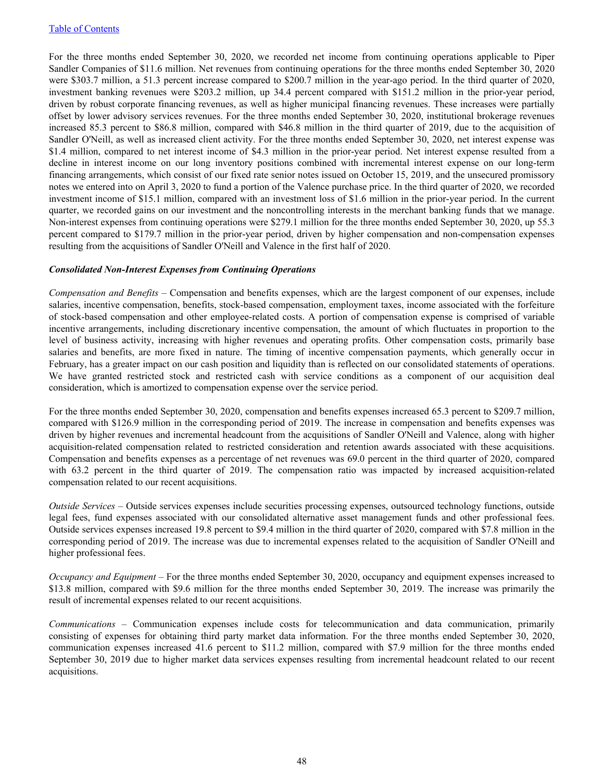For the three months ended September 30, 2020, we recorded net income from continuing operations applicable to Piper Sandler Companies of \$11.6 million. Net revenues from continuing operations for the three months ended September 30, 2020 were \$303.7 million, a 51.3 percent increase compared to \$200.7 million in the year-ago period. In the third quarter of 2020, investment banking revenues were \$203.2 million, up 34.4 percent compared with \$151.2 million in the prior-year period, driven by robust corporate financing revenues, as well as higher municipal financing revenues. These increases were partially offset by lower advisory services revenues. For the three months ended September 30, 2020, institutional brokerage revenues increased 85.3 percent to \$86.8 million, compared with \$46.8 million in the third quarter of 2019, due to the acquisition of Sandler O'Neill, as well as increased client activity. For the three months ended September 30, 2020, net interest expense was \$1.4 million, compared to net interest income of \$4.3 million in the prior-year period. Net interest expense resulted from a decline in interest income on our long inventory positions combined with incremental interest expense on our long-term financing arrangements, which consist of our fixed rate senior notes issued on October 15, 2019, and the unsecured promissory notes we entered into on April 3, 2020 to fund a portion of the Valence purchase price. In the third quarter of 2020, we recorded investment income of \$15.1 million, compared with an investment loss of \$1.6 million in the prior-year period. In the current quarter, we recorded gains on our investment and the noncontrolling interests in the merchant banking funds that we manage. Non-interest expenses from continuing operations were \$279.1 million for the three months ended September 30, 2020, up 55.3 percent compared to \$179.7 million in the prior-year period, driven by higher compensation and non-compensation expenses resulting from the acquisitions of Sandler O'Neill and Valence in the first half of 2020.

#### *Consolidated Non-Interest Expenses from Continuing Operations*

*Compensation and Benefits* – Compensation and benefits expenses, which are the largest component of our expenses, include salaries, incentive compensation, benefits, stock-based compensation, employment taxes, income associated with the forfeiture of stock-based compensation and other employee-related costs. A portion of compensation expense is comprised of variable incentive arrangements, including discretionary incentive compensation, the amount of which fluctuates in proportion to the level of business activity, increasing with higher revenues and operating profits. Other compensation costs, primarily base salaries and benefits, are more fixed in nature. The timing of incentive compensation payments, which generally occur in February, has a greater impact on our cash position and liquidity than is reflected on our consolidated statements of operations. We have granted restricted stock and restricted cash with service conditions as a component of our acquisition deal consideration, which is amortized to compensation expense over the service period.

For the three months ended September 30, 2020, compensation and benefits expenses increased 65.3 percent to \$209.7 million, compared with \$126.9 million in the corresponding period of 2019. The increase in compensation and benefits expenses was driven by higher revenues and incremental headcount from the acquisitions of Sandler O'Neill and Valence, along with higher acquisition-related compensation related to restricted consideration and retention awards associated with these acquisitions. Compensation and benefits expenses as a percentage of net revenues was 69.0 percent in the third quarter of 2020, compared with 63.2 percent in the third quarter of 2019. The compensation ratio was impacted by increased acquisition-related compensation related to our recent acquisitions.

*Outside Services –* Outside services expenses include securities processing expenses, outsourced technology functions, outside legal fees, fund expenses associated with our consolidated alternative asset management funds and other professional fees. Outside services expenses increased 19.8 percent to \$9.4 million in the third quarter of 2020, compared with \$7.8 million in the corresponding period of 2019. The increase was due to incremental expenses related to the acquisition of Sandler O'Neill and higher professional fees.

*Occupancy and Equipment –* For the three months ended September 30, 2020, occupancy and equipment expenses increased to \$13.8 million, compared with \$9.6 million for the three months ended September 30, 2019. The increase was primarily the result of incremental expenses related to our recent acquisitions.

*Communications –* Communication expenses include costs for telecommunication and data communication, primarily consisting of expenses for obtaining third party market data information. For the three months ended September 30, 2020, communication expenses increased 41.6 percent to \$11.2 million, compared with \$7.9 million for the three months ended September 30, 2019 due to higher market data services expenses resulting from incremental headcount related to our recent acquisitions.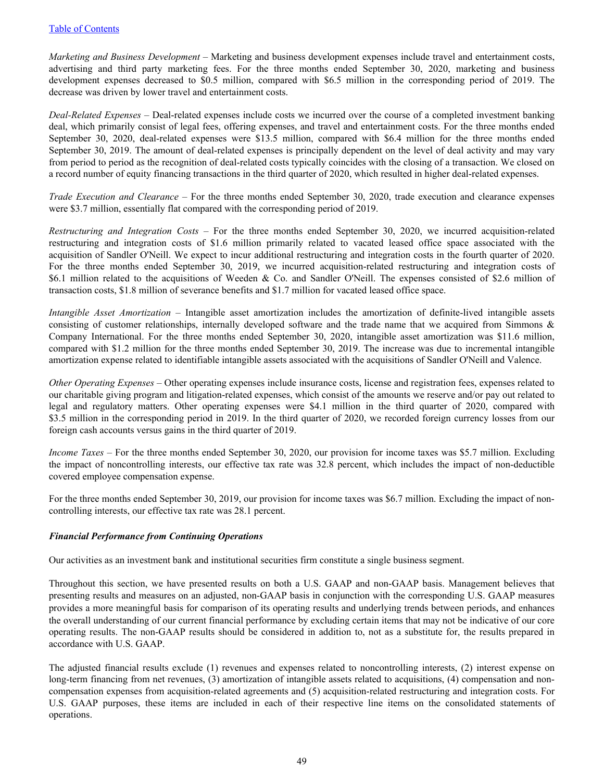*Marketing and Business Development –* Marketing and business development expenses include travel and entertainment costs, advertising and third party marketing fees. For the three months ended September 30, 2020, marketing and business development expenses decreased to \$0.5 million, compared with \$6.5 million in the corresponding period of 2019. The decrease was driven by lower travel and entertainment costs.

*Deal-Related Expenses –* Deal-related expenses include costs we incurred over the course of a completed investment banking deal, which primarily consist of legal fees, offering expenses, and travel and entertainment costs. For the three months ended September 30, 2020, deal-related expenses were \$13.5 million, compared with \$6.4 million for the three months ended September 30, 2019. The amount of deal-related expenses is principally dependent on the level of deal activity and may vary from period to period as the recognition of deal-related costs typically coincides with the closing of a transaction. We closed on a record number of equity financing transactions in the third quarter of 2020, which resulted in higher deal-related expenses.

*Trade Execution and Clearance –* For the three months ended September 30, 2020, trade execution and clearance expenses were \$3.7 million, essentially flat compared with the corresponding period of 2019.

*Restructuring and Integration Costs* – For the three months ended September 30, 2020, we incurred acquisition-related restructuring and integration costs of \$1.6 million primarily related to vacated leased office space associated with the acquisition of Sandler O'Neill. We expect to incur additional restructuring and integration costs in the fourth quarter of 2020. For the three months ended September 30, 2019, we incurred acquisition-related restructuring and integration costs of \$6.1 million related to the acquisitions of Weeden & Co. and Sandler O'Neill. The expenses consisted of \$2.6 million of transaction costs, \$1.8 million of severance benefits and \$1.7 million for vacated leased office space.

*Intangible Asset Amortization –* Intangible asset amortization includes the amortization of definite-lived intangible assets consisting of customer relationships, internally developed software and the trade name that we acquired from Simmons & Company International. For the three months ended September 30, 2020, intangible asset amortization was \$11.6 million, compared with \$1.2 million for the three months ended September 30, 2019. The increase was due to incremental intangible amortization expense related to identifiable intangible assets associated with the acquisitions of Sandler O'Neill and Valence.

*Other Operating Expenses –* Other operating expenses include insurance costs, license and registration fees, expenses related to our charitable giving program and litigation-related expenses, which consist of the amounts we reserve and/or pay out related to legal and regulatory matters. Other operating expenses were \$4.1 million in the third quarter of 2020, compared with \$3.5 million in the corresponding period in 2019. In the third quarter of 2020, we recorded foreign currency losses from our foreign cash accounts versus gains in the third quarter of 2019.

*Income Taxes –* For the three months ended September 30, 2020, our provision for income taxes was \$5.7 million. Excluding the impact of noncontrolling interests, our effective tax rate was 32.8 percent, which includes the impact of non-deductible covered employee compensation expense.

For the three months ended September 30, 2019, our provision for income taxes was \$6.7 million. Excluding the impact of noncontrolling interests, our effective tax rate was 28.1 percent.

#### *Financial Performance from Continuing Operations*

Our activities as an investment bank and institutional securities firm constitute a single business segment.

Throughout this section, we have presented results on both a U.S. GAAP and non-GAAP basis. Management believes that presenting results and measures on an adjusted, non-GAAP basis in conjunction with the corresponding U.S. GAAP measures provides a more meaningful basis for comparison of its operating results and underlying trends between periods, and enhances the overall understanding of our current financial performance by excluding certain items that may not be indicative of our core operating results. The non-GAAP results should be considered in addition to, not as a substitute for, the results prepared in accordance with U.S. GAAP.

The adjusted financial results exclude (1) revenues and expenses related to noncontrolling interests, (2) interest expense on long-term financing from net revenues, (3) amortization of intangible assets related to acquisitions, (4) compensation and noncompensation expenses from acquisition-related agreements and (5) acquisition-related restructuring and integration costs. For U.S. GAAP purposes, these items are included in each of their respective line items on the consolidated statements of operations.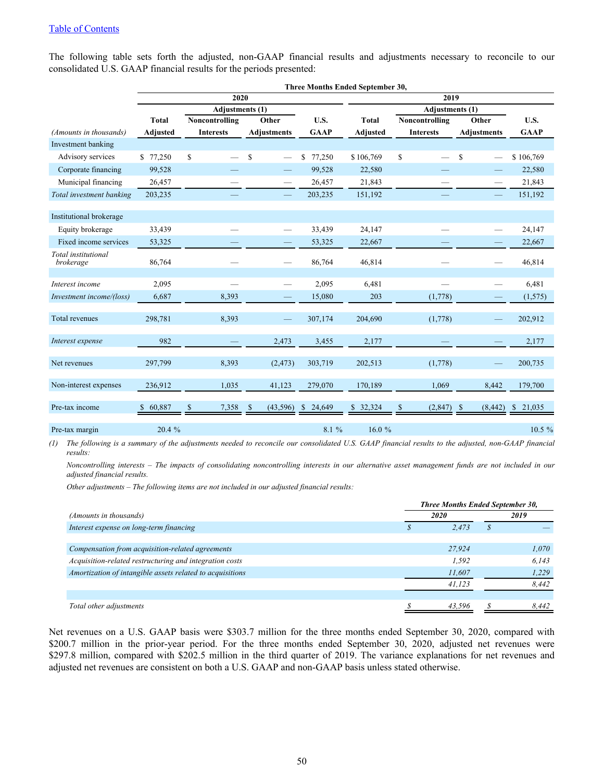#### [Table of Contents](#page-1-0)

The following table sets forth the adjusted, non-GAAP financial results and adjustments necessary to reconcile to our consolidated U.S. GAAP financial results for the periods presented:

|                                  |                 |                        |                                 |              | Three months Enged september 50, |                        |                               |                        |
|----------------------------------|-----------------|------------------------|---------------------------------|--------------|----------------------------------|------------------------|-------------------------------|------------------------|
|                                  |                 | 2020                   |                                 |              |                                  |                        |                               |                        |
|                                  |                 | <b>Adjustments</b> (1) |                                 |              |                                  | <b>Adjustments</b> (1) |                               |                        |
|                                  | <b>Total</b>    | Noncontrolling         | Other                           | U.S.         | <b>Total</b>                     | Noncontrolling         | Other                         | <b>U.S.</b>            |
| (Amounts in thousands)           | <b>Adjusted</b> | <b>Interests</b>       | <b>Adjustments</b>              | <b>GAAP</b>  | Adjusted                         | <b>Interests</b>       | <b>Adjustments</b>            | <b>GAAP</b>            |
| Investment banking               |                 |                        |                                 |              |                                  |                        |                               |                        |
| Advisory services                | \$77,250        | $\mathbf S$            | <sup>\$</sup>                   | \$<br>77,250 | \$106,769                        | \$                     | $\mathbf S$                   | \$106,769              |
| Corporate financing              | 99,528          |                        |                                 | 99,528       | 22,580                           |                        |                               | 22,580                 |
| Municipal financing              | 26,457          |                        | $\hspace{0.1mm}-\hspace{0.1mm}$ | 26,457       | 21,843                           |                        | $\overbrace{\phantom{12333}}$ | 21,843                 |
| Total investment banking         | 203,235         |                        |                                 | 203,235      | 151,192                          |                        | $\overline{\phantom{0}}$      | 151,192                |
|                                  |                 |                        |                                 |              |                                  |                        |                               |                        |
| Institutional brokerage          |                 |                        |                                 |              |                                  |                        |                               |                        |
| Equity brokerage                 | 33,439          |                        | $\overline{\phantom{m}}$        | 33,439       | 24,147                           |                        |                               | 24,147                 |
| Fixed income services            | 53,325          |                        |                                 | 53,325       | 22,667                           |                        |                               | 22,667                 |
| Total institutional<br>brokerage | 86,764          |                        | —                               | 86,764       | 46,814                           |                        |                               | 46,814                 |
| Interest income                  | 2,095           |                        | $\overline{\phantom{m}}$        | 2,095        | 6,481                            |                        |                               | 6,481                  |
| Investment income/(loss)         | 6,687           | 8,393                  | $\qquad \qquad -$               | 15,080       | 203                              | (1,778)                |                               | (1,575)                |
| <b>Total revenues</b>            | 298,781         | 8,393                  |                                 | 307,174      | 204,690                          | (1,778)                |                               | 202,912                |
| Interest expense                 | 982             |                        | 2,473                           | 3,455        | 2,177                            |                        |                               | 2,177                  |
| Net revenues                     | 297,799         | 8,393                  | (2, 473)                        | 303,719      | 202,513                          | (1,778)                |                               | 200,735                |
| Non-interest expenses            | 236,912         | 1,035                  | 41,123                          | 279,070      | 170,189                          | 1,069                  | 8,442                         | 179,700                |
| Pre-tax income                   | \$60,887        | 7,358                  | (43, 596)<br><sup>\$</sup>      | \$24,649     | 32,324                           | (2, 847)               | (8, 442)<br>-\$               | 21,035<br>$\mathbb{S}$ |
| Pre-tax margin                   | 20.4 %          |                        |                                 | 8.1 %        | 16.0%                            |                        |                               | 10.5 %                 |

**Three Months Ended September 30,**

*(1) The following is a summary of the adjustments needed to reconcile our consolidated U.S. GAAP financial results to the adjusted, non-GAAP financial results:* 

*Noncontrolling interests – The impacts of consolidating noncontrolling interests in our alternative asset management funds are not included in our adjusted financial results.* 

*Other adjustments – The following items are not included in our adjusted financial results:* 

|                                                           | <b>Three Months Ended September 30,</b> |  |       |  |  |  |
|-----------------------------------------------------------|-----------------------------------------|--|-------|--|--|--|
| (Amounts in thousands)                                    | 2020                                    |  | 2019  |  |  |  |
| Interest expense on long-term financing                   | 2.473                                   |  |       |  |  |  |
|                                                           |                                         |  |       |  |  |  |
| Compensation from acquisition-related agreements          | 27,924                                  |  | 1,070 |  |  |  |
| Acquisition-related restructuring and integration costs   | 1,592                                   |  | 6,143 |  |  |  |
| Amortization of intangible assets related to acquisitions | 11,607                                  |  | 1,229 |  |  |  |
|                                                           | 41,123                                  |  | 8,442 |  |  |  |
|                                                           |                                         |  |       |  |  |  |
| Total other adjustments                                   | 43,596                                  |  | 8,442 |  |  |  |

Net revenues on a U.S. GAAP basis were \$303.7 million for the three months ended September 30, 2020, compared with \$200.7 million in the prior-year period. For the three months ended September 30, 2020, adjusted net revenues were \$297.8 million, compared with \$202.5 million in the third quarter of 2019. The variance explanations for net revenues and adjusted net revenues are consistent on both a U.S. GAAP and non-GAAP basis unless stated otherwise.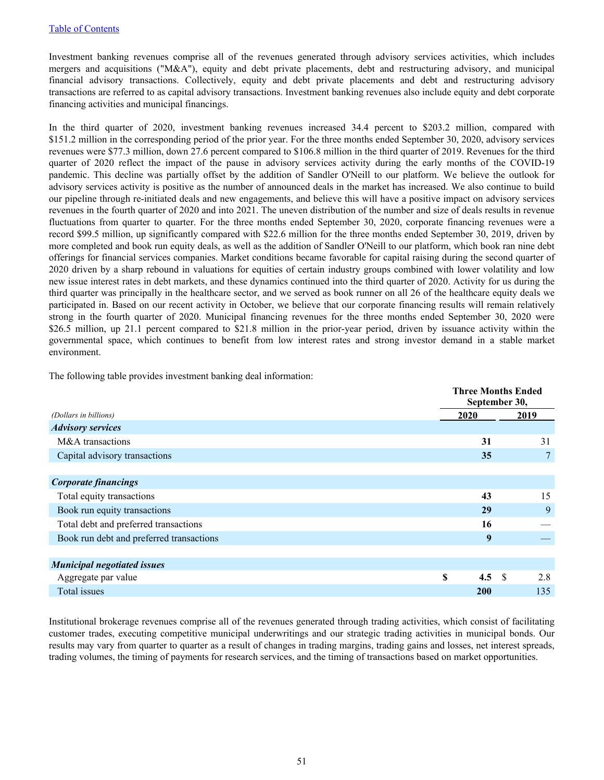Investment banking revenues comprise all of the revenues generated through advisory services activities, which includes mergers and acquisitions ("M&A"), equity and debt private placements, debt and restructuring advisory, and municipal financial advisory transactions. Collectively, equity and debt private placements and debt and restructuring advisory transactions are referred to as capital advisory transactions. Investment banking revenues also include equity and debt corporate financing activities and municipal financings.

In the third quarter of 2020, investment banking revenues increased 34.4 percent to \$203.2 million, compared with \$151.2 million in the corresponding period of the prior year. For the three months ended September 30, 2020, advisory services revenues were \$77.3 million, down 27.6 percent compared to \$106.8 million in the third quarter of 2019. Revenues for the third quarter of 2020 reflect the impact of the pause in advisory services activity during the early months of the COVID-19 pandemic. This decline was partially offset by the addition of Sandler O'Neill to our platform. We believe the outlook for advisory services activity is positive as the number of announced deals in the market has increased. We also continue to build our pipeline through re-initiated deals and new engagements, and believe this will have a positive impact on advisory services revenues in the fourth quarter of 2020 and into 2021. The uneven distribution of the number and size of deals results in revenue fluctuations from quarter to quarter. For the three months ended September 30, 2020, corporate financing revenues were a record \$99.5 million, up significantly compared with \$22.6 million for the three months ended September 30, 2019, driven by more completed and book run equity deals, as well as the addition of Sandler O'Neill to our platform, which book ran nine debt offerings for financial services companies. Market conditions became favorable for capital raising during the second quarter of 2020 driven by a sharp rebound in valuations for equities of certain industry groups combined with lower volatility and low new issue interest rates in debt markets, and these dynamics continued into the third quarter of 2020. Activity for us during the third quarter was principally in the healthcare sector, and we served as book runner on all 26 of the healthcare equity deals we participated in. Based on our recent activity in October, we believe that our corporate financing results will remain relatively strong in the fourth quarter of 2020. Municipal financing revenues for the three months ended September 30, 2020 were \$26.5 million, up 21.1 percent compared to \$21.8 million in the prior-year period, driven by issuance activity within the governmental space, which continues to benefit from low interest rates and strong investor demand in a stable market environment.

The following table provides investment banking deal information:

|                                          |            | <b>Three Months Ended</b><br>September 30, |
|------------------------------------------|------------|--------------------------------------------|
| (Dollars in billions)                    | 2020       | 2019                                       |
| <b>Advisory services</b>                 |            |                                            |
| M&A transactions                         | 31         | 31                                         |
| Capital advisory transactions            | 35         | 7                                          |
|                                          |            |                                            |
| <b>Corporate financings</b>              |            |                                            |
| Total equity transactions                | 43         | 15                                         |
| Book run equity transactions             | 29         | 9                                          |
| Total debt and preferred transactions    | 16         |                                            |
| Book run debt and preferred transactions | 9          |                                            |
|                                          |            |                                            |
| <b>Municipal negotiated issues</b>       |            |                                            |
| Aggregate par value                      | \$<br>4.5  | - \$<br>2.8                                |
| Total issues                             | <b>200</b> | 135                                        |

Institutional brokerage revenues comprise all of the revenues generated through trading activities, which consist of facilitating customer trades, executing competitive municipal underwritings and our strategic trading activities in municipal bonds. Our results may vary from quarter to quarter as a result of changes in trading margins, trading gains and losses, net interest spreads, trading volumes, the timing of payments for research services, and the timing of transactions based on market opportunities.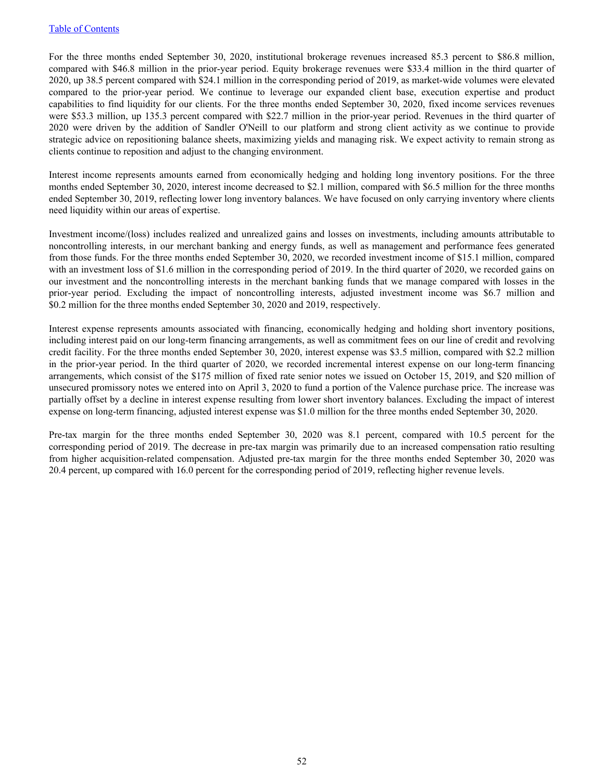For the three months ended September 30, 2020, institutional brokerage revenues increased 85.3 percent to \$86.8 million, compared with \$46.8 million in the prior-year period. Equity brokerage revenues were \$33.4 million in the third quarter of 2020, up 38.5 percent compared with \$24.1 million in the corresponding period of 2019, as market-wide volumes were elevated compared to the prior-year period. We continue to leverage our expanded client base, execution expertise and product capabilities to find liquidity for our clients. For the three months ended September 30, 2020, fixed income services revenues were \$53.3 million, up 135.3 percent compared with \$22.7 million in the prior-year period. Revenues in the third quarter of 2020 were driven by the addition of Sandler O'Neill to our platform and strong client activity as we continue to provide strategic advice on repositioning balance sheets, maximizing yields and managing risk. We expect activity to remain strong as clients continue to reposition and adjust to the changing environment.

Interest income represents amounts earned from economically hedging and holding long inventory positions. For the three months ended September 30, 2020, interest income decreased to \$2.1 million, compared with \$6.5 million for the three months ended September 30, 2019, reflecting lower long inventory balances. We have focused on only carrying inventory where clients need liquidity within our areas of expertise.

Investment income/(loss) includes realized and unrealized gains and losses on investments, including amounts attributable to noncontrolling interests, in our merchant banking and energy funds, as well as management and performance fees generated from those funds. For the three months ended September 30, 2020, we recorded investment income of \$15.1 million, compared with an investment loss of \$1.6 million in the corresponding period of 2019. In the third quarter of 2020, we recorded gains on our investment and the noncontrolling interests in the merchant banking funds that we manage compared with losses in the prior-year period. Excluding the impact of noncontrolling interests, adjusted investment income was \$6.7 million and \$0.2 million for the three months ended September 30, 2020 and 2019, respectively.

Interest expense represents amounts associated with financing, economically hedging and holding short inventory positions, including interest paid on our long-term financing arrangements, as well as commitment fees on our line of credit and revolving credit facility. For the three months ended September 30, 2020, interest expense was \$3.5 million, compared with \$2.2 million in the prior-year period. In the third quarter of 2020, we recorded incremental interest expense on our long-term financing arrangements, which consist of the \$175 million of fixed rate senior notes we issued on October 15, 2019, and \$20 million of unsecured promissory notes we entered into on April 3, 2020 to fund a portion of the Valence purchase price. The increase was partially offset by a decline in interest expense resulting from lower short inventory balances. Excluding the impact of interest expense on long-term financing, adjusted interest expense was \$1.0 million for the three months ended September 30, 2020.

Pre-tax margin for the three months ended September 30, 2020 was 8.1 percent, compared with 10.5 percent for the corresponding period of 2019. The decrease in pre-tax margin was primarily due to an increased compensation ratio resulting from higher acquisition-related compensation. Adjusted pre-tax margin for the three months ended September 30, 2020 was 20.4 percent, up compared with 16.0 percent for the corresponding period of 2019, reflecting higher revenue levels.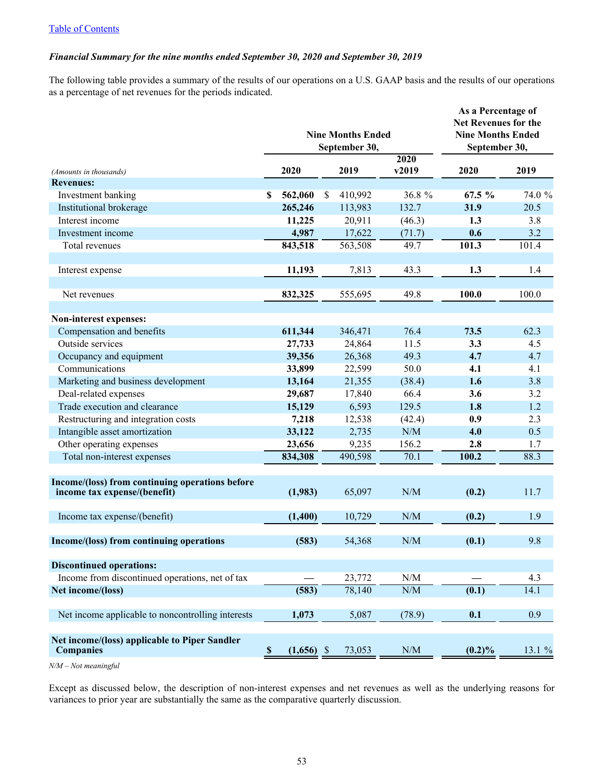## *Financial Summary for the nine months ended September 30, 2020 and September 30, 2019*

The following table provides a summary of the results of our operations on a U.S. GAAP basis and the results of our operations as a percentage of net revenues for the periods indicated.

|                                                                                 |                      |              | <b>Nine Months Ended</b><br>September 30, | As a Percentage of<br><b>Net Revenues for the</b><br><b>Nine Months Ended</b><br>September 30, |                   |           |        |
|---------------------------------------------------------------------------------|----------------------|--------------|-------------------------------------------|------------------------------------------------------------------------------------------------|-------------------|-----------|--------|
| (Amounts in thousands)                                                          | 2020                 |              | 2019                                      |                                                                                                | 2020<br>v2019     | 2020      | 2019   |
| <b>Revenues:</b>                                                                |                      |              |                                           |                                                                                                |                   |           |        |
| Investment banking                                                              | S                    | 562,060      | $\mathbb{S}$<br>410,992                   |                                                                                                | 36.8 %            | 67.5 %    | 74.0 % |
| Institutional brokerage                                                         |                      | 265,246      | 113,983                                   |                                                                                                | 132.7             | 31.9      | 20.5   |
| Interest income                                                                 |                      | 11,225       |                                           | 20,911                                                                                         | (46.3)            | 1.3       | 3.8    |
| Investment income                                                               |                      | 4,987        |                                           | 17,622                                                                                         | (71.7)            | 0.6       | 3.2    |
| Total revenues                                                                  |                      | 843,518      | 563,508                                   |                                                                                                | 49.7              | 101.3     | 101.4  |
| Interest expense                                                                |                      | 11,193       |                                           | 7,813                                                                                          | 43.3              | 1.3       | 1.4    |
| Net revenues                                                                    |                      | 832,325      | 555,695                                   |                                                                                                | 49.8              | 100.0     | 100.0  |
| Non-interest expenses:                                                          |                      |              |                                           |                                                                                                |                   |           |        |
| Compensation and benefits                                                       |                      | 611,344      | 346,471                                   |                                                                                                | 76.4              | 73.5      | 62.3   |
| Outside services                                                                |                      | 27,733       |                                           | 24,864                                                                                         | 11.5              | 3.3       | 4.5    |
| Occupancy and equipment                                                         |                      | 39,356       |                                           | 26,368                                                                                         | 49.3              | 4.7       | 4.7    |
| Communications                                                                  |                      | 33,899       |                                           | 22,599                                                                                         | 50.0              | 4.1       | 4.1    |
| Marketing and business development                                              |                      | 13,164       |                                           | 21,355                                                                                         | (38.4)            | 1.6       | 3.8    |
| Deal-related expenses                                                           |                      | 29,687       |                                           | 17,840                                                                                         | 66.4              | 3.6       | 3.2    |
| Trade execution and clearance                                                   |                      | 15,129       |                                           | 6,593                                                                                          | 129.5             | 1.8       | 1.2    |
| Restructuring and integration costs                                             |                      | 7,218        |                                           | 12,538                                                                                         | (42.4)            | 0.9       | 2.3    |
| Intangible asset amortization                                                   |                      | 33,122       |                                           | 2,735                                                                                          | N/M               | 4.0       | 0.5    |
| Other operating expenses                                                        |                      | 23,656       |                                           | 9,235                                                                                          | 156.2             | 2.8       | 1.7    |
| Total non-interest expenses                                                     |                      | 834,308      | 490,598                                   |                                                                                                | $\overline{70.1}$ | 100.2     | 88.3   |
| Income/(loss) from continuing operations before<br>income tax expense/(benefit) |                      | (1,983)      |                                           | 65,097                                                                                         | N/M               | (0.2)     | 11.7   |
| Income tax expense/(benefit)                                                    |                      | (1,400)      |                                           | 10,729                                                                                         | N/M               | (0.2)     | 1.9    |
| Income/(loss) from continuing operations                                        |                      | (583)        |                                           | 54,368                                                                                         | N/M               | (0.1)     | 9.8    |
| <b>Discontinued operations:</b>                                                 |                      |              |                                           |                                                                                                |                   |           |        |
| Income from discontinued operations, net of tax                                 |                      |              |                                           | 23,772                                                                                         | N/M               |           | 4.3    |
| Net income/(loss)                                                               |                      | (583)        |                                           | 78,140                                                                                         | N/M               | (0.1)     | 14.1   |
| Net income applicable to noncontrolling interests                               |                      | 1,073        |                                           | 5,087                                                                                          | (78.9)            | 0.1       | 0.9    |
| Net income/(loss) applicable to Piper Sandler<br><b>Companies</b>               | $\sqrt{\frac{2}{3}}$ | $(1,656)$ \$ |                                           | 73,053                                                                                         | N/M               | $(0.2)\%$ | 13.1%  |
|                                                                                 |                      |              |                                           |                                                                                                |                   |           |        |

*N/M – Not meaningful*

Except as discussed below, the description of non-interest expenses and net revenues as well as the underlying reasons for variances to prior year are substantially the same as the comparative quarterly discussion.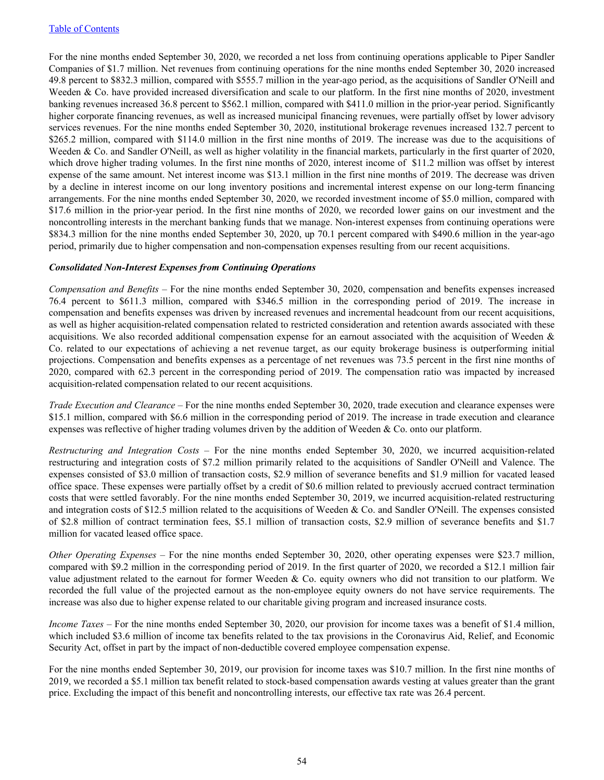For the nine months ended September 30, 2020, we recorded a net loss from continuing operations applicable to Piper Sandler Companies of \$1.7 million. Net revenues from continuing operations for the nine months ended September 30, 2020 increased 49.8 percent to \$832.3 million, compared with \$555.7 million in the year-ago period, as the acquisitions of Sandler O'Neill and Weeden & Co. have provided increased diversification and scale to our platform. In the first nine months of 2020, investment banking revenues increased 36.8 percent to \$562.1 million, compared with \$411.0 million in the prior-year period. Significantly higher corporate financing revenues, as well as increased municipal financing revenues, were partially offset by lower advisory services revenues. For the nine months ended September 30, 2020, institutional brokerage revenues increased 132.7 percent to \$265.2 million, compared with \$114.0 million in the first nine months of 2019. The increase was due to the acquisitions of Weeden & Co. and Sandler O'Neill, as well as higher volatility in the financial markets, particularly in the first quarter of 2020, which drove higher trading volumes. In the first nine months of 2020, interest income of \$11.2 million was offset by interest expense of the same amount. Net interest income was \$13.1 million in the first nine months of 2019. The decrease was driven by a decline in interest income on our long inventory positions and incremental interest expense on our long-term financing arrangements. For the nine months ended September 30, 2020, we recorded investment income of \$5.0 million, compared with \$17.6 million in the prior-year period. In the first nine months of 2020, we recorded lower gains on our investment and the noncontrolling interests in the merchant banking funds that we manage. Non-interest expenses from continuing operations were \$834.3 million for the nine months ended September 30, 2020, up 70.1 percent compared with \$490.6 million in the year-ago period, primarily due to higher compensation and non-compensation expenses resulting from our recent acquisitions.

#### *Consolidated Non-Interest Expenses from Continuing Operations*

*Compensation and Benefits –* For the nine months ended September 30, 2020, compensation and benefits expenses increased 76.4 percent to \$611.3 million, compared with \$346.5 million in the corresponding period of 2019. The increase in compensation and benefits expenses was driven by increased revenues and incremental headcount from our recent acquisitions, as well as higher acquisition-related compensation related to restricted consideration and retention awards associated with these acquisitions. We also recorded additional compensation expense for an earnout associated with the acquisition of Weeden & Co. related to our expectations of achieving a net revenue target, as our equity brokerage business is outperforming initial projections. Compensation and benefits expenses as a percentage of net revenues was 73.5 percent in the first nine months of 2020, compared with 62.3 percent in the corresponding period of 2019. The compensation ratio was impacted by increased acquisition-related compensation related to our recent acquisitions.

*Trade Execution and Clearance –* For the nine months ended September 30, 2020, trade execution and clearance expenses were \$15.1 million, compared with \$6.6 million in the corresponding period of 2019. The increase in trade execution and clearance expenses was reflective of higher trading volumes driven by the addition of Weeden  $\&$  Co. onto our platform.

*Restructuring and Integration Costs –* For the nine months ended September 30, 2020, we incurred acquisition-related restructuring and integration costs of \$7.2 million primarily related to the acquisitions of Sandler O'Neill and Valence. The expenses consisted of \$3.0 million of transaction costs, \$2.9 million of severance benefits and \$1.9 million for vacated leased office space. These expenses were partially offset by a credit of \$0.6 million related to previously accrued contract termination costs that were settled favorably. For the nine months ended September 30, 2019, we incurred acquisition-related restructuring and integration costs of \$12.5 million related to the acquisitions of Weeden & Co. and Sandler O'Neill. The expenses consisted of \$2.8 million of contract termination fees, \$5.1 million of transaction costs, \$2.9 million of severance benefits and \$1.7 million for vacated leased office space.

*Other Operating Expenses –* For the nine months ended September 30, 2020, other operating expenses were \$23.7 million, compared with \$9.2 million in the corresponding period of 2019. In the first quarter of 2020, we recorded a \$12.1 million fair value adjustment related to the earnout for former Weeden & Co. equity owners who did not transition to our platform. We recorded the full value of the projected earnout as the non-employee equity owners do not have service requirements. The increase was also due to higher expense related to our charitable giving program and increased insurance costs.

*Income Taxes* – For the nine months ended September 30, 2020, our provision for income taxes was a benefit of \$1.4 million, which included \$3.6 million of income tax benefits related to the tax provisions in the Coronavirus Aid, Relief, and Economic Security Act, offset in part by the impact of non-deductible covered employee compensation expense.

For the nine months ended September 30, 2019, our provision for income taxes was \$10.7 million. In the first nine months of 2019, we recorded a \$5.1 million tax benefit related to stock-based compensation awards vesting at values greater than the grant price. Excluding the impact of this benefit and noncontrolling interests, our effective tax rate was 26.4 percent.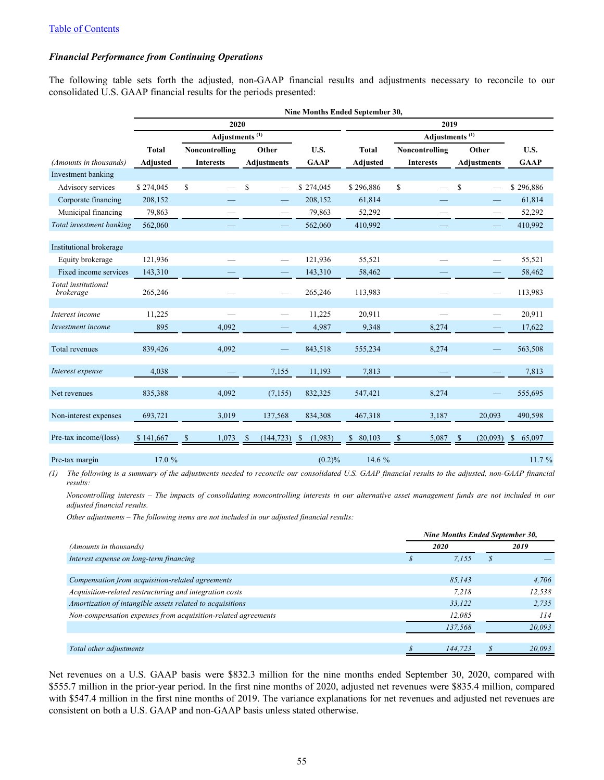#### *Financial Performance from Continuing Operations*

The following table sets forth the adjusted, non-GAAP financial results and adjustments necessary to reconcile to our consolidated U.S. GAAP financial results for the periods presented:

|                                  |                 |                            |                             |              | Nine Months Ended September 30, |                            |                           |                         |
|----------------------------------|-----------------|----------------------------|-----------------------------|--------------|---------------------------------|----------------------------|---------------------------|-------------------------|
|                                  |                 | 2020                       |                             |              |                                 | 2019                       |                           |                         |
|                                  |                 | Adjustments <sup>(1)</sup> |                             |              |                                 | Adjustments <sup>(1)</sup> |                           |                         |
|                                  | <b>Total</b>    | Noncontrolling             | Other                       | U.S.         | <b>Total</b>                    | Noncontrolling             | Other                     | U.S.                    |
| (Amounts in thousands)           | <b>Adjusted</b> | <b>Interests</b>           | <b>Adjustments</b>          | <b>GAAP</b>  | <b>Adjusted</b>                 | <b>Interests</b>           | <b>Adjustments</b>        | <b>GAAP</b>             |
| Investment banking               |                 |                            |                             |              |                                 |                            |                           |                         |
| Advisory services                | \$274,045       | $\mathbf S$                | $\mathbf S$                 | \$274,045    | \$296,886                       | \$                         | $\mathbb{S}$              | \$296,886               |
| Corporate financing              | 208,152         |                            |                             | 208,152      | 61,814                          |                            |                           | 61,814                  |
| Municipal financing              | 79,863          |                            |                             | 79,863       | 52,292                          |                            | $\overline{\phantom{0}}$  | 52,292                  |
| Total investment banking         | 562,060         |                            |                             | 562,060      | 410,992                         |                            |                           | 410,992                 |
|                                  |                 |                            |                             |              |                                 |                            |                           |                         |
| Institutional brokerage          |                 |                            |                             |              |                                 |                            |                           |                         |
| Equity brokerage                 | 121,936         |                            |                             | 121,936      | 55,521                          |                            |                           | 55,521                  |
| Fixed income services            | 143,310         |                            |                             | 143,310      | 58,462                          |                            |                           | 58,462                  |
| Total institutional<br>brokerage | 265,246         |                            |                             | 265,246      | 113,983                         |                            | -                         | 113,983                 |
| Interest income                  | 11,225          |                            |                             | 11,225       | 20,911                          |                            | -                         | 20,911                  |
| Investment income                | 895             | 4,092                      |                             | 4,987        | 9,348                           | 8,274                      | -                         | 17,622                  |
|                                  |                 |                            |                             |              |                                 |                            |                           |                         |
| Total revenues                   | 839,426         | 4,092                      |                             | 843,518      | 555,234                         | 8,274                      |                           | 563,508                 |
|                                  |                 |                            |                             |              |                                 |                            |                           |                         |
| Interest expense                 | 4,038           |                            | 7,155                       | 11,193       | 7,813                           |                            |                           | 7,813                   |
| Net revenues                     | 835,388         | 4,092                      | (7, 155)                    | 832,325      | 547,421                         | 8,274                      |                           | 555,695                 |
| Non-interest expenses            | 693,721         | 3,019                      | 137,568                     | 834,308      | 467,318                         | 3,187                      | 20,093                    | 490,598                 |
| Pre-tax income/(loss)            | \$141,667       | 1,073<br>\$                | <sup>\$</sup><br>(144, 723) | (1,983)<br>S | 80,103<br><sup>\$</sup>         | 5,087<br>\$                | (20,093)<br><sup>\$</sup> | 65,097<br><sup>\$</sup> |
| Pre-tax margin                   | 17.0 %          |                            |                             | (0.2)%       | 14.6 %                          |                            |                           | 11.7 %                  |

*(1) The following is a summary of the adjustments needed to reconcile our consolidated U.S. GAAP financial results to the adjusted, non-GAAP financial results:* 

*Noncontrolling interests – The impacts of consolidating noncontrolling interests in our alternative asset management funds are not included in our adjusted financial results.* 

*Other adjustments – The following items are not included in our adjusted financial results:* 

|                                                               |    | <b>Nine Months Ended September 30,</b> |           |        |  |  |
|---------------------------------------------------------------|----|----------------------------------------|-----------|--------|--|--|
| (Amounts in thousands)                                        |    | 2020                                   |           | 2019   |  |  |
| Interest expense on long-term financing                       | .D | 7.155                                  | $\Lambda$ |        |  |  |
|                                                               |    |                                        |           |        |  |  |
| Compensation from acquisition-related agreements              |    | 85,143                                 |           | 4,706  |  |  |
| Acquisition-related restructuring and integration costs       |    | 7.218                                  |           | 12,538 |  |  |
| Amortization of intangible assets related to acquisitions     |    | 33,122                                 |           | 2,735  |  |  |
| Non-compensation expenses from acquisition-related agreements |    | 12,085                                 |           | 114    |  |  |
|                                                               |    | 137,568                                |           | 20,093 |  |  |
|                                                               |    |                                        |           |        |  |  |
| Total other adjustments                                       |    | 144,723                                |           | 20,093 |  |  |

Net revenues on a U.S. GAAP basis were \$832.3 million for the nine months ended September 30, 2020, compared with \$555.7 million in the prior-year period. In the first nine months of 2020, adjusted net revenues were \$835.4 million, compared with \$547.4 million in the first nine months of 2019. The variance explanations for net revenues and adjusted net revenues are consistent on both a U.S. GAAP and non-GAAP basis unless stated otherwise.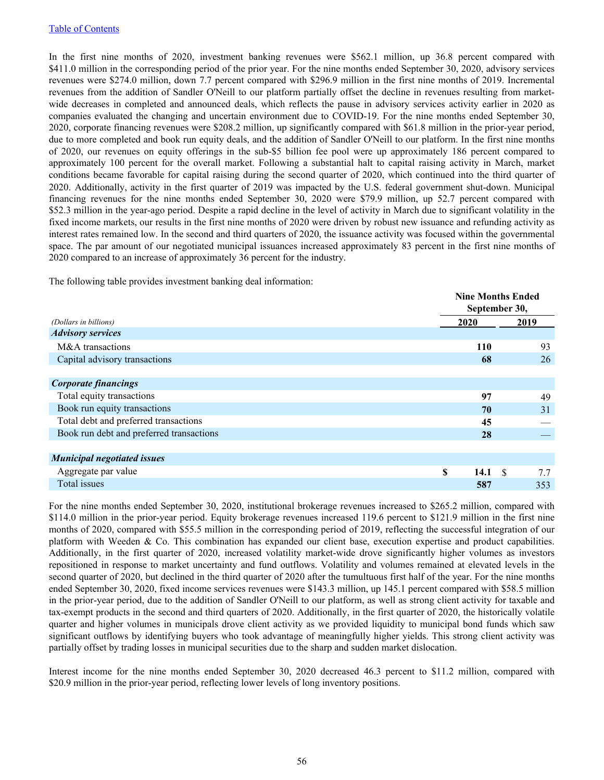In the first nine months of 2020, investment banking revenues were \$562.1 million, up 36.8 percent compared with \$411.0 million in the corresponding period of the prior year. For the nine months ended September 30, 2020, advisory services revenues were \$274.0 million, down 7.7 percent compared with \$296.9 million in the first nine months of 2019. Incremental revenues from the addition of Sandler O'Neill to our platform partially offset the decline in revenues resulting from marketwide decreases in completed and announced deals, which reflects the pause in advisory services activity earlier in 2020 as companies evaluated the changing and uncertain environment due to COVID-19. For the nine months ended September 30, 2020, corporate financing revenues were \$208.2 million, up significantly compared with \$61.8 million in the prior-year period, due to more completed and book run equity deals, and the addition of Sandler O'Neill to our platform. In the first nine months of 2020, our revenues on equity offerings in the sub-\$5 billion fee pool were up approximately 186 percent compared to approximately 100 percent for the overall market. Following a substantial halt to capital raising activity in March, market conditions became favorable for capital raising during the second quarter of 2020, which continued into the third quarter of 2020. Additionally, activity in the first quarter of 2019 was impacted by the U.S. federal government shut-down. Municipal financing revenues for the nine months ended September 30, 2020 were \$79.9 million, up 52.7 percent compared with \$52.3 million in the year-ago period. Despite a rapid decline in the level of activity in March due to significant volatility in the fixed income markets, our results in the first nine months of 2020 were driven by robust new issuance and refunding activity as interest rates remained low. In the second and third quarters of 2020, the issuance activity was focused within the governmental space. The par amount of our negotiated municipal issuances increased approximately 83 percent in the first nine months of 2020 compared to an increase of approximately 36 percent for the industry.

The following table provides investment banking deal information:

|                                          |            | <b>Nine Months Ended</b><br>September 30, |
|------------------------------------------|------------|-------------------------------------------|
| (Dollars in billions)                    | 2020       | 2019                                      |
| <b>Advisory services</b>                 |            |                                           |
| M&A transactions                         | <b>110</b> | 93                                        |
| Capital advisory transactions            | 68         | 26                                        |
|                                          |            |                                           |
| <b>Corporate financings</b>              |            |                                           |
| Total equity transactions                | 97         | 49                                        |
| Book run equity transactions             | 70         | 31                                        |
| Total debt and preferred transactions    | 45         |                                           |
| Book run debt and preferred transactions | 28         |                                           |
|                                          |            |                                           |
| <b>Municipal negotiated issues</b>       |            |                                           |
| Aggregate par value                      | \$<br>14.1 | 7.7<br>-S                                 |
| Total issues                             | 587        | 353                                       |

For the nine months ended September 30, 2020, institutional brokerage revenues increased to \$265.2 million, compared with \$114.0 million in the prior-year period. Equity brokerage revenues increased 119.6 percent to \$121.9 million in the first nine months of 2020, compared with \$55.5 million in the corresponding period of 2019, reflecting the successful integration of our platform with Weeden & Co. This combination has expanded our client base, execution expertise and product capabilities. Additionally, in the first quarter of 2020, increased volatility market-wide drove significantly higher volumes as investors repositioned in response to market uncertainty and fund outflows. Volatility and volumes remained at elevated levels in the second quarter of 2020, but declined in the third quarter of 2020 after the tumultuous first half of the year. For the nine months ended September 30, 2020, fixed income services revenues were \$143.3 million, up 145.1 percent compared with \$58.5 million in the prior-year period, due to the addition of Sandler O'Neill to our platform, as well as strong client activity for taxable and tax-exempt products in the second and third quarters of 2020. Additionally, in the first quarter of 2020, the historically volatile quarter and higher volumes in municipals drove client activity as we provided liquidity to municipal bond funds which saw significant outflows by identifying buyers who took advantage of meaningfully higher yields. This strong client activity was partially offset by trading losses in municipal securities due to the sharp and sudden market dislocation.

Interest income for the nine months ended September 30, 2020 decreased 46.3 percent to \$11.2 million, compared with \$20.9 million in the prior-year period, reflecting lower levels of long inventory positions.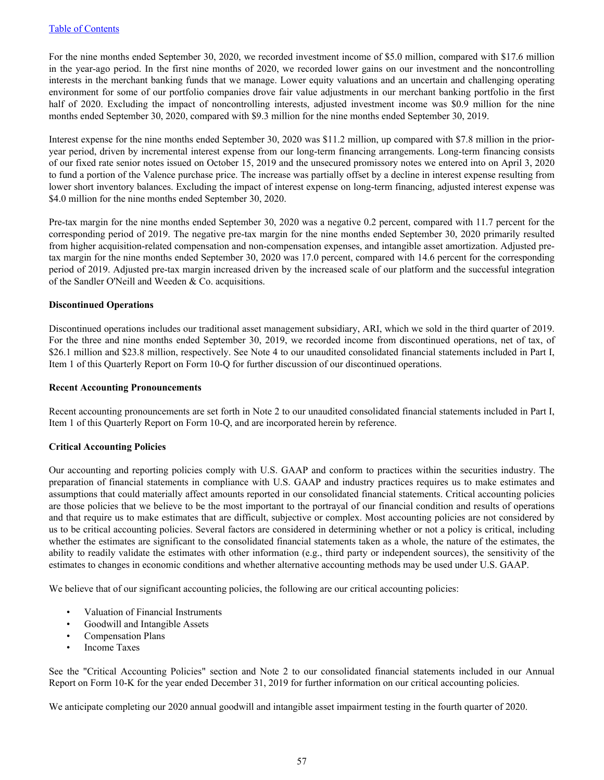For the nine months ended September 30, 2020, we recorded investment income of \$5.0 million, compared with \$17.6 million in the year-ago period. In the first nine months of 2020, we recorded lower gains on our investment and the noncontrolling interests in the merchant banking funds that we manage. Lower equity valuations and an uncertain and challenging operating environment for some of our portfolio companies drove fair value adjustments in our merchant banking portfolio in the first half of 2020. Excluding the impact of noncontrolling interests, adjusted investment income was \$0.9 million for the nine months ended September 30, 2020, compared with \$9.3 million for the nine months ended September 30, 2019.

Interest expense for the nine months ended September 30, 2020 was \$11.2 million, up compared with \$7.8 million in the prioryear period, driven by incremental interest expense from our long-term financing arrangements. Long-term financing consists of our fixed rate senior notes issued on October 15, 2019 and the unsecured promissory notes we entered into on April 3, 2020 to fund a portion of the Valence purchase price. The increase was partially offset by a decline in interest expense resulting from lower short inventory balances. Excluding the impact of interest expense on long-term financing, adjusted interest expense was \$4.0 million for the nine months ended September 30, 2020.

Pre-tax margin for the nine months ended September 30, 2020 was a negative 0.2 percent, compared with 11.7 percent for the corresponding period of 2019. The negative pre-tax margin for the nine months ended September 30, 2020 primarily resulted from higher acquisition-related compensation and non-compensation expenses, and intangible asset amortization. Adjusted pretax margin for the nine months ended September 30, 2020 was 17.0 percent, compared with 14.6 percent for the corresponding period of 2019. Adjusted pre-tax margin increased driven by the increased scale of our platform and the successful integration of the Sandler O'Neill and Weeden & Co. acquisitions.

#### **Discontinued Operations**

Discontinued operations includes our traditional asset management subsidiary, ARI, which we sold in the third quarter of 2019. For the three and nine months ended September 30, 2019, we recorded income from discontinued operations, net of tax, of \$26.1 million and \$23.8 million, respectively. See Note 4 to our unaudited consolidated financial statements included in Part I, Item 1 of this Quarterly Report on Form 10-Q for further discussion of our discontinued operations.

#### **Recent Accounting Pronouncements**

Recent accounting pronouncements are set forth in Note 2 to our unaudited consolidated financial statements included in Part I, Item 1 of this Quarterly Report on Form 10-Q, and are incorporated herein by reference.

#### **Critical Accounting Policies**

Our accounting and reporting policies comply with U.S. GAAP and conform to practices within the securities industry. The preparation of financial statements in compliance with U.S. GAAP and industry practices requires us to make estimates and assumptions that could materially affect amounts reported in our consolidated financial statements. Critical accounting policies are those policies that we believe to be the most important to the portrayal of our financial condition and results of operations and that require us to make estimates that are difficult, subjective or complex. Most accounting policies are not considered by us to be critical accounting policies. Several factors are considered in determining whether or not a policy is critical, including whether the estimates are significant to the consolidated financial statements taken as a whole, the nature of the estimates, the ability to readily validate the estimates with other information (e.g., third party or independent sources), the sensitivity of the estimates to changes in economic conditions and whether alternative accounting methods may be used under U.S. GAAP.

We believe that of our significant accounting policies, the following are our critical accounting policies:

- Valuation of Financial Instruments
- Goodwill and Intangible Assets
- Compensation Plans
- Income Taxes

See the "Critical Accounting Policies" section and Note 2 to our consolidated financial statements included in our Annual Report on Form 10-K for the year ended December 31, 2019 for further information on our critical accounting policies.

We anticipate completing our 2020 annual goodwill and intangible asset impairment testing in the fourth quarter of 2020.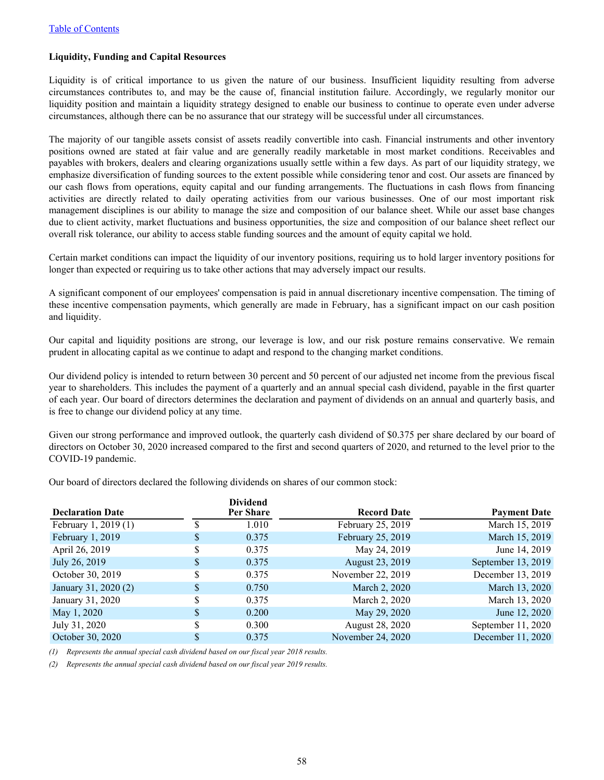## **Liquidity, Funding and Capital Resources**

Liquidity is of critical importance to us given the nature of our business. Insufficient liquidity resulting from adverse circumstances contributes to, and may be the cause of, financial institution failure. Accordingly, we regularly monitor our liquidity position and maintain a liquidity strategy designed to enable our business to continue to operate even under adverse circumstances, although there can be no assurance that our strategy will be successful under all circumstances.

The majority of our tangible assets consist of assets readily convertible into cash. Financial instruments and other inventory positions owned are stated at fair value and are generally readily marketable in most market conditions. Receivables and payables with brokers, dealers and clearing organizations usually settle within a few days. As part of our liquidity strategy, we emphasize diversification of funding sources to the extent possible while considering tenor and cost. Our assets are financed by our cash flows from operations, equity capital and our funding arrangements. The fluctuations in cash flows from financing activities are directly related to daily operating activities from our various businesses. One of our most important risk management disciplines is our ability to manage the size and composition of our balance sheet. While our asset base changes due to client activity, market fluctuations and business opportunities, the size and composition of our balance sheet reflect our overall risk tolerance, our ability to access stable funding sources and the amount of equity capital we hold.

Certain market conditions can impact the liquidity of our inventory positions, requiring us to hold larger inventory positions for longer than expected or requiring us to take other actions that may adversely impact our results.

A significant component of our employees' compensation is paid in annual discretionary incentive compensation. The timing of these incentive compensation payments, which generally are made in February, has a significant impact on our cash position and liquidity.

Our capital and liquidity positions are strong, our leverage is low, and our risk posture remains conservative. We remain prudent in allocating capital as we continue to adapt and respond to the changing market conditions.

Our dividend policy is intended to return between 30 percent and 50 percent of our adjusted net income from the previous fiscal year to shareholders. This includes the payment of a quarterly and an annual special cash dividend, payable in the first quarter of each year. Our board of directors determines the declaration and payment of dividends on an annual and quarterly basis, and is free to change our dividend policy at any time.

Given our strong performance and improved outlook, the quarterly cash dividend of \$0.375 per share declared by our board of directors on October 30, 2020 increased compared to the first and second quarters of 2020, and returned to the level prior to the COVID-19 pandemic.

Our board of directors declared the following dividends on shares of our common stock:

| <b>Declaration Date</b> |    | <b>Dividend</b><br>Per Share | <b>Record Date</b> | <b>Payment Date</b> |
|-------------------------|----|------------------------------|--------------------|---------------------|
| February 1, 2019 (1)    | ۰D | 1.010                        | February 25, 2019  | March 15, 2019      |
| February 1, 2019        | S  | 0.375                        | February 25, 2019  | March 15, 2019      |
| April 26, 2019          | \$ | 0.375                        | May 24, 2019       | June 14, 2019       |
| July 26, 2019           | S  | 0.375                        | August 23, 2019    | September 13, 2019  |
| October 30, 2019        | \$ | 0.375                        | November 22, 2019  | December 13, 2019   |
| January 31, 2020 (2)    | S  | 0.750                        | March 2, 2020      | March 13, 2020      |
| January 31, 2020        |    | 0.375                        | March 2, 2020      | March 13, 2020      |
| May 1, 2020             | S  | 0.200                        | May 29, 2020       | June 12, 2020       |
| July 31, 2020           | \$ | 0.300                        | August 28, 2020    | September 11, 2020  |
| October 30, 2020        | S  | 0.375                        | November 24, 2020  | December 11, 2020   |

*(1) Represents the annual special cash dividend based on our fiscal year 2018 results.*

*(2) Represents the annual special cash dividend based on our fiscal year 2019 results.*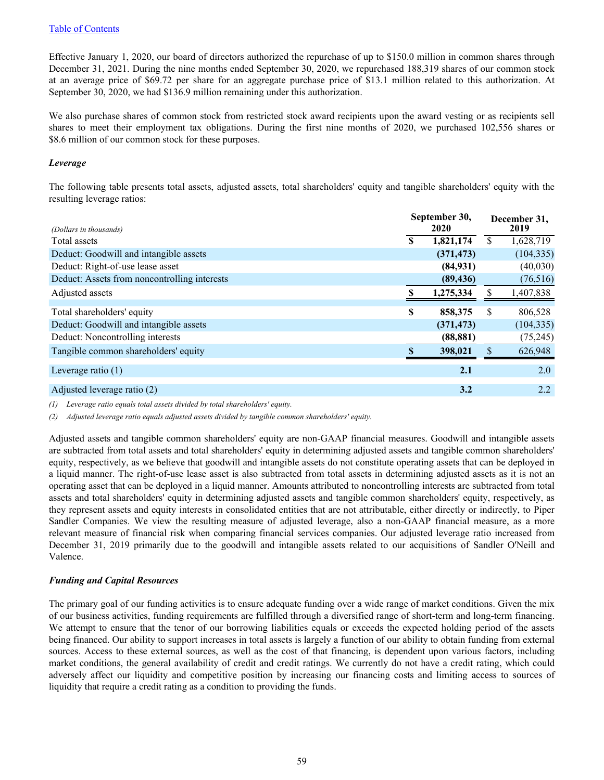Effective January 1, 2020, our board of directors authorized the repurchase of up to \$150.0 million in common shares through December 31, 2021. During the nine months ended September 30, 2020, we repurchased 188,319 shares of our common stock at an average price of \$69.72 per share for an aggregate purchase price of \$13.1 million related to this authorization. At September 30, 2020, we had \$136.9 million remaining under this authorization.

We also purchase shares of common stock from restricted stock award recipients upon the award vesting or as recipients sell shares to meet their employment tax obligations. During the first nine months of 2020, we purchased 102,556 shares or \$8.6 million of our common stock for these purposes.

#### *Leverage*

The following table presents total assets, adjusted assets, total shareholders' equity and tangible shareholders' equity with the resulting leverage ratios:

|                                              |   | September 30,<br>2020 |     | December 31,<br>2019 |
|----------------------------------------------|---|-----------------------|-----|----------------------|
| (Dollars in thousands)                       |   |                       |     |                      |
| Total assets                                 | S | 1,821,174             |     | 1,628,719            |
| Deduct: Goodwill and intangible assets       |   | (371, 473)            |     | (104, 335)           |
| Deduct: Right-of-use lease asset             |   | (84, 931)             |     | (40,030)             |
| Deduct: Assets from noncontrolling interests |   | (89, 436)             |     | (76, 516)            |
| Adjusted assets                              |   | 1,275,334             |     | 1,407,838            |
|                                              |   |                       |     |                      |
| Total shareholders' equity                   | S | 858,375               | \$. | 806,528              |
| Deduct: Goodwill and intangible assets       |   | (371, 473)            |     | (104, 335)           |
| Deduct: Noncontrolling interests             |   | (88, 881)             |     | (75, 245)            |
| Tangible common shareholders' equity         |   | 398,021               |     | 626,948              |
| Leverage ratio $(1)$                         |   | 2.1                   |     | 2.0                  |
| Adjusted leverage ratio (2)                  |   | 3.2                   |     | 2.2                  |
|                                              |   |                       |     |                      |

*(1) Leverage ratio equals total assets divided by total shareholders' equity.*

*(2) Adjusted leverage ratio equals adjusted assets divided by tangible common shareholders' equity.*

Adjusted assets and tangible common shareholders' equity are non-GAAP financial measures. Goodwill and intangible assets are subtracted from total assets and total shareholders' equity in determining adjusted assets and tangible common shareholders' equity, respectively, as we believe that goodwill and intangible assets do not constitute operating assets that can be deployed in a liquid manner. The right-of-use lease asset is also subtracted from total assets in determining adjusted assets as it is not an operating asset that can be deployed in a liquid manner. Amounts attributed to noncontrolling interests are subtracted from total assets and total shareholders' equity in determining adjusted assets and tangible common shareholders' equity, respectively, as they represent assets and equity interests in consolidated entities that are not attributable, either directly or indirectly, to Piper Sandler Companies. We view the resulting measure of adjusted leverage, also a non-GAAP financial measure, as a more relevant measure of financial risk when comparing financial services companies. Our adjusted leverage ratio increased from December 31, 2019 primarily due to the goodwill and intangible assets related to our acquisitions of Sandler O'Neill and Valence.

## *Funding and Capital Resources*

The primary goal of our funding activities is to ensure adequate funding over a wide range of market conditions. Given the mix of our business activities, funding requirements are fulfilled through a diversified range of short-term and long-term financing. We attempt to ensure that the tenor of our borrowing liabilities equals or exceeds the expected holding period of the assets being financed. Our ability to support increases in total assets is largely a function of our ability to obtain funding from external sources. Access to these external sources, as well as the cost of that financing, is dependent upon various factors, including market conditions, the general availability of credit and credit ratings. We currently do not have a credit rating, which could adversely affect our liquidity and competitive position by increasing our financing costs and limiting access to sources of liquidity that require a credit rating as a condition to providing the funds.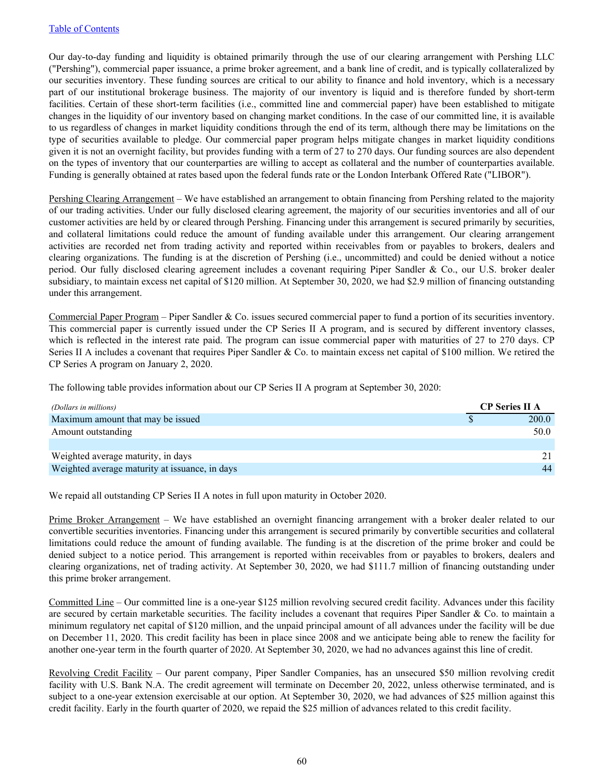Our day-to-day funding and liquidity is obtained primarily through the use of our clearing arrangement with Pershing LLC ("Pershing"), commercial paper issuance, a prime broker agreement, and a bank line of credit, and is typically collateralized by our securities inventory. These funding sources are critical to our ability to finance and hold inventory, which is a necessary part of our institutional brokerage business. The majority of our inventory is liquid and is therefore funded by short-term facilities. Certain of these short-term facilities (i.e., committed line and commercial paper) have been established to mitigate changes in the liquidity of our inventory based on changing market conditions. In the case of our committed line, it is available to us regardless of changes in market liquidity conditions through the end of its term, although there may be limitations on the type of securities available to pledge. Our commercial paper program helps mitigate changes in market liquidity conditions given it is not an overnight facility, but provides funding with a term of 27 to 270 days. Our funding sources are also dependent on the types of inventory that our counterparties are willing to accept as collateral and the number of counterparties available. Funding is generally obtained at rates based upon the federal funds rate or the London Interbank Offered Rate ("LIBOR").

Pershing Clearing Arrangement – We have established an arrangement to obtain financing from Pershing related to the majority of our trading activities. Under our fully disclosed clearing agreement, the majority of our securities inventories and all of our customer activities are held by or cleared through Pershing. Financing under this arrangement is secured primarily by securities, and collateral limitations could reduce the amount of funding available under this arrangement. Our clearing arrangement activities are recorded net from trading activity and reported within receivables from or payables to brokers, dealers and clearing organizations. The funding is at the discretion of Pershing (i.e., uncommitted) and could be denied without a notice period. Our fully disclosed clearing agreement includes a covenant requiring Piper Sandler & Co., our U.S. broker dealer subsidiary, to maintain excess net capital of \$120 million. At September 30, 2020, we had \$2.9 million of financing outstanding under this arrangement.

Commercial Paper Program – Piper Sandler & Co. issues secured commercial paper to fund a portion of its securities inventory. This commercial paper is currently issued under the CP Series II A program, and is secured by different inventory classes, which is reflected in the interest rate paid. The program can issue commercial paper with maturities of 27 to 270 days. CP Series II A includes a covenant that requires Piper Sandler & Co. to maintain excess net capital of \$100 million. We retired the CP Series A program on January 2, 2020.

The following table provides information about our CP Series II A program at September 30, 2020:

| (Dollars in millions)                          | <b>CP</b> Series II A |
|------------------------------------------------|-----------------------|
| Maximum amount that may be issued              | 200.0                 |
| Amount outstanding                             | 50.0                  |
|                                                |                       |
| Weighted average maturity, in days             |                       |
| Weighted average maturity at issuance, in days | 44                    |

We repaid all outstanding CP Series II A notes in full upon maturity in October 2020.

Prime Broker Arrangement – We have established an overnight financing arrangement with a broker dealer related to our convertible securities inventories. Financing under this arrangement is secured primarily by convertible securities and collateral limitations could reduce the amount of funding available. The funding is at the discretion of the prime broker and could be denied subject to a notice period. This arrangement is reported within receivables from or payables to brokers, dealers and clearing organizations, net of trading activity. At September 30, 2020, we had \$111.7 million of financing outstanding under this prime broker arrangement.

Committed Line – Our committed line is a one-year \$125 million revolving secured credit facility. Advances under this facility are secured by certain marketable securities. The facility includes a covenant that requires Piper Sandler  $& Co.$  to maintain a minimum regulatory net capital of \$120 million, and the unpaid principal amount of all advances under the facility will be due on December 11, 2020. This credit facility has been in place since 2008 and we anticipate being able to renew the facility for another one-year term in the fourth quarter of 2020. At September 30, 2020, we had no advances against this line of credit.

Revolving Credit Facility – Our parent company, Piper Sandler Companies, has an unsecured \$50 million revolving credit facility with U.S. Bank N.A. The credit agreement will terminate on December 20, 2022, unless otherwise terminated, and is subject to a one-year extension exercisable at our option. At September 30, 2020, we had advances of \$25 million against this credit facility. Early in the fourth quarter of 2020, we repaid the \$25 million of advances related to this credit facility.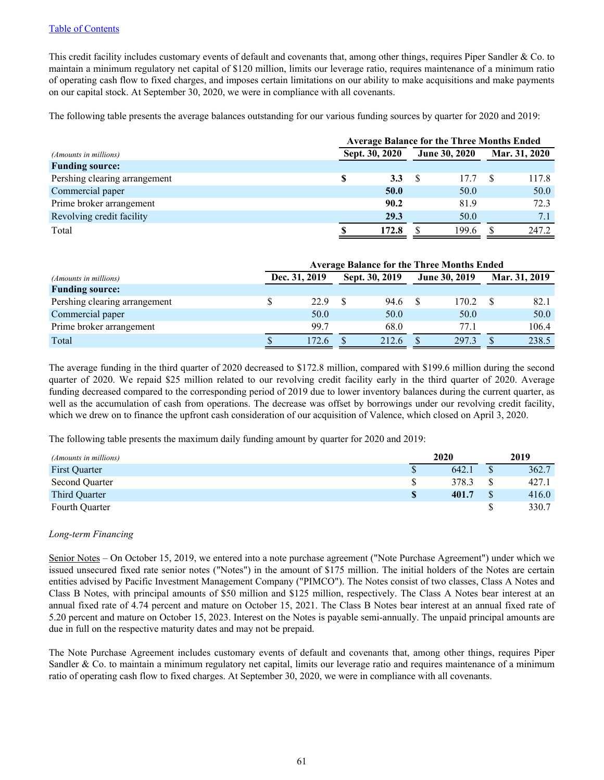#### [Table of Contents](#page-1-0)

This credit facility includes customary events of default and covenants that, among other things, requires Piper Sandler & Co. to maintain a minimum regulatory net capital of \$120 million, limits our leverage ratio, requires maintenance of a minimum ratio of operating cash flow to fixed charges, and imposes certain limitations on our ability to make acquisitions and make payments on our capital stock. At September 30, 2020, we were in compliance with all covenants.

The following table presents the average balances outstanding for our various funding sources by quarter for 2020 and 2019:

|                               | <b>Average Balance for the Three Months Ended</b> |                |  |                      |  |               |  |
|-------------------------------|---------------------------------------------------|----------------|--|----------------------|--|---------------|--|
| (Amounts in millions)         |                                                   | Sept. 30, 2020 |  | <b>June 30, 2020</b> |  | Mar. 31, 2020 |  |
| <b>Funding source:</b>        |                                                   |                |  |                      |  |               |  |
| Pershing clearing arrangement |                                                   | 3.3            |  | 17.7                 |  | 117.8         |  |
| Commercial paper              |                                                   | 50.0           |  | 50.0                 |  | 50.0          |  |
| Prime broker arrangement      |                                                   | 90.2           |  | 81.9                 |  | 72.3          |  |
| Revolving credit facility     |                                                   | 29.3           |  | 50.0                 |  | 7.1           |  |
| Total                         |                                                   | 172.8          |  | 199.6                |  | 247.2         |  |

|                               | <b>Average Balance for the Three Months Ended</b> |       |  |                |  |               |  |               |  |
|-------------------------------|---------------------------------------------------|-------|--|----------------|--|---------------|--|---------------|--|
| <i>(Amounts in millions)</i>  | Dec. 31, 2019                                     |       |  | Sept. 30, 2019 |  | June 30, 2019 |  | Mar. 31, 2019 |  |
| <b>Funding source:</b>        |                                                   |       |  |                |  |               |  |               |  |
| Pershing clearing arrangement |                                                   | 22.9  |  | 94.6           |  | 170.2         |  | 82.1          |  |
| Commercial paper              |                                                   | 50.0  |  | 50.0           |  | 50.0          |  | 50.0          |  |
| Prime broker arrangement      |                                                   | 99.7  |  | 68.0           |  | 77 1          |  | 106.4         |  |
| Total                         |                                                   | 172.6 |  | 212.6          |  | 297.3         |  | 238.5         |  |

The average funding in the third quarter of 2020 decreased to \$172.8 million, compared with \$199.6 million during the second quarter of 2020. We repaid \$25 million related to our revolving credit facility early in the third quarter of 2020. Average funding decreased compared to the corresponding period of 2019 due to lower inventory balances during the current quarter, as well as the accumulation of cash from operations. The decrease was offset by borrowings under our revolving credit facility, which we drew on to finance the upfront cash consideration of our acquisition of Valence, which closed on April 3, 2020.

The following table presents the maximum daily funding amount by quarter for 2020 and 2019:

| (Amounts in millions) | 2020  | 2019 |       |  |
|-----------------------|-------|------|-------|--|
| <b>First Quarter</b>  | 642.1 |      | 362.7 |  |
| Second Quarter        | 378.3 |      | 427.1 |  |
| Third Quarter         | 401.7 | \$   | 416.0 |  |
| Fourth Quarter        |       |      | 330.7 |  |

#### *Long-term Financing*

Senior Notes – On October 15, 2019, we entered into a note purchase agreement ("Note Purchase Agreement") under which we issued unsecured fixed rate senior notes ("Notes") in the amount of \$175 million. The initial holders of the Notes are certain entities advised by Pacific Investment Management Company ("PIMCO"). The Notes consist of two classes, Class A Notes and Class B Notes, with principal amounts of \$50 million and \$125 million, respectively. The Class A Notes bear interest at an annual fixed rate of 4.74 percent and mature on October 15, 2021. The Class B Notes bear interest at an annual fixed rate of 5.20 percent and mature on October 15, 2023. Interest on the Notes is payable semi-annually. The unpaid principal amounts are due in full on the respective maturity dates and may not be prepaid.

The Note Purchase Agreement includes customary events of default and covenants that, among other things, requires Piper Sandler  $& Co.$  to maintain a minimum regulatory net capital, limits our leverage ratio and requires maintenance of a minimum ratio of operating cash flow to fixed charges. At September 30, 2020, we were in compliance with all covenants.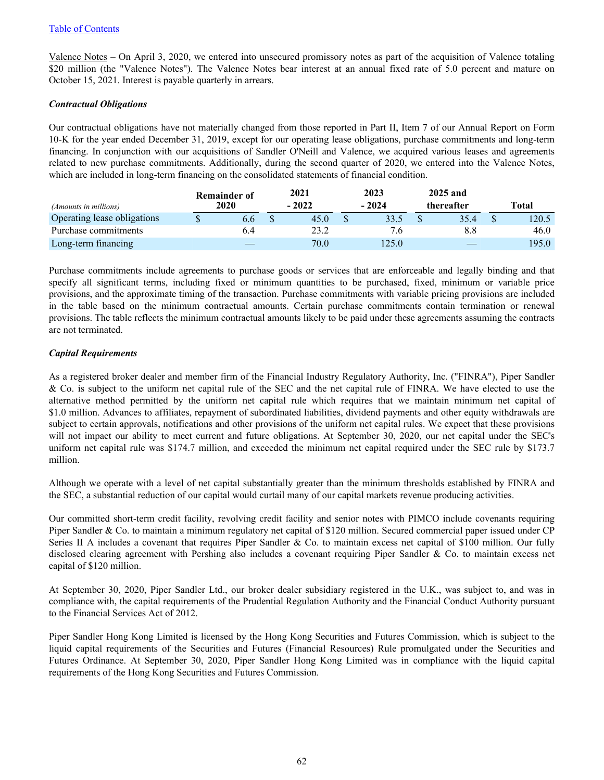Valence Notes – On April 3, 2020, we entered into unsecured promissory notes as part of the acquisition of Valence totaling \$20 million (the "Valence Notes"). The Valence Notes bear interest at an annual fixed rate of 5.0 percent and mature on October 15, 2021. Interest is payable quarterly in arrears.

#### *Contractual Obligations*

Our contractual obligations have not materially changed from those reported in Part II, Item 7 of our Annual Report on Form 10-K for the year ended December 31, 2019, except for our operating lease obligations, purchase commitments and long-term financing. In conjunction with our acquisitions of Sandler O'Neill and Valence, we acquired various leases and agreements related to new purchase commitments. Additionally, during the second quarter of 2020, we entered into the Valence Notes, which are included in long-term financing on the consolidated statements of financial condition.

| (Amounts in millions)       | <b>Remainder of</b><br>2020 | 2021<br>$-2022$ | 2023<br>$-2024$ | 2025 and<br>thereafter | Total |
|-----------------------------|-----------------------------|-----------------|-----------------|------------------------|-------|
| Operating lease obligations | 6.6                         | 45.0            | 33.5            | 35.4                   | 120.5 |
| Purchase commitments        | 6.4                         | 23.2            | 7.6             | 8.8                    | 46.0  |
| Long-term financing         |                             | 70.0            | 25.0            |                        | 195.0 |

Purchase commitments include agreements to purchase goods or services that are enforceable and legally binding and that specify all significant terms, including fixed or minimum quantities to be purchased, fixed, minimum or variable price provisions, and the approximate timing of the transaction. Purchase commitments with variable pricing provisions are included in the table based on the minimum contractual amounts. Certain purchase commitments contain termination or renewal provisions. The table reflects the minimum contractual amounts likely to be paid under these agreements assuming the contracts are not terminated.

#### *Capital Requirements*

As a registered broker dealer and member firm of the Financial Industry Regulatory Authority, Inc. ("FINRA"), Piper Sandler & Co. is subject to the uniform net capital rule of the SEC and the net capital rule of FINRA. We have elected to use the alternative method permitted by the uniform net capital rule which requires that we maintain minimum net capital of \$1.0 million. Advances to affiliates, repayment of subordinated liabilities, dividend payments and other equity withdrawals are subject to certain approvals, notifications and other provisions of the uniform net capital rules. We expect that these provisions will not impact our ability to meet current and future obligations. At September 30, 2020, our net capital under the SEC's uniform net capital rule was \$174.7 million, and exceeded the minimum net capital required under the SEC rule by \$173.7 million.

Although we operate with a level of net capital substantially greater than the minimum thresholds established by FINRA and the SEC, a substantial reduction of our capital would curtail many of our capital markets revenue producing activities.

Our committed short-term credit facility, revolving credit facility and senior notes with PIMCO include covenants requiring Piper Sandler & Co. to maintain a minimum regulatory net capital of \$120 million. Secured commercial paper issued under CP Series II A includes a covenant that requires Piper Sandler & Co. to maintain excess net capital of \$100 million. Our fully disclosed clearing agreement with Pershing also includes a covenant requiring Piper Sandler & Co. to maintain excess net capital of \$120 million.

At September 30, 2020, Piper Sandler Ltd., our broker dealer subsidiary registered in the U.K., was subject to, and was in compliance with, the capital requirements of the Prudential Regulation Authority and the Financial Conduct Authority pursuant to the Financial Services Act of 2012.

Piper Sandler Hong Kong Limited is licensed by the Hong Kong Securities and Futures Commission, which is subject to the liquid capital requirements of the Securities and Futures (Financial Resources) Rule promulgated under the Securities and Futures Ordinance. At September 30, 2020, Piper Sandler Hong Kong Limited was in compliance with the liquid capital requirements of the Hong Kong Securities and Futures Commission.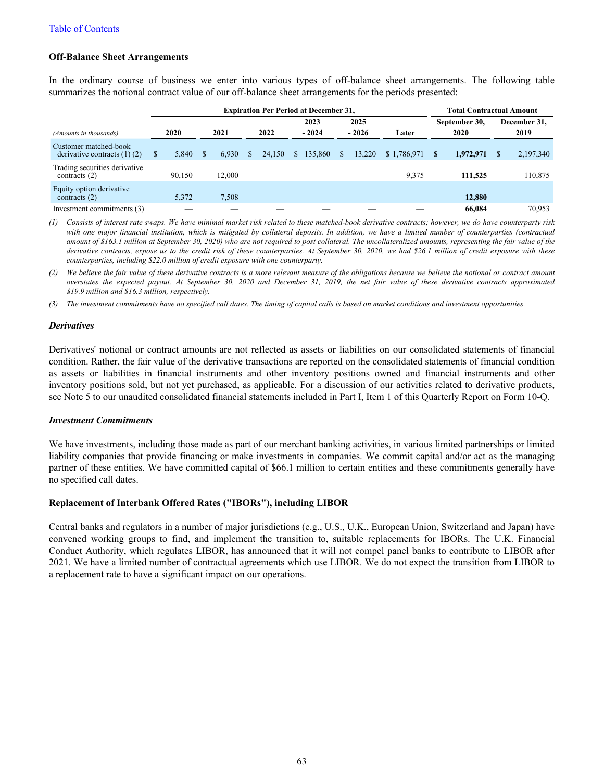#### **Off-Balance Sheet Arrangements**

In the ordinary course of business we enter into various types of off-balance sheet arrangements. The following table summarizes the notional contract value of our off-balance sheet arrangements for the periods presented:

| <b>Expiration Per Period at December 31,</b>              |   |        |  |        |  |        |              |                 |   |                 | <b>Total Contractual Amount</b> |                       |  |                      |
|-----------------------------------------------------------|---|--------|--|--------|--|--------|--------------|-----------------|---|-----------------|---------------------------------|-----------------------|--|----------------------|
|                                                           |   | 2020   |  | 2021   |  | 2022   |              | 2023<br>$-2024$ |   | 2025<br>$-2026$ | Later                           | September 30,<br>2020 |  | December 31,<br>2019 |
| (Amounts in thousands)                                    |   |        |  |        |  |        |              |                 |   |                 |                                 |                       |  |                      |
| Customer matched-book<br>derivative contracts $(1)$ $(2)$ | S | 5,840  |  | 6,930  |  | 24,150 | <sup>S</sup> | 135,860         | S | 13,220          | \$1,786,971                     | \$<br>1,972,971       |  | 2,197,340            |
| Trading securities derivative<br>contracts $(2)$          |   | 90,150 |  | 12,000 |  |        |              |                 |   |                 | 9,375                           | 111,525               |  | 110,875              |
| Equity option derivative<br>contracts $(2)$               |   | 5,372  |  | 7,508  |  |        |              |                 |   |                 |                                 | 12,880                |  |                      |
| Investment commitments (3)                                |   |        |  |        |  |        |              |                 |   |                 |                                 | 66.084                |  | 70,953               |

*(1) Consists of interest rate swaps. We have minimal market risk related to these matched-book derivative contracts; however, we do have counterparty risk*  with one major financial institution, which is mitigated by collateral deposits. In addition, we have a limited number of counterparties (contractual *amount of \$163.1 million at September 30, 2020) who are not required to post collateral. The uncollateralized amounts, representing the fair value of the*  derivative contracts, expose us to the credit risk of these counterparties. At September 30, 2020, we had \$26.1 million of credit exposure with these *counterparties, including \$22.0 million of credit exposure with one counterparty.*

*(2) We believe the fair value of these derivative contracts is a more relevant measure of the obligations because we believe the notional or contract amount overstates the expected payout. At September 30, 2020 and December 31, 2019, the net fair value of these derivative contracts approximated \$19.9 million and \$16.3 million, respectively.*

*(3) The investment commitments have no specified call dates. The timing of capital calls is based on market conditions and investment opportunities.* 

#### *Derivatives*

Derivatives' notional or contract amounts are not reflected as assets or liabilities on our consolidated statements of financial condition. Rather, the fair value of the derivative transactions are reported on the consolidated statements of financial condition as assets or liabilities in financial instruments and other inventory positions owned and financial instruments and other inventory positions sold, but not yet purchased, as applicable. For a discussion of our activities related to derivative products, see Note 5 to our unaudited consolidated financial statements included in Part I, Item 1 of this Quarterly Report on Form 10-Q.

#### *Investment Commitments*

We have investments, including those made as part of our merchant banking activities, in various limited partnerships or limited liability companies that provide financing or make investments in companies. We commit capital and/or act as the managing partner of these entities. We have committed capital of \$66.1 million to certain entities and these commitments generally have no specified call dates.

#### **Replacement of Interbank Offered Rates ("IBORs"), including LIBOR**

Central banks and regulators in a number of major jurisdictions (e.g., U.S., U.K., European Union, Switzerland and Japan) have convened working groups to find, and implement the transition to, suitable replacements for IBORs. The U.K. Financial Conduct Authority, which regulates LIBOR, has announced that it will not compel panel banks to contribute to LIBOR after 2021. We have a limited number of contractual agreements which use LIBOR. We do not expect the transition from LIBOR to a replacement rate to have a significant impact on our operations.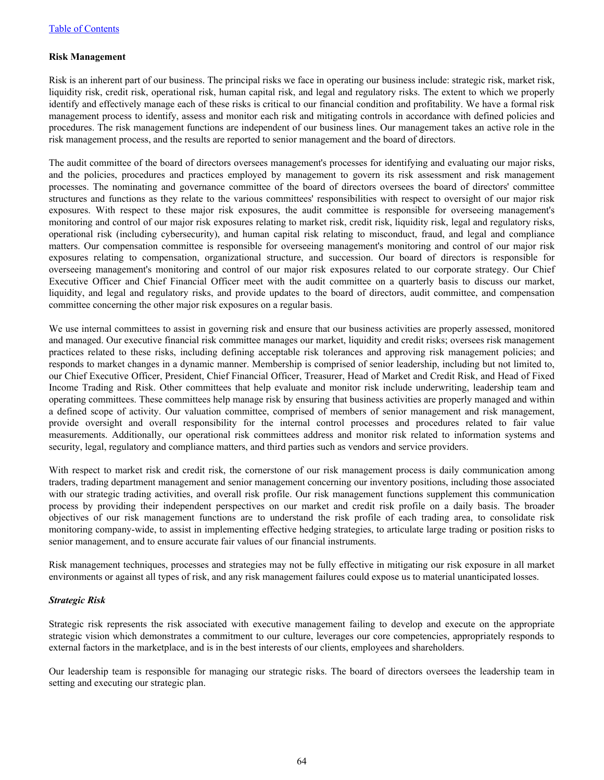#### **Risk Management**

Risk is an inherent part of our business. The principal risks we face in operating our business include: strategic risk, market risk, liquidity risk, credit risk, operational risk, human capital risk, and legal and regulatory risks. The extent to which we properly identify and effectively manage each of these risks is critical to our financial condition and profitability. We have a formal risk management process to identify, assess and monitor each risk and mitigating controls in accordance with defined policies and procedures. The risk management functions are independent of our business lines. Our management takes an active role in the risk management process, and the results are reported to senior management and the board of directors.

The audit committee of the board of directors oversees management's processes for identifying and evaluating our major risks, and the policies, procedures and practices employed by management to govern its risk assessment and risk management processes. The nominating and governance committee of the board of directors oversees the board of directors' committee structures and functions as they relate to the various committees' responsibilities with respect to oversight of our major risk exposures. With respect to these major risk exposures, the audit committee is responsible for overseeing management's monitoring and control of our major risk exposures relating to market risk, credit risk, liquidity risk, legal and regulatory risks, operational risk (including cybersecurity), and human capital risk relating to misconduct, fraud, and legal and compliance matters. Our compensation committee is responsible for overseeing management's monitoring and control of our major risk exposures relating to compensation, organizational structure, and succession. Our board of directors is responsible for overseeing management's monitoring and control of our major risk exposures related to our corporate strategy. Our Chief Executive Officer and Chief Financial Officer meet with the audit committee on a quarterly basis to discuss our market, liquidity, and legal and regulatory risks, and provide updates to the board of directors, audit committee, and compensation committee concerning the other major risk exposures on a regular basis.

We use internal committees to assist in governing risk and ensure that our business activities are properly assessed, monitored and managed. Our executive financial risk committee manages our market, liquidity and credit risks; oversees risk management practices related to these risks, including defining acceptable risk tolerances and approving risk management policies; and responds to market changes in a dynamic manner. Membership is comprised of senior leadership, including but not limited to, our Chief Executive Officer, President, Chief Financial Officer, Treasurer, Head of Market and Credit Risk, and Head of Fixed Income Trading and Risk. Other committees that help evaluate and monitor risk include underwriting, leadership team and operating committees. These committees help manage risk by ensuring that business activities are properly managed and within a defined scope of activity. Our valuation committee, comprised of members of senior management and risk management, provide oversight and overall responsibility for the internal control processes and procedures related to fair value measurements. Additionally, our operational risk committees address and monitor risk related to information systems and security, legal, regulatory and compliance matters, and third parties such as vendors and service providers.

With respect to market risk and credit risk, the cornerstone of our risk management process is daily communication among traders, trading department management and senior management concerning our inventory positions, including those associated with our strategic trading activities, and overall risk profile. Our risk management functions supplement this communication process by providing their independent perspectives on our market and credit risk profile on a daily basis. The broader objectives of our risk management functions are to understand the risk profile of each trading area, to consolidate risk monitoring company-wide, to assist in implementing effective hedging strategies, to articulate large trading or position risks to senior management, and to ensure accurate fair values of our financial instruments.

Risk management techniques, processes and strategies may not be fully effective in mitigating our risk exposure in all market environments or against all types of risk, and any risk management failures could expose us to material unanticipated losses.

#### *Strategic Risk*

Strategic risk represents the risk associated with executive management failing to develop and execute on the appropriate strategic vision which demonstrates a commitment to our culture, leverages our core competencies, appropriately responds to external factors in the marketplace, and is in the best interests of our clients, employees and shareholders.

Our leadership team is responsible for managing our strategic risks. The board of directors oversees the leadership team in setting and executing our strategic plan.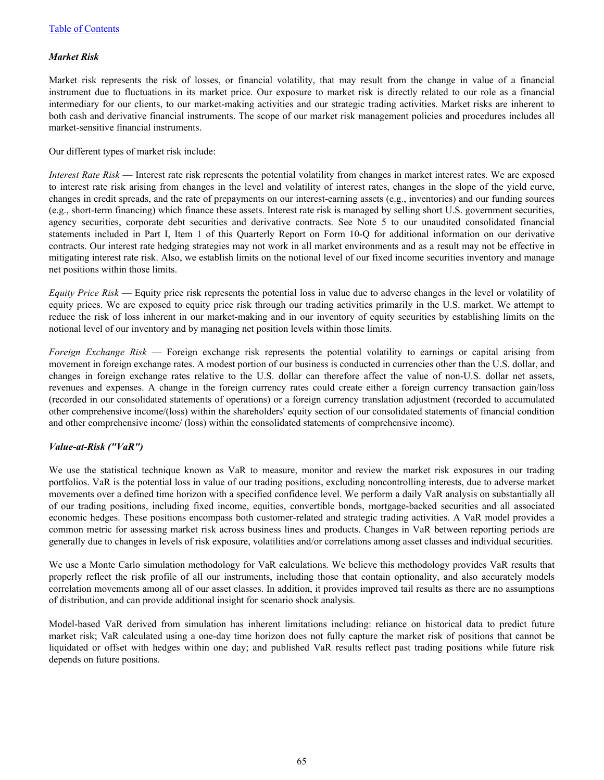#### *Market Risk*

Market risk represents the risk of losses, or financial volatility, that may result from the change in value of a financial instrument due to fluctuations in its market price. Our exposure to market risk is directly related to our role as a financial intermediary for our clients, to our market-making activities and our strategic trading activities. Market risks are inherent to both cash and derivative financial instruments. The scope of our market risk management policies and procedures includes all market-sensitive financial instruments.

Our different types of market risk include:

*Interest Rate Risk* — Interest rate risk represents the potential volatility from changes in market interest rates. We are exposed to interest rate risk arising from changes in the level and volatility of interest rates, changes in the slope of the yield curve, changes in credit spreads, and the rate of prepayments on our interest-earning assets (e.g., inventories) and our funding sources (e.g., short-term financing) which finance these assets. Interest rate risk is managed by selling short U.S. government securities, agency securities, corporate debt securities and derivative contracts. See Note 5 to our unaudited consolidated financial statements included in Part I, Item 1 of this Quarterly Report on Form 10-Q for additional information on our derivative contracts. Our interest rate hedging strategies may not work in all market environments and as a result may not be effective in mitigating interest rate risk. Also, we establish limits on the notional level of our fixed income securities inventory and manage net positions within those limits.

*Equity Price Risk* — Equity price risk represents the potential loss in value due to adverse changes in the level or volatility of equity prices. We are exposed to equity price risk through our trading activities primarily in the U.S. market. We attempt to reduce the risk of loss inherent in our market-making and in our inventory of equity securities by establishing limits on the notional level of our inventory and by managing net position levels within those limits.

*Foreign Exchange Risk* — Foreign exchange risk represents the potential volatility to earnings or capital arising from movement in foreign exchange rates. A modest portion of our business is conducted in currencies other than the U.S. dollar, and changes in foreign exchange rates relative to the U.S. dollar can therefore affect the value of non-U.S. dollar net assets, revenues and expenses. A change in the foreign currency rates could create either a foreign currency transaction gain/loss (recorded in our consolidated statements of operations) or a foreign currency translation adjustment (recorded to accumulated other comprehensive income/(loss) within the shareholders' equity section of our consolidated statements of financial condition and other comprehensive income/ (loss) within the consolidated statements of comprehensive income).

#### *Value-at-Risk ("VaR")*

We use the statistical technique known as VaR to measure, monitor and review the market risk exposures in our trading portfolios. VaR is the potential loss in value of our trading positions, excluding noncontrolling interests, due to adverse market movements over a defined time horizon with a specified confidence level. We perform a daily VaR analysis on substantially all of our trading positions, including fixed income, equities, convertible bonds, mortgage-backed securities and all associated economic hedges. These positions encompass both customer-related and strategic trading activities. A VaR model provides a common metric for assessing market risk across business lines and products. Changes in VaR between reporting periods are generally due to changes in levels of risk exposure, volatilities and/or correlations among asset classes and individual securities.

We use a Monte Carlo simulation methodology for VaR calculations. We believe this methodology provides VaR results that properly reflect the risk profile of all our instruments, including those that contain optionality, and also accurately models correlation movements among all of our asset classes. In addition, it provides improved tail results as there are no assumptions of distribution, and can provide additional insight for scenario shock analysis.

Model-based VaR derived from simulation has inherent limitations including: reliance on historical data to predict future market risk; VaR calculated using a one-day time horizon does not fully capture the market risk of positions that cannot be liquidated or offset with hedges within one day; and published VaR results reflect past trading positions while future risk depends on future positions.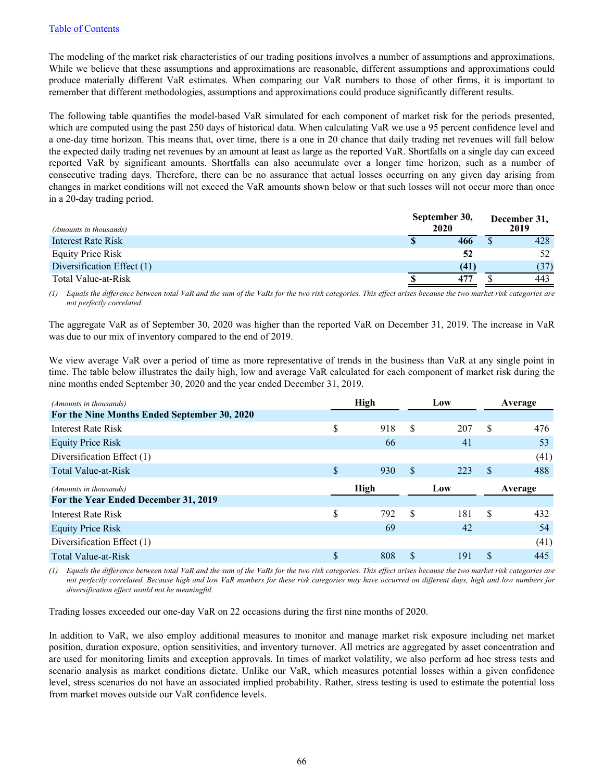The modeling of the market risk characteristics of our trading positions involves a number of assumptions and approximations. While we believe that these assumptions and approximations are reasonable, different assumptions and approximations could produce materially different VaR estimates. When comparing our VaR numbers to those of other firms, it is important to remember that different methodologies, assumptions and approximations could produce significantly different results.

The following table quantifies the model-based VaR simulated for each component of market risk for the periods presented, which are computed using the past 250 days of historical data. When calculating VaR we use a 95 percent confidence level and a one-day time horizon. This means that, over time, there is a one in 20 chance that daily trading net revenues will fall below the expected daily trading net revenues by an amount at least as large as the reported VaR. Shortfalls on a single day can exceed reported VaR by significant amounts. Shortfalls can also accumulate over a longer time horizon, such as a number of consecutive trading days. Therefore, there can be no assurance that actual losses occurring on any given day arising from changes in market conditions will not exceed the VaR amounts shown below or that such losses will not occur more than once in a 20-day trading period.

| (Amounts in thousands)     | September 30,<br>2020 | December 31,<br>2019 |
|----------------------------|-----------------------|----------------------|
| Interest Rate Risk         | 466                   | 428                  |
| <b>Equity Price Risk</b>   | 52                    |                      |
| Diversification Effect (1) | (41)                  | (37)                 |
| Total Value-at-Risk        |                       | 443                  |

*(1) Equals the difference between total VaR and the sum of the VaRs for the two risk categories. This effect arises because the two market risk categories are not perfectly correlated.*

The aggregate VaR as of September 30, 2020 was higher than the reported VaR on December 31, 2019. The increase in VaR was due to our mix of inventory compared to the end of 2019.

We view average VaR over a period of time as more representative of trends in the business than VaR at any single point in time. The table below illustrates the daily high, low and average VaR calculated for each component of market risk during the nine months ended September 30, 2020 and the year ended December 31, 2019.

| (Amounts in thousands)                       | <b>High</b> |             |    | Low | Average       |         |
|----------------------------------------------|-------------|-------------|----|-----|---------------|---------|
| For the Nine Months Ended September 30, 2020 |             |             |    |     |               |         |
| Interest Rate Risk                           | \$          | 918         | S  | 207 | \$.           | 476     |
| <b>Equity Price Risk</b>                     |             | 66          |    | 41  |               | 53      |
| Diversification Effect (1)                   |             |             |    |     |               | (41)    |
| <b>Total Value-at-Risk</b>                   | \$          | 930         | \$ | 223 | <sup>\$</sup> | 488     |
|                                              |             |             |    |     |               |         |
| (Amounts in thousands)                       |             | <b>High</b> |    | Low |               | Average |
| For the Year Ended December 31, 2019         |             |             |    |     |               |         |
| Interest Rate Risk                           | \$          | 792         | S  | 181 | \$.           | 432     |
| <b>Equity Price Risk</b>                     |             | 69          |    | 42  |               | 54      |
| Diversification Effect (1)                   |             |             |    |     |               | (41)    |

*(1) Equals the difference between total VaR and the sum of the VaRs for the two risk categories. This effect arises because the two market risk categories are not perfectly correlated. Because high and low VaR numbers for these risk categories may have occurred on different days, high and low numbers for diversification effect would not be meaningful.*

Trading losses exceeded our one-day VaR on 22 occasions during the first nine months of 2020.

In addition to VaR, we also employ additional measures to monitor and manage market risk exposure including net market position, duration exposure, option sensitivities, and inventory turnover. All metrics are aggregated by asset concentration and are used for monitoring limits and exception approvals. In times of market volatility, we also perform ad hoc stress tests and scenario analysis as market conditions dictate. Unlike our VaR, which measures potential losses within a given confidence level, stress scenarios do not have an associated implied probability. Rather, stress testing is used to estimate the potential loss from market moves outside our VaR confidence levels.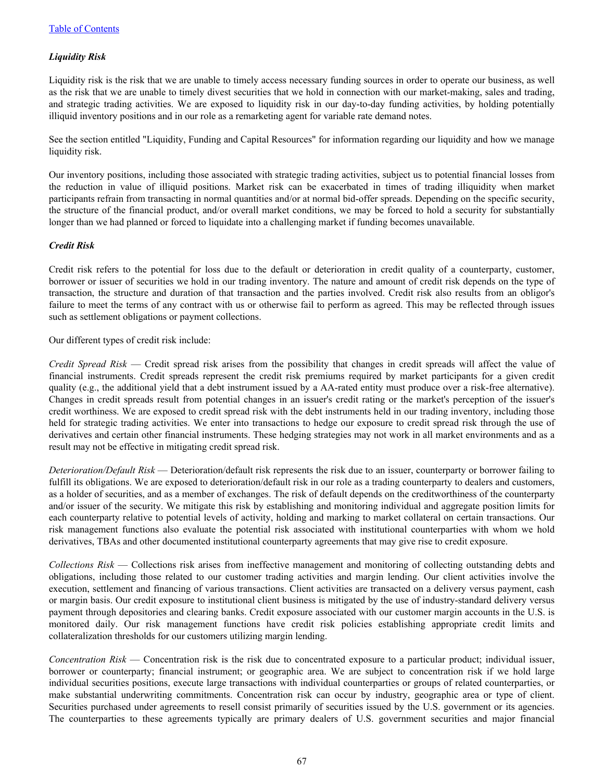## *Liquidity Risk*

Liquidity risk is the risk that we are unable to timely access necessary funding sources in order to operate our business, as well as the risk that we are unable to timely divest securities that we hold in connection with our market-making, sales and trading, and strategic trading activities. We are exposed to liquidity risk in our day-to-day funding activities, by holding potentially illiquid inventory positions and in our role as a remarketing agent for variable rate demand notes.

See the section entitled "Liquidity, Funding and Capital Resources" for information regarding our liquidity and how we manage liquidity risk.

Our inventory positions, including those associated with strategic trading activities, subject us to potential financial losses from the reduction in value of illiquid positions. Market risk can be exacerbated in times of trading illiquidity when market participants refrain from transacting in normal quantities and/or at normal bid-offer spreads. Depending on the specific security, the structure of the financial product, and/or overall market conditions, we may be forced to hold a security for substantially longer than we had planned or forced to liquidate into a challenging market if funding becomes unavailable.

#### *Credit Risk*

Credit risk refers to the potential for loss due to the default or deterioration in credit quality of a counterparty, customer, borrower or issuer of securities we hold in our trading inventory. The nature and amount of credit risk depends on the type of transaction, the structure and duration of that transaction and the parties involved. Credit risk also results from an obligor's failure to meet the terms of any contract with us or otherwise fail to perform as agreed. This may be reflected through issues such as settlement obligations or payment collections.

Our different types of credit risk include:

*Credit Spread Risk* — Credit spread risk arises from the possibility that changes in credit spreads will affect the value of financial instruments. Credit spreads represent the credit risk premiums required by market participants for a given credit quality (e.g., the additional yield that a debt instrument issued by a AA-rated entity must produce over a risk-free alternative). Changes in credit spreads result from potential changes in an issuer's credit rating or the market's perception of the issuer's credit worthiness. We are exposed to credit spread risk with the debt instruments held in our trading inventory, including those held for strategic trading activities. We enter into transactions to hedge our exposure to credit spread risk through the use of derivatives and certain other financial instruments. These hedging strategies may not work in all market environments and as a result may not be effective in mitigating credit spread risk.

*Deterioration/Default Risk* — Deterioration/default risk represents the risk due to an issuer, counterparty or borrower failing to fulfill its obligations. We are exposed to deterioration/default risk in our role as a trading counterparty to dealers and customers, as a holder of securities, and as a member of exchanges. The risk of default depends on the creditworthiness of the counterparty and/or issuer of the security. We mitigate this risk by establishing and monitoring individual and aggregate position limits for each counterparty relative to potential levels of activity, holding and marking to market collateral on certain transactions. Our risk management functions also evaluate the potential risk associated with institutional counterparties with whom we hold derivatives, TBAs and other documented institutional counterparty agreements that may give rise to credit exposure.

*Collections Risk* — Collections risk arises from ineffective management and monitoring of collecting outstanding debts and obligations, including those related to our customer trading activities and margin lending. Our client activities involve the execution, settlement and financing of various transactions. Client activities are transacted on a delivery versus payment, cash or margin basis. Our credit exposure to institutional client business is mitigated by the use of industry-standard delivery versus payment through depositories and clearing banks. Credit exposure associated with our customer margin accounts in the U.S. is monitored daily. Our risk management functions have credit risk policies establishing appropriate credit limits and collateralization thresholds for our customers utilizing margin lending.

*Concentration Risk* — Concentration risk is the risk due to concentrated exposure to a particular product; individual issuer, borrower or counterparty; financial instrument; or geographic area. We are subject to concentration risk if we hold large individual securities positions, execute large transactions with individual counterparties or groups of related counterparties, or make substantial underwriting commitments. Concentration risk can occur by industry, geographic area or type of client. Securities purchased under agreements to resell consist primarily of securities issued by the U.S. government or its agencies. The counterparties to these agreements typically are primary dealers of U.S. government securities and major financial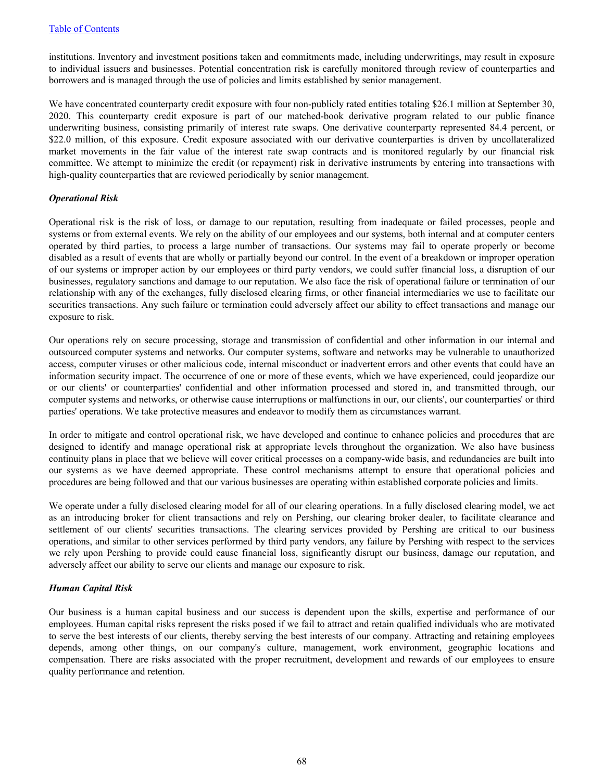institutions. Inventory and investment positions taken and commitments made, including underwritings, may result in exposure to individual issuers and businesses. Potential concentration risk is carefully monitored through review of counterparties and borrowers and is managed through the use of policies and limits established by senior management.

We have concentrated counterparty credit exposure with four non-publicly rated entities totaling \$26.1 million at September 30, 2020. This counterparty credit exposure is part of our matched-book derivative program related to our public finance underwriting business, consisting primarily of interest rate swaps. One derivative counterparty represented 84.4 percent, or \$22.0 million, of this exposure. Credit exposure associated with our derivative counterparties is driven by uncollateralized market movements in the fair value of the interest rate swap contracts and is monitored regularly by our financial risk committee. We attempt to minimize the credit (or repayment) risk in derivative instruments by entering into transactions with high-quality counterparties that are reviewed periodically by senior management.

## *Operational Risk*

Operational risk is the risk of loss, or damage to our reputation, resulting from inadequate or failed processes, people and systems or from external events. We rely on the ability of our employees and our systems, both internal and at computer centers operated by third parties, to process a large number of transactions. Our systems may fail to operate properly or become disabled as a result of events that are wholly or partially beyond our control. In the event of a breakdown or improper operation of our systems or improper action by our employees or third party vendors, we could suffer financial loss, a disruption of our businesses, regulatory sanctions and damage to our reputation. We also face the risk of operational failure or termination of our relationship with any of the exchanges, fully disclosed clearing firms, or other financial intermediaries we use to facilitate our securities transactions. Any such failure or termination could adversely affect our ability to effect transactions and manage our exposure to risk.

Our operations rely on secure processing, storage and transmission of confidential and other information in our internal and outsourced computer systems and networks. Our computer systems, software and networks may be vulnerable to unauthorized access, computer viruses or other malicious code, internal misconduct or inadvertent errors and other events that could have an information security impact. The occurrence of one or more of these events, which we have experienced, could jeopardize our or our clients' or counterparties' confidential and other information processed and stored in, and transmitted through, our computer systems and networks, or otherwise cause interruptions or malfunctions in our, our clients', our counterparties' or third parties' operations. We take protective measures and endeavor to modify them as circumstances warrant.

In order to mitigate and control operational risk, we have developed and continue to enhance policies and procedures that are designed to identify and manage operational risk at appropriate levels throughout the organization. We also have business continuity plans in place that we believe will cover critical processes on a company-wide basis, and redundancies are built into our systems as we have deemed appropriate. These control mechanisms attempt to ensure that operational policies and procedures are being followed and that our various businesses are operating within established corporate policies and limits.

We operate under a fully disclosed clearing model for all of our clearing operations. In a fully disclosed clearing model, we act as an introducing broker for client transactions and rely on Pershing, our clearing broker dealer, to facilitate clearance and settlement of our clients' securities transactions. The clearing services provided by Pershing are critical to our business operations, and similar to other services performed by third party vendors, any failure by Pershing with respect to the services we rely upon Pershing to provide could cause financial loss, significantly disrupt our business, damage our reputation, and adversely affect our ability to serve our clients and manage our exposure to risk.

#### *Human Capital Risk*

Our business is a human capital business and our success is dependent upon the skills, expertise and performance of our employees. Human capital risks represent the risks posed if we fail to attract and retain qualified individuals who are motivated to serve the best interests of our clients, thereby serving the best interests of our company. Attracting and retaining employees depends, among other things, on our company's culture, management, work environment, geographic locations and compensation. There are risks associated with the proper recruitment, development and rewards of our employees to ensure quality performance and retention.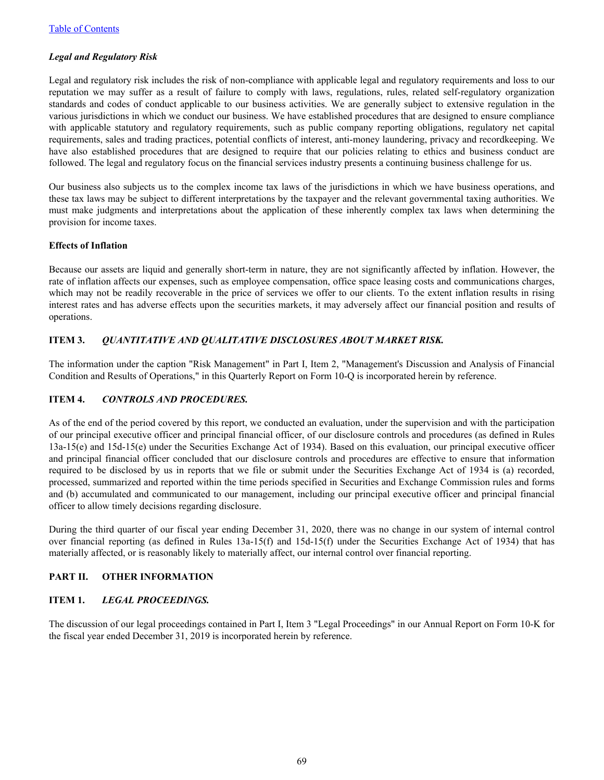## *Legal and Regulatory Risk*

Legal and regulatory risk includes the risk of non-compliance with applicable legal and regulatory requirements and loss to our reputation we may suffer as a result of failure to comply with laws, regulations, rules, related self-regulatory organization standards and codes of conduct applicable to our business activities. We are generally subject to extensive regulation in the various jurisdictions in which we conduct our business. We have established procedures that are designed to ensure compliance with applicable statutory and regulatory requirements, such as public company reporting obligations, regulatory net capital requirements, sales and trading practices, potential conflicts of interest, anti-money laundering, privacy and recordkeeping. We have also established procedures that are designed to require that our policies relating to ethics and business conduct are followed. The legal and regulatory focus on the financial services industry presents a continuing business challenge for us.

Our business also subjects us to the complex income tax laws of the jurisdictions in which we have business operations, and these tax laws may be subject to different interpretations by the taxpayer and the relevant governmental taxing authorities. We must make judgments and interpretations about the application of these inherently complex tax laws when determining the provision for income taxes.

#### **Effects of Inflation**

Because our assets are liquid and generally short-term in nature, they are not significantly affected by inflation. However, the rate of inflation affects our expenses, such as employee compensation, office space leasing costs and communications charges, which may not be readily recoverable in the price of services we offer to our clients. To the extent inflation results in rising interest rates and has adverse effects upon the securities markets, it may adversely affect our financial position and results of operations.

## **ITEM 3.** *QUANTITATIVE AND QUALITATIVE DISCLOSURES ABOUT MARKET RISK.*

The information under the caption "Risk Management" in Part I, Item 2, "Management's Discussion and Analysis of Financial Condition and Results of Operations," in this Quarterly Report on Form 10-Q is incorporated herein by reference.

#### **ITEM 4.** *CONTROLS AND PROCEDURES.*

As of the end of the period covered by this report, we conducted an evaluation, under the supervision and with the participation of our principal executive officer and principal financial officer, of our disclosure controls and procedures (as defined in Rules 13a-15(e) and 15d-15(e) under the Securities Exchange Act of 1934). Based on this evaluation, our principal executive officer and principal financial officer concluded that our disclosure controls and procedures are effective to ensure that information required to be disclosed by us in reports that we file or submit under the Securities Exchange Act of 1934 is (a) recorded, processed, summarized and reported within the time periods specified in Securities and Exchange Commission rules and forms and (b) accumulated and communicated to our management, including our principal executive officer and principal financial officer to allow timely decisions regarding disclosure.

During the third quarter of our fiscal year ending December 31, 2020, there was no change in our system of internal control over financial reporting (as defined in Rules 13a-15(f) and 15d-15(f) under the Securities Exchange Act of 1934) that has materially affected, or is reasonably likely to materially affect, our internal control over financial reporting.

#### **PART II. OTHER INFORMATION**

#### **ITEM 1.** *LEGAL PROCEEDINGS.*

The discussion of our legal proceedings contained in Part I, Item 3 "Legal Proceedings" in our Annual Report on Form 10-K for the fiscal year ended December 31, 2019 is incorporated herein by reference.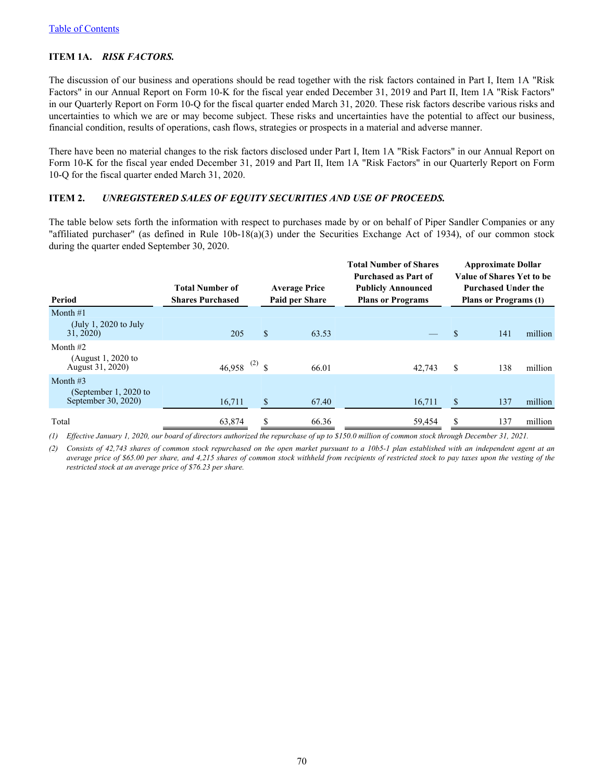## **ITEM 1A.** *RISK FACTORS.*

The discussion of our business and operations should be read together with the risk factors contained in Part I, Item 1A "Risk Factors" in our Annual Report on Form 10-K for the fiscal year ended December 31, 2019 and Part II, Item 1A "Risk Factors" in our Quarterly Report on Form 10-Q for the fiscal quarter ended March 31, 2020. These risk factors describe various risks and uncertainties to which we are or may become subject. These risks and uncertainties have the potential to affect our business, financial condition, results of operations, cash flows, strategies or prospects in a material and adverse manner.

There have been no material changes to the risk factors disclosed under Part I, Item 1A "Risk Factors" in our Annual Report on Form 10-K for the fiscal year ended December 31, 2019 and Part II, Item 1A "Risk Factors" in our Quarterly Report on Form 10-Q for the fiscal quarter ended March 31, 2020.

## **ITEM 2.** *UNREGISTERED SALES OF EQUITY SECURITIES AND USE OF PROCEEDS.*

The table below sets forth the information with respect to purchases made by or on behalf of Piper Sandler Companies or any "affiliated purchaser" (as defined in Rule 10b-18(a)(3) under the Securities Exchange Act of 1934), of our common stock during the quarter ended September 30, 2020.

| Period                                               | <b>Total Number of</b><br><b>Shares Purchased</b> |    | <b>Average Price</b><br>Paid per Share | <b>Total Number of Shares</b><br><b>Purchased as Part of</b><br><b>Publicly Announced</b><br><b>Plans or Programs</b> | <b>Approximate Dollar</b><br>Value of Shares Yet to be<br><b>Purchased Under the</b><br>Plans or Programs (1) |         |
|------------------------------------------------------|---------------------------------------------------|----|----------------------------------------|-----------------------------------------------------------------------------------------------------------------------|---------------------------------------------------------------------------------------------------------------|---------|
| Month $#1$                                           |                                                   |    |                                        |                                                                                                                       |                                                                                                               |         |
| $($ July 1, 2020 to July<br>31, 2020)                | 205                                               | \$ | 63.53                                  |                                                                                                                       | \$<br>141                                                                                                     | million |
| Month $#2$<br>(August 1, 2020 to<br>August 31, 2020) | 46,958 <sup>(2)</sup> \$                          |    | 66.01                                  | 42,743                                                                                                                | \$<br>138                                                                                                     | million |
| Month $#3$                                           |                                                   |    |                                        |                                                                                                                       |                                                                                                               |         |
| (September 1, 2020 to<br>September 30, 2020)         | 16,711                                            | \$ | 67.40                                  | 16,711                                                                                                                | \$<br>137                                                                                                     | million |
| Total                                                | 63,874                                            | \$ | 66.36                                  | 59,454                                                                                                                | 137                                                                                                           | million |

*(1) Effective January 1, 2020, our board of directors authorized the repurchase of up to \$150.0 million of common stock through December 31, 2021.*

*(2) Consists of 42,743 shares of common stock repurchased on the open market pursuant to a 10b5-1 plan established with an independent agent at an average price of \$65.00 per share, and 4,215 shares of common stock withheld from recipients of restricted stock to pay taxes upon the vesting of the restricted stock at an average price of \$76.23 per share.*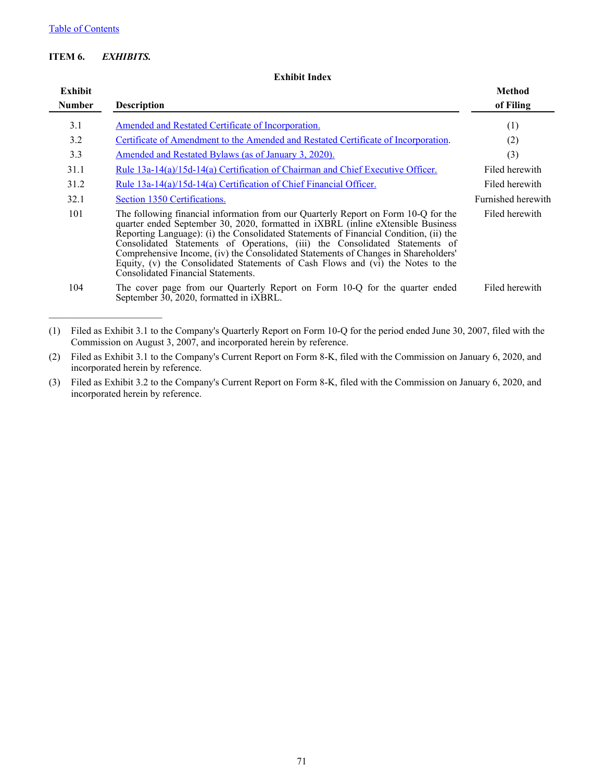## **ITEM 6.** *EXHIBITS.*

**Exhibit Index**

| Exhibit       |                                                                                                                                                                                                                                                                                                                                                                                                                                                                                                                                                                              | <b>Method</b>      |
|---------------|------------------------------------------------------------------------------------------------------------------------------------------------------------------------------------------------------------------------------------------------------------------------------------------------------------------------------------------------------------------------------------------------------------------------------------------------------------------------------------------------------------------------------------------------------------------------------|--------------------|
| <b>Number</b> | <b>Description</b>                                                                                                                                                                                                                                                                                                                                                                                                                                                                                                                                                           | of Filing          |
| 3.1           | Amended and Restated Certificate of Incorporation.                                                                                                                                                                                                                                                                                                                                                                                                                                                                                                                           | (1)                |
| 3.2           | Certificate of Amendment to the Amended and Restated Certificate of Incorporation.                                                                                                                                                                                                                                                                                                                                                                                                                                                                                           | (2)                |
| 3.3           | Amended and Restated Bylaws (as of January 3, 2020).                                                                                                                                                                                                                                                                                                                                                                                                                                                                                                                         | (3)                |
| 31.1          | Rule 13a-14(a)/15d-14(a) Certification of Chairman and Chief Executive Officer.                                                                                                                                                                                                                                                                                                                                                                                                                                                                                              | Filed herewith     |
| 31.2          | Rule 13a-14(a)/15d-14(a) Certification of Chief Financial Officer.                                                                                                                                                                                                                                                                                                                                                                                                                                                                                                           | Filed herewith     |
| 32.1          | Section 1350 Certifications.                                                                                                                                                                                                                                                                                                                                                                                                                                                                                                                                                 | Furnished herewith |
| 101           | The following financial information from our Quarterly Report on Form 10-Q for the<br>quarter ended September 30, 2020, formatted in <i>iXBRL</i> (inline eXtensible Business)<br>Reporting Language): (i) the Consolidated Statements of Financial Condition, (ii) the<br>Consolidated Statements of Operations, (iii) the Consolidated Statements of<br>Comprehensive Income, (iv) the Consolidated Statements of Changes in Shareholders'<br>Equity, (v) the Consolidated Statements of Cash Flows and (vi) the Notes to the<br><b>Consolidated Financial Statements.</b> | Filed herewith     |
| 104           | The cover page from our Quarterly Report on Form 10-Q for the quarter ended<br>September 30, 2020, formatted in <i>iXBRL</i> .                                                                                                                                                                                                                                                                                                                                                                                                                                               | Filed herewith     |

<sup>(1)</sup> Filed as Exhibit 3.1 to the Company's Quarterly Report on Form 10-Q for the period ended June 30, 2007, filed with the Commission on August 3, 2007, and incorporated herein by reference.

(2) Filed as Exhibit 3.1 to the Company's Current Report on Form 8-K, filed with the Commission on January 6, 2020, and incorporated herein by reference.

(3) Filed as Exhibit 3.2 to the Company's Current Report on Form 8-K, filed with the Commission on January 6, 2020, and incorporated herein by reference.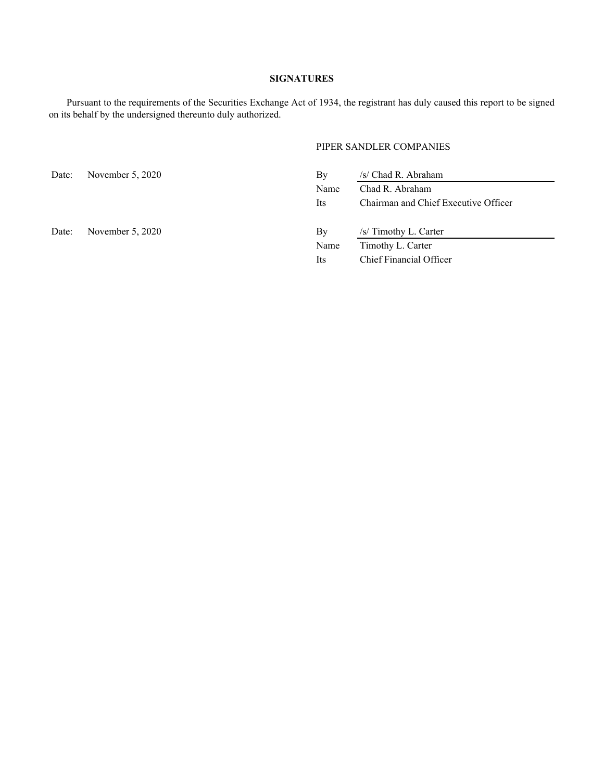#### **SIGNATURES**

Pursuant to the requirements of the Securities Exchange Act of 1934, the registrant has duly caused this report to be signed on its behalf by the undersigned thereunto duly authorized.

## PIPER SANDLER COMPANIES

Date: November 5, 2020 By /s/ Chad R. Abraham Name Chad R. Abraham Its Chairman and Chief Executive Officer Date: November 5, 2020 By /s/ Timothy L. Carter Name Timothy L. Carter Its Chief Financial Officer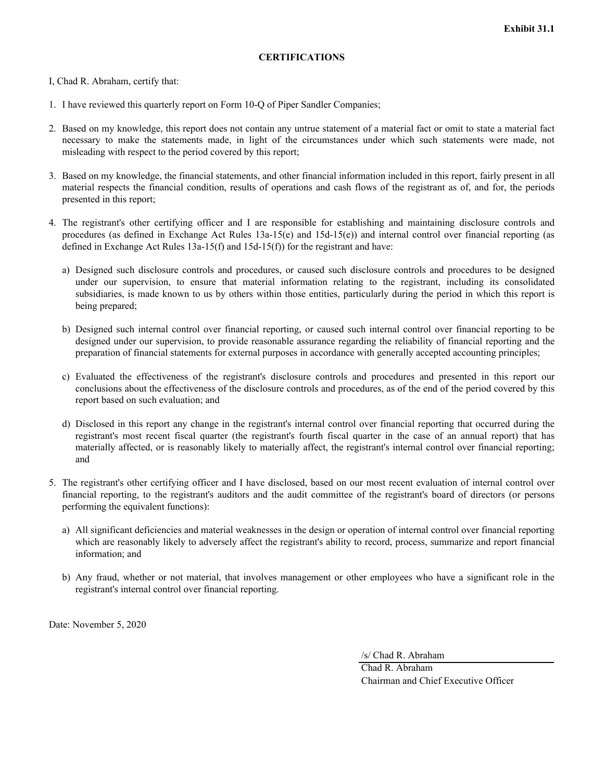## **CERTIFICATIONS**

I, Chad R. Abraham, certify that:

- 1. I have reviewed this quarterly report on Form 10-Q of Piper Sandler Companies;
- 2. Based on my knowledge, this report does not contain any untrue statement of a material fact or omit to state a material fact necessary to make the statements made, in light of the circumstances under which such statements were made, not misleading with respect to the period covered by this report;
- 3. Based on my knowledge, the financial statements, and other financial information included in this report, fairly present in all material respects the financial condition, results of operations and cash flows of the registrant as of, and for, the periods presented in this report;
- 4. The registrant's other certifying officer and I are responsible for establishing and maintaining disclosure controls and procedures (as defined in Exchange Act Rules 13a-15(e) and 15d-15(e)) and internal control over financial reporting (as defined in Exchange Act Rules 13a-15(f) and 15d-15(f)) for the registrant and have:
	- a) Designed such disclosure controls and procedures, or caused such disclosure controls and procedures to be designed under our supervision, to ensure that material information relating to the registrant, including its consolidated subsidiaries, is made known to us by others within those entities, particularly during the period in which this report is being prepared;
	- b) Designed such internal control over financial reporting, or caused such internal control over financial reporting to be designed under our supervision, to provide reasonable assurance regarding the reliability of financial reporting and the preparation of financial statements for external purposes in accordance with generally accepted accounting principles;
	- c) Evaluated the effectiveness of the registrant's disclosure controls and procedures and presented in this report our conclusions about the effectiveness of the disclosure controls and procedures, as of the end of the period covered by this report based on such evaluation; and
	- d) Disclosed in this report any change in the registrant's internal control over financial reporting that occurred during the registrant's most recent fiscal quarter (the registrant's fourth fiscal quarter in the case of an annual report) that has materially affected, or is reasonably likely to materially affect, the registrant's internal control over financial reporting; and
- 5. The registrant's other certifying officer and I have disclosed, based on our most recent evaluation of internal control over financial reporting, to the registrant's auditors and the audit committee of the registrant's board of directors (or persons performing the equivalent functions):
	- a) All significant deficiencies and material weaknesses in the design or operation of internal control over financial reporting which are reasonably likely to adversely affect the registrant's ability to record, process, summarize and report financial information; and
	- b) Any fraud, whether or not material, that involves management or other employees who have a significant role in the registrant's internal control over financial reporting.

Date: November 5, 2020

/s/ Chad R. Abraham

Chad R. Abraham Chairman and Chief Executive Officer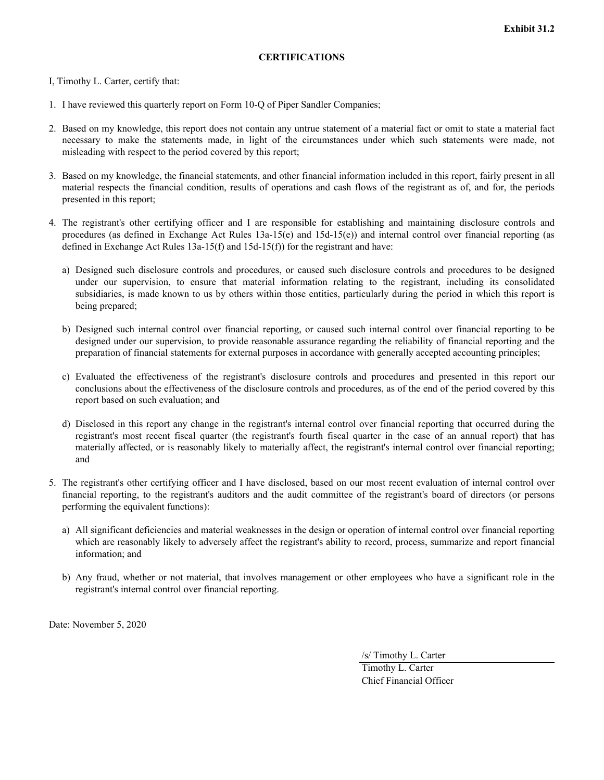## **CERTIFICATIONS**

I, Timothy L. Carter, certify that:

- 1. I have reviewed this quarterly report on Form 10-Q of Piper Sandler Companies;
- 2. Based on my knowledge, this report does not contain any untrue statement of a material fact or omit to state a material fact necessary to make the statements made, in light of the circumstances under which such statements were made, not misleading with respect to the period covered by this report;
- 3. Based on my knowledge, the financial statements, and other financial information included in this report, fairly present in all material respects the financial condition, results of operations and cash flows of the registrant as of, and for, the periods presented in this report;
- 4. The registrant's other certifying officer and I are responsible for establishing and maintaining disclosure controls and procedures (as defined in Exchange Act Rules 13a-15(e) and 15d-15(e)) and internal control over financial reporting (as defined in Exchange Act Rules 13a-15(f) and 15d-15(f)) for the registrant and have:
	- a) Designed such disclosure controls and procedures, or caused such disclosure controls and procedures to be designed under our supervision, to ensure that material information relating to the registrant, including its consolidated subsidiaries, is made known to us by others within those entities, particularly during the period in which this report is being prepared;
	- b) Designed such internal control over financial reporting, or caused such internal control over financial reporting to be designed under our supervision, to provide reasonable assurance regarding the reliability of financial reporting and the preparation of financial statements for external purposes in accordance with generally accepted accounting principles;
	- c) Evaluated the effectiveness of the registrant's disclosure controls and procedures and presented in this report our conclusions about the effectiveness of the disclosure controls and procedures, as of the end of the period covered by this report based on such evaluation; and
	- d) Disclosed in this report any change in the registrant's internal control over financial reporting that occurred during the registrant's most recent fiscal quarter (the registrant's fourth fiscal quarter in the case of an annual report) that has materially affected, or is reasonably likely to materially affect, the registrant's internal control over financial reporting; and
- 5. The registrant's other certifying officer and I have disclosed, based on our most recent evaluation of internal control over financial reporting, to the registrant's auditors and the audit committee of the registrant's board of directors (or persons performing the equivalent functions):
	- a) All significant deficiencies and material weaknesses in the design or operation of internal control over financial reporting which are reasonably likely to adversely affect the registrant's ability to record, process, summarize and report financial information; and
	- b) Any fraud, whether or not material, that involves management or other employees who have a significant role in the registrant's internal control over financial reporting.

Date: November 5, 2020

/s/ Timothy L. Carter

Timothy L. Carter Chief Financial Officer